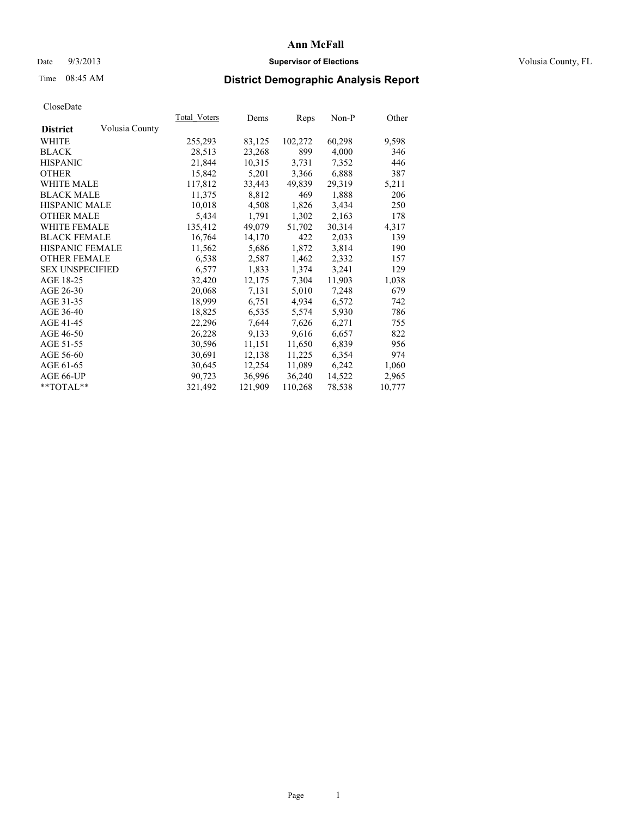### Date  $9/3/2013$  **Supervisor of Elections Supervisor of Elections** Volusia County, FL

## Time 08:45 AM **District Demographic Analysis Report**

|                        |                | Total Voters | Dems    | <u>Reps</u> | Non-P  | Other  |
|------------------------|----------------|--------------|---------|-------------|--------|--------|
| <b>District</b>        | Volusia County |              |         |             |        |        |
| WHITE                  |                | 255,293      | 83,125  | 102,272     | 60,298 | 9,598  |
| <b>BLACK</b>           |                | 28,513       | 23,268  | 899         | 4,000  | 346    |
| <b>HISPANIC</b>        |                | 21,844       | 10,315  | 3,731       | 7,352  | 446    |
| <b>OTHER</b>           |                | 15,842       | 5,201   | 3,366       | 6,888  | 387    |
| <b>WHITE MALE</b>      |                | 117,812      | 33,443  | 49,839      | 29,319 | 5,211  |
| <b>BLACK MALE</b>      |                | 11,375       | 8,812   | 469         | 1,888  | 206    |
| <b>HISPANIC MALE</b>   |                | 10,018       | 4,508   | 1,826       | 3,434  | 250    |
| <b>OTHER MALE</b>      |                | 5,434        | 1,791   | 1,302       | 2,163  | 178    |
| <b>WHITE FEMALE</b>    |                | 135,412      | 49,079  | 51,702      | 30,314 | 4,317  |
| <b>BLACK FEMALE</b>    |                | 16,764       | 14,170  | 422         | 2,033  | 139    |
| HISPANIC FEMALE        |                | 11,562       | 5,686   | 1,872       | 3,814  | 190    |
| <b>OTHER FEMALE</b>    |                | 6,538        | 2,587   | 1,462       | 2,332  | 157    |
| <b>SEX UNSPECIFIED</b> |                | 6,577        | 1,833   | 1,374       | 3,241  | 129    |
| AGE 18-25              |                | 32,420       | 12,175  | 7,304       | 11,903 | 1,038  |
| AGE 26-30              |                | 20,068       | 7.131   | 5,010       | 7,248  | 679    |
| AGE 31-35              |                | 18,999       | 6,751   | 4,934       | 6,572  | 742    |
| AGE 36-40              |                | 18,825       | 6,535   | 5,574       | 5,930  | 786    |
| AGE 41-45              |                | 22,296       | 7,644   | 7,626       | 6,271  | 755    |
| AGE 46-50              |                | 26,228       | 9,133   | 9,616       | 6,657  | 822    |
| AGE 51-55              |                | 30,596       | 11,151  | 11,650      | 6,839  | 956    |
| AGE 56-60              |                | 30,691       | 12,138  | 11,225      | 6,354  | 974    |
| AGE 61-65              |                | 30,645       | 12,254  | 11,089      | 6,242  | 1,060  |
| AGE 66-UP              |                | 90,723       | 36,996  | 36,240      | 14,522 | 2,965  |
| $*$ TOTAL $*$          |                | 321,492      | 121,909 | 110,268     | 78,538 | 10,777 |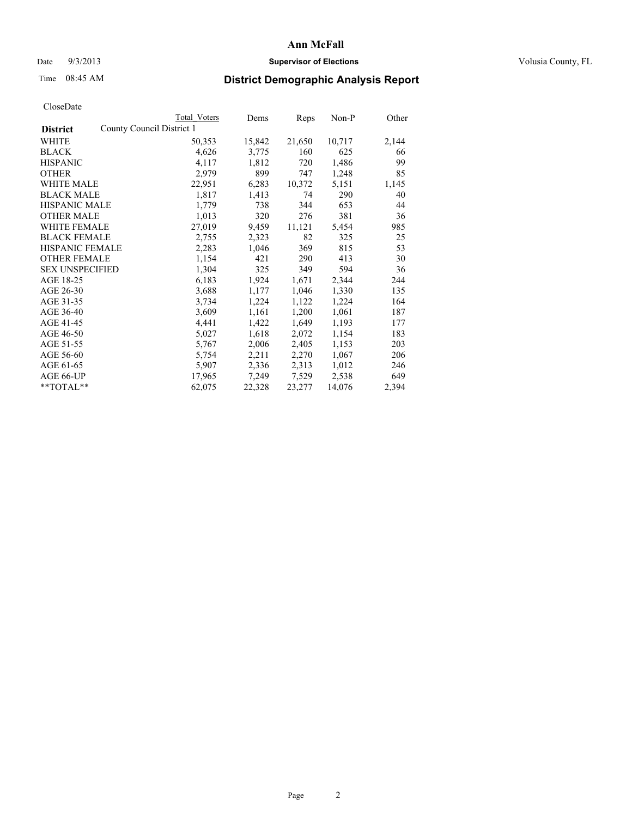### Date  $9/3/2013$  **Supervisor of Elections Supervisor of Elections** Volusia County, FL

## Time 08:45 AM **District Demographic Analysis Report**

|                        |                           | <b>Total Voters</b> | Dems   | Reps   | Non-P  | Other |
|------------------------|---------------------------|---------------------|--------|--------|--------|-------|
| <b>District</b>        | County Council District 1 |                     |        |        |        |       |
| WHITE                  |                           | 50,353              | 15,842 | 21,650 | 10,717 | 2,144 |
| <b>BLACK</b>           |                           | 4,626               | 3,775  | 160    | 625    | 66    |
| <b>HISPANIC</b>        |                           | 4,117               | 1,812  | 720    | 1,486  | 99    |
| <b>OTHER</b>           |                           | 2,979               | 899    | 747    | 1,248  | 85    |
| WHITE MALE             |                           | 22,951              | 6,283  | 10,372 | 5,151  | 1,145 |
| <b>BLACK MALE</b>      |                           | 1,817               | 1,413  | 74     | 290    | 40    |
| <b>HISPANIC MALE</b>   |                           | 1,779               | 738    | 344    | 653    | 44    |
| <b>OTHER MALE</b>      |                           | 1,013               | 320    | 276    | 381    | 36    |
| <b>WHITE FEMALE</b>    |                           | 27,019              | 9,459  | 11,121 | 5,454  | 985   |
| <b>BLACK FEMALE</b>    |                           | 2,755               | 2,323  | 82     | 325    | 25    |
| HISPANIC FEMALE        |                           | 2,283               | 1,046  | 369    | 815    | 53    |
| <b>OTHER FEMALE</b>    |                           | 1,154               | 421    | 290    | 413    | 30    |
| <b>SEX UNSPECIFIED</b> |                           | 1,304               | 325    | 349    | 594    | 36    |
| AGE 18-25              |                           | 6,183               | 1,924  | 1,671  | 2,344  | 244   |
| AGE 26-30              |                           | 3,688               | 1,177  | 1,046  | 1,330  | 135   |
| AGE 31-35              |                           | 3,734               | 1,224  | 1,122  | 1,224  | 164   |
| AGE 36-40              |                           | 3,609               | 1,161  | 1,200  | 1,061  | 187   |
| AGE 41-45              |                           | 4,441               | 1,422  | 1,649  | 1,193  | 177   |
| AGE 46-50              |                           | 5,027               | 1,618  | 2,072  | 1,154  | 183   |
| AGE 51-55              |                           | 5,767               | 2,006  | 2,405  | 1,153  | 203   |
| AGE 56-60              |                           | 5,754               | 2,211  | 2,270  | 1,067  | 206   |
| AGE 61-65              |                           | 5,907               | 2,336  | 2,313  | 1,012  | 246   |
| AGE 66-UP              |                           | 17,965              | 7,249  | 7,529  | 2,538  | 649   |
| **TOTAL**              |                           | 62,075              | 22,328 | 23,277 | 14,076 | 2,394 |
|                        |                           |                     |        |        |        |       |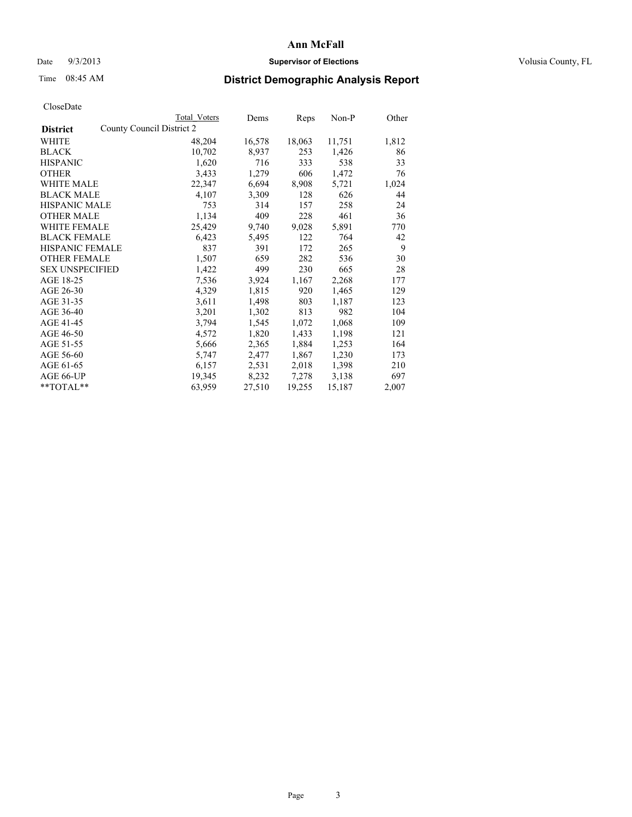### Date  $9/3/2013$  **Supervisor of Elections Supervisor of Elections** Volusia County, FL

## Time 08:45 AM **District Demographic Analysis Report**

|                                              | <b>Total Voters</b> | Dems   | Reps   | Non-P  | Other |
|----------------------------------------------|---------------------|--------|--------|--------|-------|
| County Council District 2<br><b>District</b> |                     |        |        |        |       |
| WHITE                                        | 48,204              | 16,578 | 18,063 | 11,751 | 1,812 |
| <b>BLACK</b>                                 | 10,702              | 8,937  | 253    | 1,426  | 86    |
| <b>HISPANIC</b>                              | 1,620               | 716    | 333    | 538    | 33    |
| <b>OTHER</b>                                 | 3,433               | 1,279  | 606    | 1,472  | 76    |
| WHITE MALE                                   | 22,347              | 6,694  | 8,908  | 5,721  | 1,024 |
| <b>BLACK MALE</b>                            | 4,107               | 3,309  | 128    | 626    | 44    |
| <b>HISPANIC MALE</b>                         | 753                 | 314    | 157    | 258    | 24    |
| <b>OTHER MALE</b>                            | 1,134               | 409    | 228    | 461    | 36    |
| <b>WHITE FEMALE</b>                          | 25,429              | 9,740  | 9,028  | 5,891  | 770   |
| <b>BLACK FEMALE</b>                          | 6,423               | 5,495  | 122    | 764    | 42    |
| HISPANIC FEMALE                              | 837                 | 391    | 172    | 265    | 9     |
| <b>OTHER FEMALE</b>                          | 1,507               | 659    | 282    | 536    | 30    |
| <b>SEX UNSPECIFIED</b>                       | 1,422               | 499    | 230    | 665    | 28    |
| AGE 18-25                                    | 7,536               | 3,924  | 1,167  | 2,268  | 177   |
| AGE 26-30                                    | 4,329               | 1,815  | 920    | 1,465  | 129   |
| AGE 31-35                                    | 3,611               | 1,498  | 803    | 1,187  | 123   |
| AGE 36-40                                    | 3,201               | 1,302  | 813    | 982    | 104   |
| AGE 41-45                                    | 3,794               | 1,545  | 1,072  | 1,068  | 109   |
| AGE 46-50                                    | 4,572               | 1,820  | 1,433  | 1,198  | 121   |
| AGE 51-55                                    | 5,666               | 2,365  | 1,884  | 1,253  | 164   |
| AGE 56-60                                    | 5,747               | 2,477  | 1,867  | 1,230  | 173   |
| AGE 61-65                                    | 6,157               | 2,531  | 2,018  | 1,398  | 210   |
| AGE 66-UP                                    | 19,345              | 8,232  | 7,278  | 3,138  | 697   |
| $*$ $TOTAL**$                                | 63,959              | 27,510 | 19,255 | 15,187 | 2,007 |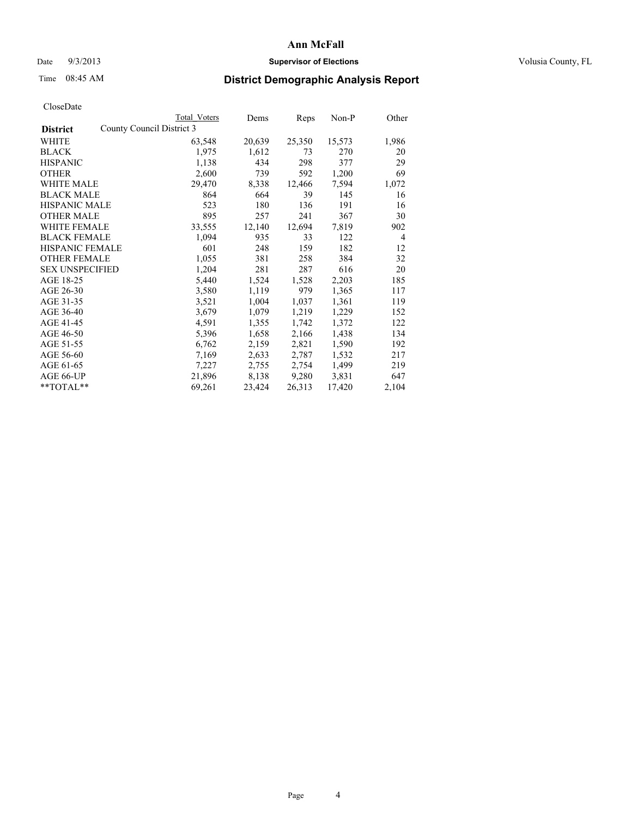### Date  $9/3/2013$  **Supervisor of Elections Supervisor of Elections** Volusia County, FL

## Time 08:45 AM **District Demographic Analysis Report**

|                        |                           | <b>Total Voters</b> | Dems   | Reps   | Non-P  | Other |
|------------------------|---------------------------|---------------------|--------|--------|--------|-------|
| <b>District</b>        | County Council District 3 |                     |        |        |        |       |
| <b>WHITE</b>           |                           | 63,548              | 20,639 | 25,350 | 15,573 | 1,986 |
| <b>BLACK</b>           |                           | 1,975               | 1,612  | 73     | 270    | 20    |
| <b>HISPANIC</b>        |                           | 1,138               | 434    | 298    | 377    | 29    |
| <b>OTHER</b>           |                           | 2,600               | 739    | 592    | 1,200  | 69    |
| <b>WHITE MALE</b>      |                           | 29,470              | 8,338  | 12,466 | 7,594  | 1,072 |
| <b>BLACK MALE</b>      |                           | 864                 | 664    | 39     | 145    | 16    |
| <b>HISPANIC MALE</b>   |                           | 523                 | 180    | 136    | 191    | 16    |
| <b>OTHER MALE</b>      |                           | 895                 | 257    | 241    | 367    | 30    |
| <b>WHITE FEMALE</b>    |                           | 33,555              | 12,140 | 12,694 | 7,819  | 902   |
| <b>BLACK FEMALE</b>    |                           | 1,094               | 935    | 33     | 122    | 4     |
| <b>HISPANIC FEMALE</b> |                           | 601                 | 248    | 159    | 182    | 12    |
| <b>OTHER FEMALE</b>    |                           | 1,055               | 381    | 258    | 384    | 32    |
| <b>SEX UNSPECIFIED</b> |                           | 1,204               | 281    | 287    | 616    | 20    |
| AGE 18-25              |                           | 5,440               | 1,524  | 1,528  | 2,203  | 185   |
| AGE 26-30              |                           | 3,580               | 1,119  | 979    | 1,365  | 117   |
| AGE 31-35              |                           | 3,521               | 1,004  | 1,037  | 1,361  | 119   |
| AGE 36-40              |                           | 3,679               | 1,079  | 1,219  | 1,229  | 152   |
| AGE 41-45              |                           | 4,591               | 1,355  | 1,742  | 1,372  | 122   |
| AGE 46-50              |                           | 5,396               | 1,658  | 2,166  | 1,438  | 134   |
| AGE 51-55              |                           | 6,762               | 2,159  | 2,821  | 1,590  | 192   |
| AGE 56-60              |                           | 7,169               | 2,633  | 2,787  | 1,532  | 217   |
| AGE 61-65              |                           | 7,227               | 2,755  | 2,754  | 1,499  | 219   |
| AGE 66-UP              |                           | 21,896              | 8,138  | 9,280  | 3,831  | 647   |
| $*$ $TOTAL**$          |                           | 69,261              | 23,424 | 26,313 | 17,420 | 2,104 |
|                        |                           |                     |        |        |        |       |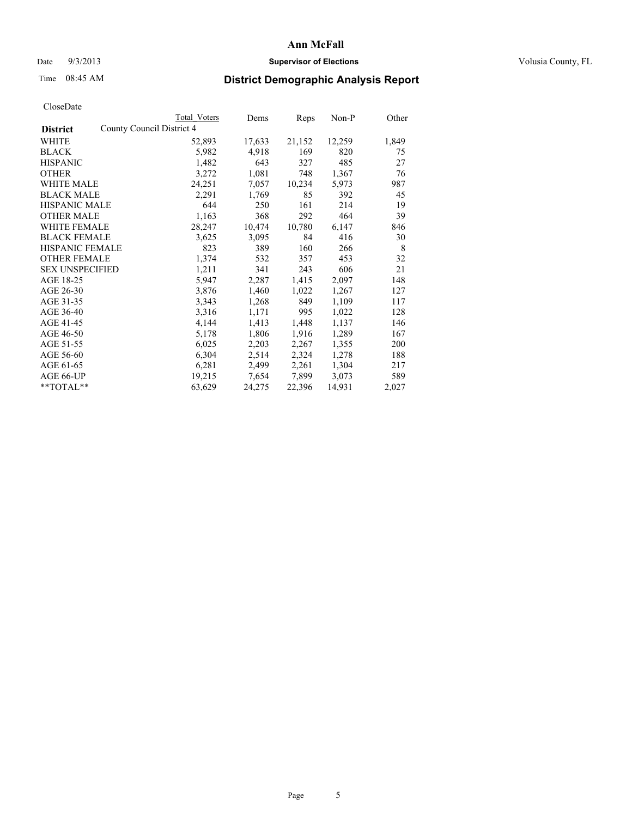### Date  $9/3/2013$  **Supervisor of Elections Supervisor of Elections** Volusia County, FL

## Time 08:45 AM **District Demographic Analysis Report**

|                                              | <b>Total Voters</b> | Dems   | Reps   | Non-P  | Other |
|----------------------------------------------|---------------------|--------|--------|--------|-------|
| County Council District 4<br><b>District</b> |                     |        |        |        |       |
| WHITE                                        | 52,893              | 17,633 | 21,152 | 12,259 | 1,849 |
| <b>BLACK</b>                                 | 5,982               | 4,918  | 169    | 820    | 75    |
| <b>HISPANIC</b>                              | 1,482               | 643    | 327    | 485    | 27    |
| <b>OTHER</b>                                 | 3,272               | 1,081  | 748    | 1,367  | 76    |
| WHITE MALE                                   | 24,251              | 7,057  | 10,234 | 5,973  | 987   |
| <b>BLACK MALE</b>                            | 2,291               | 1,769  | 85     | 392    | 45    |
| <b>HISPANIC MALE</b>                         | 644                 | 250    | 161    | 214    | 19    |
| <b>OTHER MALE</b>                            | 1,163               | 368    | 292    | 464    | 39    |
| <b>WHITE FEMALE</b>                          | 28,247              | 10,474 | 10,780 | 6,147  | 846   |
| <b>BLACK FEMALE</b>                          | 3,625               | 3,095  | 84     | 416    | 30    |
| <b>HISPANIC FEMALE</b>                       | 823                 | 389    | 160    | 266    | 8     |
| <b>OTHER FEMALE</b>                          | 1,374               | 532    | 357    | 453    | 32    |
| <b>SEX UNSPECIFIED</b>                       | 1,211               | 341    | 243    | 606    | 21    |
| AGE 18-25                                    | 5,947               | 2,287  | 1,415  | 2,097  | 148   |
| AGE 26-30                                    | 3,876               | 1,460  | 1,022  | 1,267  | 127   |
| AGE 31-35                                    | 3,343               | 1,268  | 849    | 1,109  | 117   |
| AGE 36-40                                    | 3,316               | 1,171  | 995    | 1,022  | 128   |
| AGE 41-45                                    | 4,144               | 1,413  | 1,448  | 1,137  | 146   |
| AGE 46-50                                    | 5,178               | 1,806  | 1,916  | 1,289  | 167   |
| AGE 51-55                                    | 6,025               | 2,203  | 2,267  | 1,355  | 200   |
| AGE 56-60                                    | 6,304               | 2,514  | 2,324  | 1,278  | 188   |
| AGE 61-65                                    | 6,281               | 2,499  | 2,261  | 1,304  | 217   |
| AGE 66-UP                                    | 19,215              | 7,654  | 7,899  | 3,073  | 589   |
| **TOTAL**                                    | 63,629              | 24,275 | 22,396 | 14,931 | 2,027 |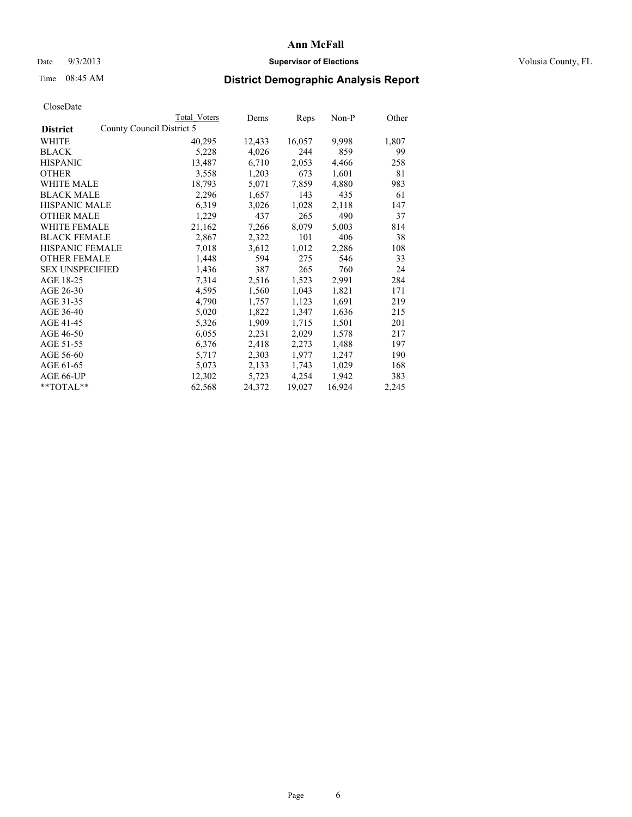### Date  $9/3/2013$  **Supervisor of Elections Supervisor of Elections** Volusia County, FL

## Time 08:45 AM **District Demographic Analysis Report**

|                                              | Total Voters | Dems   | <b>Reps</b> | $Non-P$ | Other |
|----------------------------------------------|--------------|--------|-------------|---------|-------|
| County Council District 5<br><b>District</b> |              |        |             |         |       |
| WHITE                                        | 40,295       | 12,433 | 16,057      | 9,998   | 1,807 |
| <b>BLACK</b>                                 | 5,228        | 4,026  | 244         | 859     | 99    |
| <b>HISPANIC</b>                              | 13,487       | 6,710  | 2,053       | 4,466   | 258   |
| <b>OTHER</b>                                 | 3,558        | 1,203  | 673         | 1,601   | 81    |
| <b>WHITE MALE</b>                            | 18,793       | 5,071  | 7,859       | 4,880   | 983   |
| <b>BLACK MALE</b>                            | 2,296        | 1,657  | 143         | 435     | 61    |
| <b>HISPANIC MALE</b>                         | 6,319        | 3,026  | 1,028       | 2,118   | 147   |
| <b>OTHER MALE</b>                            | 1,229        | 437    | 265         | 490     | 37    |
| WHITE FEMALE                                 | 21,162       | 7,266  | 8,079       | 5,003   | 814   |
| <b>BLACK FEMALE</b>                          | 2,867        | 2,322  | 101         | 406     | 38    |
| HISPANIC FEMALE                              | 7,018        | 3,612  | 1,012       | 2,286   | 108   |
| <b>OTHER FEMALE</b>                          | 1,448        | 594    | 275         | 546     | 33    |
| <b>SEX UNSPECIFIED</b>                       | 1,436        | 387    | 265         | 760     | 24    |
| AGE 18-25                                    | 7,314        | 2,516  | 1,523       | 2,991   | 284   |
| AGE 26-30                                    | 4,595        | 1,560  | 1,043       | 1,821   | 171   |
| AGE 31-35                                    | 4,790        | 1,757  | 1,123       | 1,691   | 219   |
| AGE 36-40                                    | 5,020        | 1,822  | 1,347       | 1,636   | 215   |
| AGE 41-45                                    | 5,326        | 1,909  | 1,715       | 1,501   | 201   |
| AGE 46-50                                    | 6,055        | 2,231  | 2,029       | 1,578   | 217   |
| AGE 51-55                                    | 6,376        | 2,418  | 2,273       | 1,488   | 197   |
| AGE 56-60                                    | 5,717        | 2,303  | 1,977       | 1,247   | 190   |
| AGE 61-65                                    | 5,073        | 2,133  | 1,743       | 1,029   | 168   |
| AGE 66-UP                                    | 12,302       | 5,723  | 4,254       | 1,942   | 383   |
| $*$ $TOTAI.**$                               | 62,568       | 24,372 | 19,027      | 16,924  | 2,245 |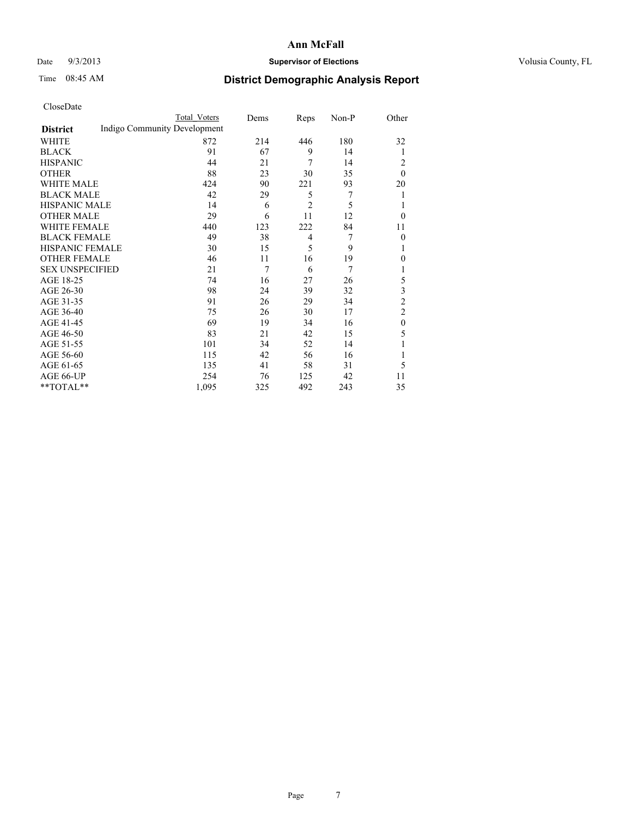### Date  $9/3/2013$  **Supervisor of Elections Supervisor of Elections** Volusia County, FL

## Time 08:45 AM **District Demographic Analysis Report**

|                        |                              | Total Voters | Dems | Reps           | Non-P | Other          |
|------------------------|------------------------------|--------------|------|----------------|-------|----------------|
| <b>District</b>        | Indigo Community Development |              |      |                |       |                |
| WHITE                  |                              | 872          | 214  | 446            | 180   | 32             |
| <b>BLACK</b>           |                              | 91           | 67   | 9              | 14    | 1              |
| <b>HISPANIC</b>        |                              | 44           | 21   | 7              | 14    | 2              |
| <b>OTHER</b>           |                              | 88           | 23   | 30             | 35    | $\theta$       |
| WHITE MALE             |                              | 424          | 90   | 221            | 93    | 20             |
| <b>BLACK MALE</b>      |                              | 42           | 29   | 5              | 7     | 1              |
| <b>HISPANIC MALE</b>   |                              | 14           | 6    | $\overline{2}$ | 5     | 1              |
| <b>OTHER MALE</b>      |                              | 29           | 6    | 11             | 12    | $\theta$       |
| WHITE FEMALE           |                              | 440          | 123  | 222            | 84    | 11             |
| <b>BLACK FEMALE</b>    |                              | 49           | 38   | $\overline{4}$ | 7     | $\theta$       |
| <b>HISPANIC FEMALE</b> |                              | 30           | 15   | 5              | 9     | 1              |
| <b>OTHER FEMALE</b>    |                              | 46           | 11   | 16             | 19    | $\theta$       |
| <b>SEX UNSPECIFIED</b> |                              | 21           | 7    | 6              | 7     | 1              |
| AGE 18-25              |                              | 74           | 16   | 27             | 26    | 5              |
| AGE 26-30              |                              | 98           | 24   | 39             | 32    | 3              |
| AGE 31-35              |                              | 91           | 26   | 29             | 34    | $\overline{c}$ |
| AGE 36-40              |                              | 75           | 26   | 30             | 17    | $\overline{c}$ |
| AGE 41-45              |                              | 69           | 19   | 34             | 16    | $\mathbf{0}$   |
| AGE 46-50              |                              | 83           | 21   | 42             | 15    | 5              |
| AGE 51-55              |                              | 101          | 34   | 52             | 14    | 1              |
| AGE 56-60              |                              | 115          | 42   | 56             | 16    |                |
| AGE 61-65              |                              | 135          | 41   | 58             | 31    | 5              |
| AGE 66-UP              |                              | 254          | 76   | 125            | 42    | 11             |
| **TOTAL**              |                              | 1,095        | 325  | 492            | 243   | 35             |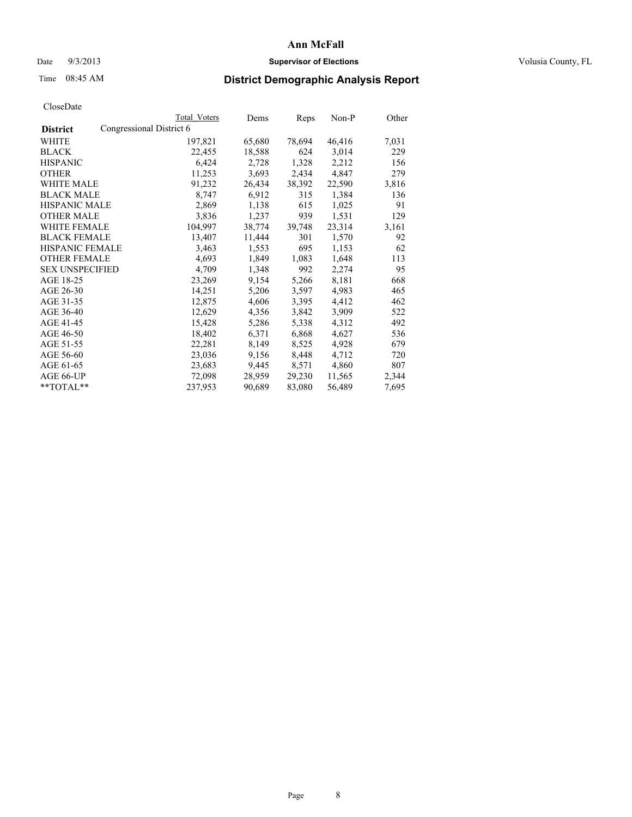### Date  $9/3/2013$  **Supervisor of Elections Supervisor of Elections** Volusia County, FL

## Time 08:45 AM **District Demographic Analysis Report**

| <b>Total Voters</b>      | Dems   | Reps   | Non-P  | Other |
|--------------------------|--------|--------|--------|-------|
| Congressional District 6 |        |        |        |       |
| 197,821                  | 65,680 | 78,694 | 46,416 | 7,031 |
| 22,455                   | 18,588 | 624    | 3,014  | 229   |
| 6,424                    | 2,728  | 1,328  | 2,212  | 156   |
| 11,253                   | 3,693  | 2,434  | 4,847  | 279   |
| 91,232                   | 26,434 | 38,392 | 22,590 | 3,816 |
| 8,747                    | 6,912  | 315    | 1,384  | 136   |
| 2,869                    | 1,138  | 615    | 1,025  | 91    |
| 3,836                    | 1,237  | 939    | 1,531  | 129   |
| 104,997                  | 38,774 | 39,748 | 23,314 | 3,161 |
| 13,407                   | 11,444 | 301    | 1,570  | 92    |
| 3,463                    | 1,553  | 695    | 1,153  | 62    |
| 4,693                    | 1,849  | 1,083  | 1,648  | 113   |
| 4,709                    | 1,348  | 992    | 2,274  | 95    |
| 23,269                   | 9,154  | 5,266  | 8,181  | 668   |
| 14,251                   | 5,206  | 3,597  | 4,983  | 465   |
| 12,875                   | 4,606  | 3,395  | 4,412  | 462   |
| 12,629                   | 4,356  | 3,842  | 3,909  | 522   |
| 15,428                   | 5,286  | 5,338  | 4,312  | 492   |
| 18,402                   | 6,371  | 6,868  | 4,627  | 536   |
| 22,281                   | 8,149  | 8,525  | 4,928  | 679   |
| 23,036                   | 9,156  | 8,448  | 4,712  | 720   |
| 23,683                   | 9,445  | 8,571  | 4,860  | 807   |
| 72,098                   | 28,959 | 29,230 | 11,565 | 2,344 |
| 237,953                  | 90,689 | 83,080 | 56,489 | 7,695 |
|                          |        |        |        |       |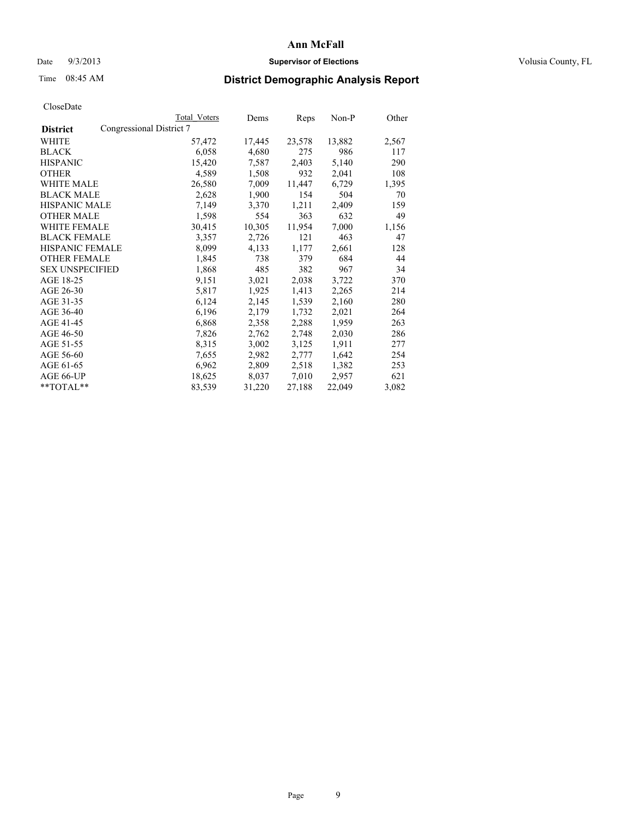### Date  $9/3/2013$  **Supervisor of Elections Supervisor of Elections** Volusia County, FL

## Time 08:45 AM **District Demographic Analysis Report**

|                                             | <b>Total Voters</b> | Dems   | Reps   | Non-P  | Other |
|---------------------------------------------|---------------------|--------|--------|--------|-------|
| Congressional District 7<br><b>District</b> |                     |        |        |        |       |
| WHITE                                       | 57,472              | 17,445 | 23,578 | 13,882 | 2,567 |
| <b>BLACK</b>                                | 6,058               | 4,680  | 275    | 986    | 117   |
| <b>HISPANIC</b>                             | 15,420              | 7,587  | 2,403  | 5,140  | 290   |
| <b>OTHER</b>                                | 4,589               | 1,508  | 932    | 2,041  | 108   |
| WHITE MALE                                  | 26,580              | 7,009  | 11,447 | 6,729  | 1,395 |
| <b>BLACK MALE</b>                           | 2,628               | 1,900  | 154    | 504    | 70    |
| <b>HISPANIC MALE</b>                        | 7,149               | 3,370  | 1,211  | 2,409  | 159   |
| <b>OTHER MALE</b>                           | 1,598               | 554    | 363    | 632    | 49    |
| <b>WHITE FEMALE</b>                         | 30,415              | 10,305 | 11,954 | 7,000  | 1,156 |
| <b>BLACK FEMALE</b>                         | 3,357               | 2,726  | 121    | 463    | 47    |
| <b>HISPANIC FEMALE</b>                      | 8,099               | 4,133  | 1,177  | 2,661  | 128   |
| <b>OTHER FEMALE</b>                         | 1,845               | 738    | 379    | 684    | 44    |
| <b>SEX UNSPECIFIED</b>                      | 1,868               | 485    | 382    | 967    | 34    |
| AGE 18-25                                   | 9,151               | 3,021  | 2,038  | 3,722  | 370   |
| AGE 26-30                                   | 5,817               | 1,925  | 1,413  | 2,265  | 214   |
| AGE 31-35                                   | 6,124               | 2,145  | 1,539  | 2,160  | 280   |
| AGE 36-40                                   | 6,196               | 2,179  | 1,732  | 2,021  | 264   |
| AGE 41-45                                   | 6,868               | 2,358  | 2,288  | 1,959  | 263   |
| AGE 46-50                                   | 7,826               | 2,762  | 2,748  | 2,030  | 286   |
| AGE 51-55                                   | 8,315               | 3,002  | 3,125  | 1,911  | 277   |
| AGE 56-60                                   | 7,655               | 2,982  | 2,777  | 1,642  | 254   |
| AGE 61-65                                   | 6,962               | 2,809  | 2,518  | 1,382  | 253   |
| AGE 66-UP                                   | 18,625              | 8,037  | 7,010  | 2,957  | 621   |
| **TOTAL**                                   | 83,539              | 31,220 | 27,188 | 22,049 | 3,082 |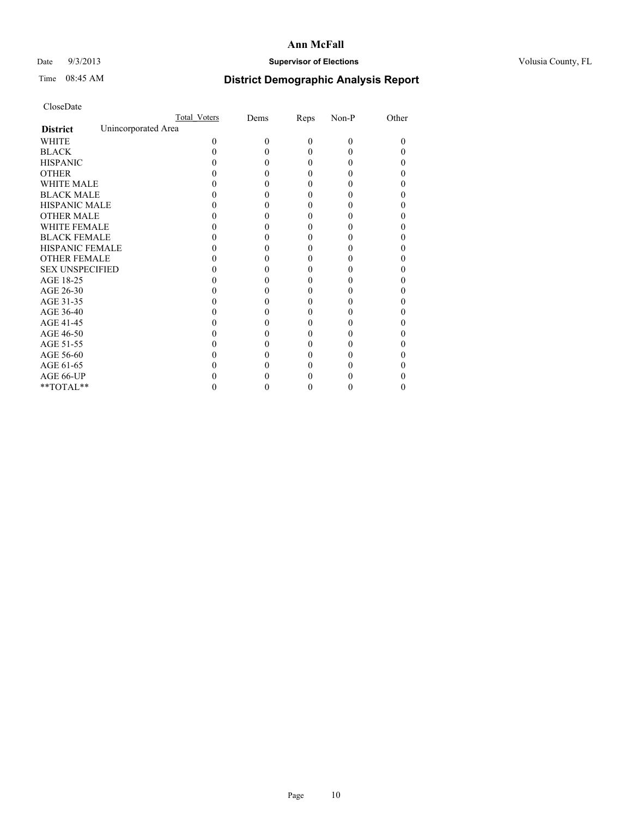### Date  $9/3/2013$  **Supervisor of Elections Supervisor of Elections** Volusia County, FL

## Time 08:45 AM **District Demographic Analysis Report**

|                        |                     | Total Voters | Dems     | Reps     | Non-P    | Other |
|------------------------|---------------------|--------------|----------|----------|----------|-------|
| <b>District</b>        | Unincorporated Area |              |          |          |          |       |
| <b>WHITE</b>           |                     | 0            | $\theta$ | $\theta$ | $\Omega$ | 0     |
| <b>BLACK</b>           |                     |              |          | 0        | 0        |       |
| <b>HISPANIC</b>        |                     |              |          | 0        | 0        |       |
| <b>OTHER</b>           |                     |              |          |          |          |       |
| <b>WHITE MALE</b>      |                     |              |          |          |          |       |
| <b>BLACK MALE</b>      |                     |              |          |          |          |       |
| <b>HISPANIC MALE</b>   |                     |              |          |          |          |       |
| <b>OTHER MALE</b>      |                     |              |          |          |          |       |
| <b>WHITE FEMALE</b>    |                     |              |          |          |          |       |
| <b>BLACK FEMALE</b>    |                     |              |          | 0        |          |       |
| <b>HISPANIC FEMALE</b> |                     |              |          |          |          |       |
| <b>OTHER FEMALE</b>    |                     |              |          |          |          |       |
| <b>SEX UNSPECIFIED</b> |                     |              |          |          |          |       |
| AGE 18-25              |                     |              |          |          |          |       |
| AGE 26-30              |                     |              |          |          |          |       |
| AGE 31-35              |                     |              |          |          |          |       |
| AGE 36-40              |                     |              |          | 0        |          |       |
| AGE 41-45              |                     |              |          |          |          |       |
| AGE 46-50              |                     |              |          | 0        |          |       |
| AGE 51-55              |                     |              |          |          |          |       |
| AGE 56-60              |                     |              |          |          |          |       |
| AGE 61-65              |                     |              |          |          |          |       |
| AGE 66-UP              |                     |              |          |          |          |       |
| **TOTAL**              |                     |              |          | 0        | 0        | 0     |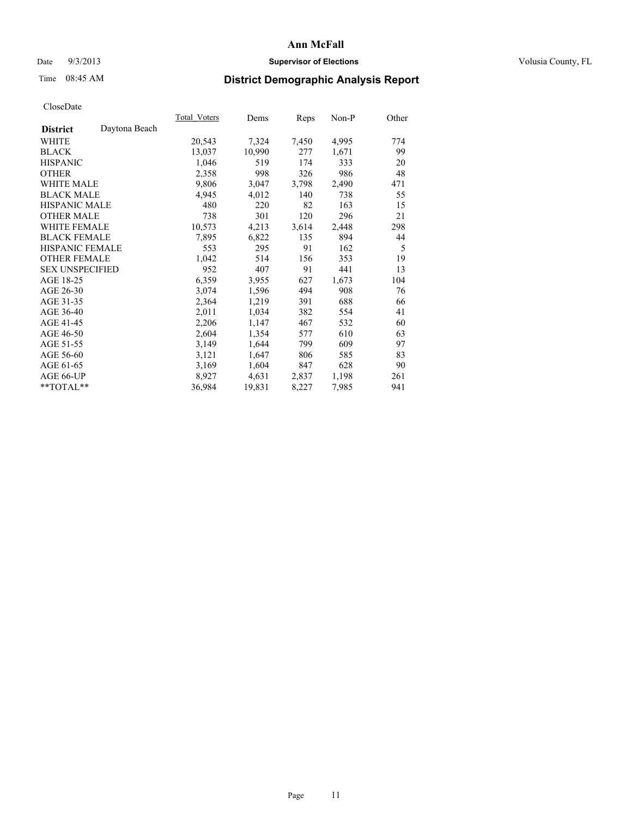### Date  $9/3/2013$  **Supervisor of Elections Supervisor of Elections** Volusia County, FL

# Time 08:45 AM **District Demographic Analysis Report**

|                        |               | Total Voters | Dems   | Reps  | Non-P | Other |
|------------------------|---------------|--------------|--------|-------|-------|-------|
| <b>District</b>        | Daytona Beach |              |        |       |       |       |
| <b>WHITE</b>           |               | 20,543       | 7,324  | 7,450 | 4,995 | 774   |
| <b>BLACK</b>           |               | 13,037       | 10,990 | 277   | 1,671 | 99    |
| <b>HISPANIC</b>        |               | 1,046        | 519    | 174   | 333   | 20    |
| <b>OTHER</b>           |               | 2,358        | 998    | 326   | 986   | 48    |
| <b>WHITE MALE</b>      |               | 9,806        | 3,047  | 3,798 | 2,490 | 471   |
| <b>BLACK MALE</b>      |               | 4,945        | 4,012  | 140   | 738   | 55    |
| HISPANIC MALE          |               | 480          | 220    | 82    | 163   | 15    |
| <b>OTHER MALE</b>      |               | 738          | 301    | 120   | 296   | 21    |
| <b>WHITE FEMALE</b>    |               | 10,573       | 4,213  | 3,614 | 2,448 | 298   |
| <b>BLACK FEMALE</b>    |               | 7,895        | 6,822  | 135   | 894   | 44    |
| <b>HISPANIC FEMALE</b> |               | 553          | 295    | 91    | 162   | 5     |
| <b>OTHER FEMALE</b>    |               | 1,042        | 514    | 156   | 353   | 19    |
| <b>SEX UNSPECIFIED</b> |               | 952          | 407    | 91    | 441   | 13    |
| AGE 18-25              |               | 6,359        | 3,955  | 627   | 1,673 | 104   |
| AGE 26-30              |               | 3,074        | 1,596  | 494   | 908   | 76    |
| AGE 31-35              |               | 2,364        | 1,219  | 391   | 688   | 66    |
| AGE 36-40              |               | 2,011        | 1,034  | 382   | 554   | 41    |
| AGE 41-45              |               | 2,206        | 1,147  | 467   | 532   | 60    |
| AGE 46-50              |               | 2,604        | 1,354  | 577   | 610   | 63    |
| AGE 51-55              |               | 3,149        | 1,644  | 799   | 609   | 97    |
| AGE 56-60              |               | 3,121        | 1,647  | 806   | 585   | 83    |
| AGE 61-65              |               | 3,169        | 1,604  | 847   | 628   | 90    |
| AGE 66-UP              |               | 8,927        | 4,631  | 2,837 | 1,198 | 261   |
| $*$ $TOTAL**$          |               | 36,984       | 19,831 | 8,227 | 7,985 | 941   |
|                        |               |              |        |       |       |       |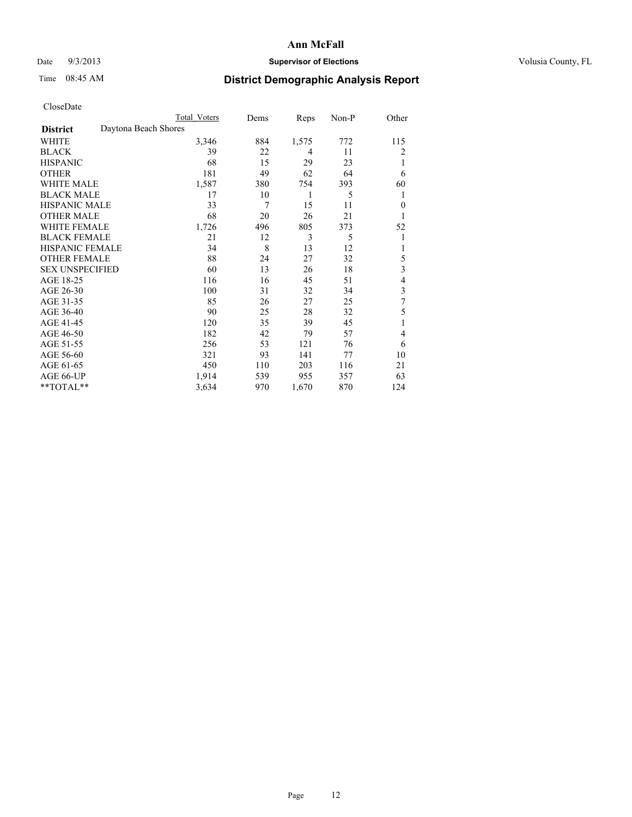## Date  $9/3/2013$  **Supervisor of Elections Supervisor of Elections** Volusia County, FL

## Time 08:45 AM **District Demographic Analysis Report**

|                        | <b>Total Voters</b>  | Dems | Reps  | Non-P | Other    |
|------------------------|----------------------|------|-------|-------|----------|
| <b>District</b>        | Daytona Beach Shores |      |       |       |          |
| WHITE                  | 3,346                | 884  | 1,575 | 772   | 115      |
| <b>BLACK</b>           | 39                   | 22   | 4     | 11    | 2        |
| <b>HISPANIC</b>        | 68                   | 15   | 29    | 23    | 1        |
| <b>OTHER</b>           | 181                  | 49   | 62    | 64    | 6        |
| <b>WHITE MALE</b>      | 1,587                | 380  | 754   | 393   | 60       |
| <b>BLACK MALE</b>      | 17                   | 10   | 1     | 5     | 1        |
| <b>HISPANIC MALE</b>   | 33                   | 7    | 15    | 11    | $\theta$ |
| <b>OTHER MALE</b>      | 68                   | 20   | 26    | 21    | 1        |
| <b>WHITE FEMALE</b>    | 1,726                | 496  | 805   | 373   | 52       |
| <b>BLACK FEMALE</b>    | 21                   | 12   | 3     | 5     | 1        |
| <b>HISPANIC FEMALE</b> | 34                   | 8    | 13    | 12    | 1        |
| <b>OTHER FEMALE</b>    | 88                   | 24   | 27    | 32    | 5        |
| <b>SEX UNSPECIFIED</b> | 60                   | 13   | 26    | 18    | 3        |
| AGE 18-25              | 116                  | 16   | 45    | 51    | 4        |
| AGE 26-30              | 100                  | 31   | 32    | 34    | 3        |
| AGE 31-35              | 85                   | 26   | 27    | 25    | 7        |
| AGE 36-40              | 90                   | 25   | 28    | 32    | 5        |
| AGE 41-45              | 120                  | 35   | 39    | 45    |          |
| AGE 46-50              | 182                  | 42   | 79    | 57    | 4        |
| AGE 51-55              | 256                  | 53   | 121   | 76    | 6        |
| AGE 56-60              | 321                  | 93   | 141   | 77    | 10       |
| AGE 61-65              | 450                  | 110  | 203   | 116   | 21       |
| AGE 66-UP              | 1,914                | 539  | 955   | 357   | 63       |
| $*$ TOTAL $*$          | 3,634                | 970  | 1,670 | 870   | 124      |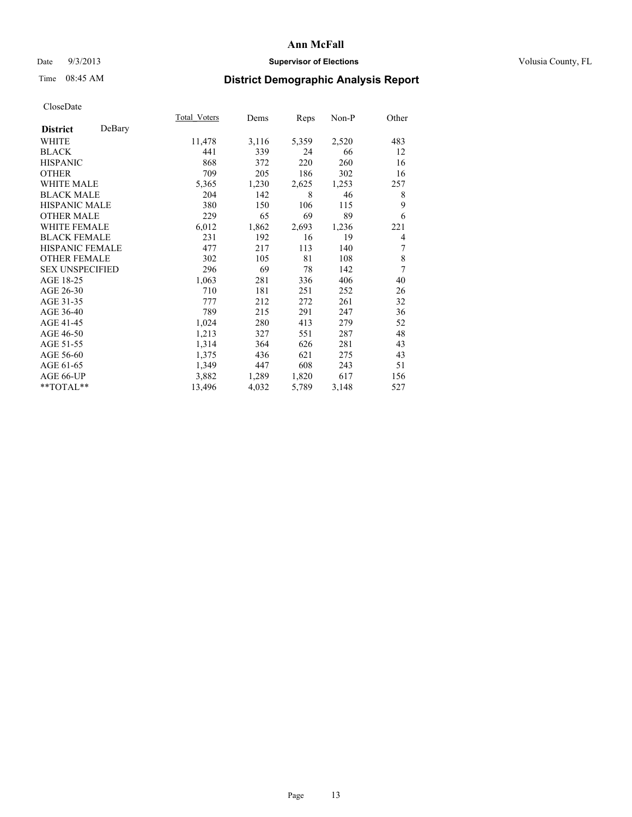## Date  $9/3/2013$  **Supervisor of Elections Supervisor of Elections** Volusia County, FL

# Time 08:45 AM **District Demographic Analysis Report**

|                        |        | Total Voters | Dems  | Reps  | Non-P | Other |
|------------------------|--------|--------------|-------|-------|-------|-------|
| <b>District</b>        | DeBary |              |       |       |       |       |
| WHITE                  |        | 11,478       | 3,116 | 5,359 | 2,520 | 483   |
| <b>BLACK</b>           |        | 441          | 339   | 24    | 66    | 12    |
| <b>HISPANIC</b>        |        | 868          | 372   | 220   | 260   | 16    |
| <b>OTHER</b>           |        | 709          | 205   | 186   | 302   | 16    |
| <b>WHITE MALE</b>      |        | 5,365        | 1,230 | 2,625 | 1,253 | 257   |
| <b>BLACK MALE</b>      |        | 204          | 142   | 8     | 46    | 8     |
| <b>HISPANIC MALE</b>   |        | 380          | 150   | 106   | 115   | 9     |
| <b>OTHER MALE</b>      |        | 229          | 65    | 69    | 89    | 6     |
| <b>WHITE FEMALE</b>    |        | 6,012        | 1,862 | 2,693 | 1,236 | 221   |
| <b>BLACK FEMALE</b>    |        | 231          | 192   | 16    | 19    | 4     |
| <b>HISPANIC FEMALE</b> |        | 477          | 217   | 113   | 140   | 7     |
| <b>OTHER FEMALE</b>    |        | 302          | 105   | 81    | 108   | 8     |
| <b>SEX UNSPECIFIED</b> |        | 296          | 69    | 78    | 142   | 7     |
| AGE 18-25              |        | 1,063        | 281   | 336   | 406   | 40    |
| AGE 26-30              |        | 710          | 181   | 251   | 252   | 26    |
| AGE 31-35              |        | 777          | 212   | 272   | 261   | 32    |
| AGE 36-40              |        | 789          | 215   | 291   | 247   | 36    |
| AGE 41-45              |        | 1,024        | 280   | 413   | 279   | 52    |
| AGE 46-50              |        | 1,213        | 327   | 551   | 287   | 48    |
| AGE 51-55              |        | 1,314        | 364   | 626   | 281   | 43    |
| AGE 56-60              |        | 1,375        | 436   | 621   | 275   | 43    |
| AGE 61-65              |        | 1,349        | 447   | 608   | 243   | 51    |
| AGE 66-UP              |        | 3,882        | 1,289 | 1,820 | 617   | 156   |
| **TOTAL**              |        | 13,496       | 4,032 | 5,789 | 3,148 | 527   |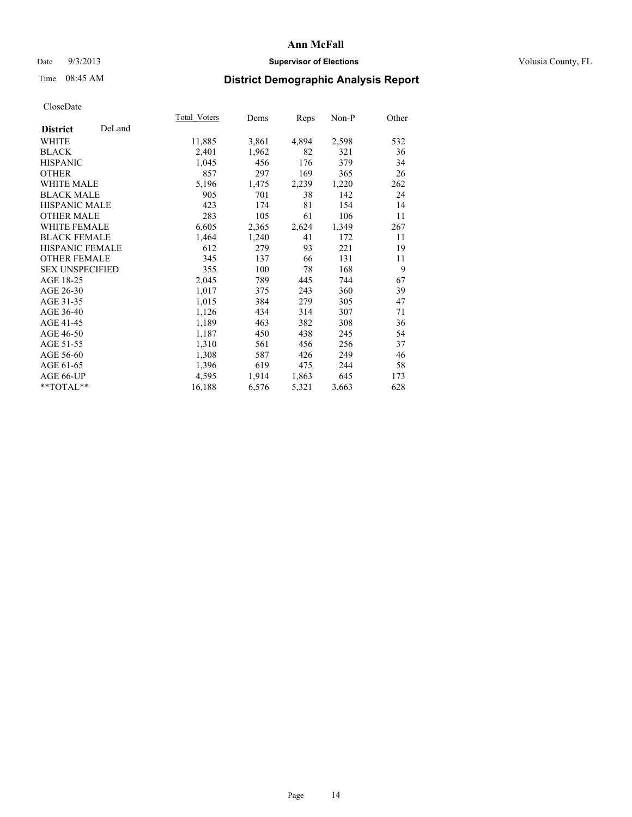### Date  $9/3/2013$  **Supervisor of Elections Supervisor of Elections** Volusia County, FL

# Time 08:45 AM **District Demographic Analysis Report**

|        | Dems         |       | Non-P | Other       |
|--------|--------------|-------|-------|-------------|
|        |              |       |       |             |
| 11,885 | 3,861        | 4,894 | 2,598 | 532         |
| 2,401  | 1,962        | 82    | 321   | 36          |
| 1,045  | 456          | 176   | 379   | 34          |
| 857    | 297          | 169   | 365   | 26          |
| 5,196  | 1,475        | 2,239 | 1,220 | 262         |
| 905    | 701          | 38    | 142   | 24          |
| 423    | 174          | 81    | 154   | 14          |
| 283    | 105          | 61    | 106   | 11          |
| 6,605  | 2,365        | 2,624 | 1,349 | 267         |
| 1,464  | 1,240        | 41    | 172   | 11          |
| 612    | 279          | 93    | 221   | 19          |
| 345    | 137          | 66    | 131   | 11          |
| 355    | 100          | 78    | 168   | 9           |
| 2,045  | 789          | 445   | 744   | 67          |
| 1,017  | 375          | 243   | 360   | 39          |
| 1,015  | 384          | 279   | 305   | 47          |
| 1,126  | 434          | 314   | 307   | 71          |
| 1,189  | 463          | 382   | 308   | 36          |
| 1,187  | 450          | 438   | 245   | 54          |
| 1,310  | 561          | 456   | 256   | 37          |
| 1,308  | 587          | 426   | 249   | 46          |
| 1,396  | 619          | 475   | 244   | 58          |
| 4,595  | 1,914        | 1,863 | 645   | 173         |
| 16,188 | 6,576        | 5,321 | 3,663 | 628         |
|        | Total Voters |       |       | <b>Reps</b> |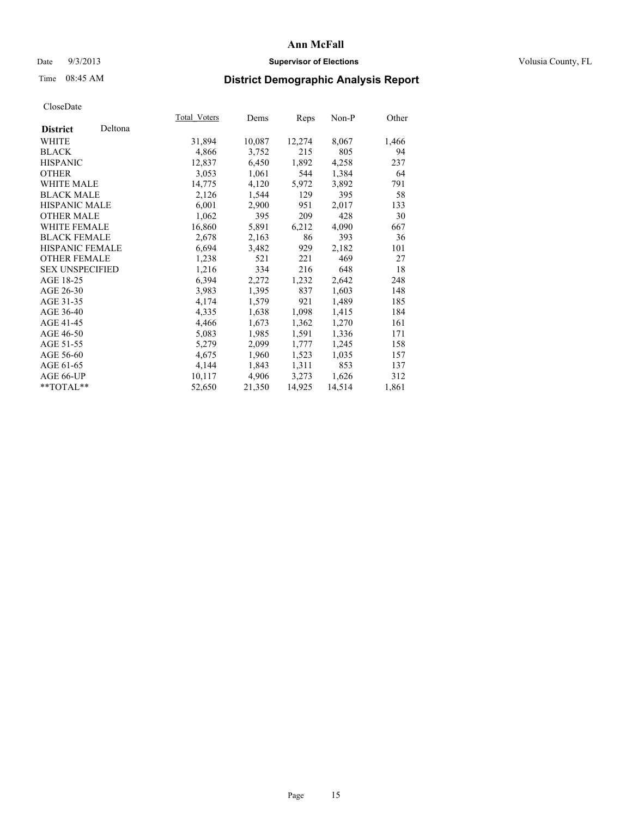### Date  $9/3/2013$  **Supervisor of Elections Supervisor of Elections** Volusia County, FL

# Time 08:45 AM **District Demographic Analysis Report**

| Total Voters | Dems   | Reps   | Non-P  | Other |
|--------------|--------|--------|--------|-------|
|              |        |        |        |       |
| 31,894       | 10,087 | 12,274 | 8,067  | 1,466 |
| 4,866        | 3,752  | 215    | 805    | 94    |
| 12,837       | 6,450  | 1,892  | 4,258  | 237   |
| 3,053        | 1,061  | 544    | 1,384  | 64    |
| 14,775       | 4,120  | 5,972  | 3,892  | 791   |
| 2,126        | 1,544  | 129    | 395    | 58    |
| 6,001        | 2,900  | 951    | 2,017  | 133   |
| 1,062        | 395    | 209    | 428    | 30    |
| 16,860       | 5,891  | 6,212  | 4,090  | 667   |
| 2,678        | 2,163  | 86     | 393    | 36    |
| 6,694        | 3,482  | 929    | 2,182  | 101   |
| 1,238        | 521    | 221    | 469    | 27    |
| 1,216        | 334    | 216    | 648    | 18    |
| 6,394        | 2,272  | 1,232  | 2,642  | 248   |
| 3,983        | 1,395  | 837    | 1,603  | 148   |
| 4,174        | 1,579  | 921    | 1,489  | 185   |
| 4,335        | 1,638  | 1,098  | 1,415  | 184   |
| 4,466        | 1,673  | 1,362  | 1,270  | 161   |
| 5,083        | 1,985  | 1,591  | 1,336  | 171   |
| 5,279        | 2,099  | 1,777  | 1,245  | 158   |
| 4,675        | 1,960  | 1,523  | 1,035  | 157   |
| 4,144        | 1,843  | 1,311  | 853    | 137   |
| 10,117       | 4,906  | 3,273  | 1,626  | 312   |
| 52,650       | 21,350 | 14,925 | 14,514 | 1,861 |
|              |        |        |        |       |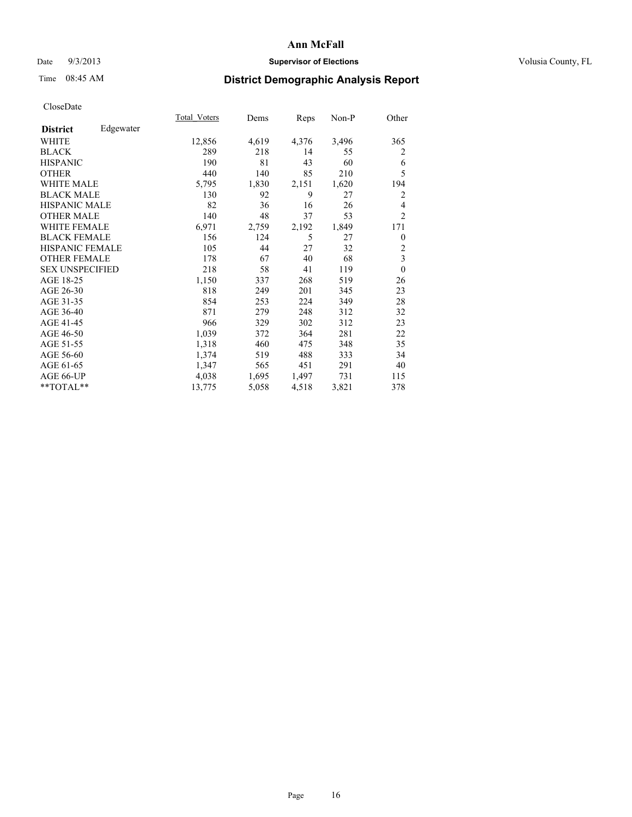## Date  $9/3/2013$  **Supervisor of Elections Supervisor of Elections** Volusia County, FL

# Time 08:45 AM **District Demographic Analysis Report**

|                        |           | Total Voters | Dems  | Reps  | Non-P | Other            |
|------------------------|-----------|--------------|-------|-------|-------|------------------|
| <b>District</b>        | Edgewater |              |       |       |       |                  |
| WHITE                  |           | 12,856       | 4,619 | 4,376 | 3,496 | 365              |
| <b>BLACK</b>           |           | 289          | 218   | 14    | 55    | 2                |
| <b>HISPANIC</b>        |           | 190          | 81    | 43    | 60    | 6                |
| <b>OTHER</b>           |           | 440          | 140   | 85    | 210   | 5                |
| <b>WHITE MALE</b>      |           | 5,795        | 1,830 | 2,151 | 1,620 | 194              |
| <b>BLACK MALE</b>      |           | 130          | 92    | 9     | 27    | 2                |
| <b>HISPANIC MALE</b>   |           | 82           | 36    | 16    | 26    | 4                |
| <b>OTHER MALE</b>      |           | 140          | 48    | 37    | 53    | $\overline{2}$   |
| <b>WHITE FEMALE</b>    |           | 6,971        | 2,759 | 2,192 | 1,849 | 171              |
| <b>BLACK FEMALE</b>    |           | 156          | 124   | 5     | 27    | $\boldsymbol{0}$ |
| HISPANIC FEMALE        |           | 105          | 44    | 27    | 32    | 2                |
| <b>OTHER FEMALE</b>    |           | 178          | 67    | 40    | 68    | 3                |
| <b>SEX UNSPECIFIED</b> |           | 218          | 58    | 41    | 119   | $\mathbf{0}$     |
| AGE 18-25              |           | 1,150        | 337   | 268   | 519   | 26               |
| AGE 26-30              |           | 818          | 249   | 201   | 345   | 23               |
| AGE 31-35              |           | 854          | 253   | 224   | 349   | 28               |
| AGE 36-40              |           | 871          | 279   | 248   | 312   | 32               |
| AGE 41-45              |           | 966          | 329   | 302   | 312   | 23               |
| AGE 46-50              |           | 1,039        | 372   | 364   | 281   | 22               |
| AGE 51-55              |           | 1,318        | 460   | 475   | 348   | 35               |
| AGE 56-60              |           | 1,374        | 519   | 488   | 333   | 34               |
| AGE 61-65              |           | 1,347        | 565   | 451   | 291   | 40               |
| AGE 66-UP              |           | 4,038        | 1,695 | 1,497 | 731   | 115              |
| **TOTAL**              |           | 13,775       | 5,058 | 4,518 | 3,821 | 378              |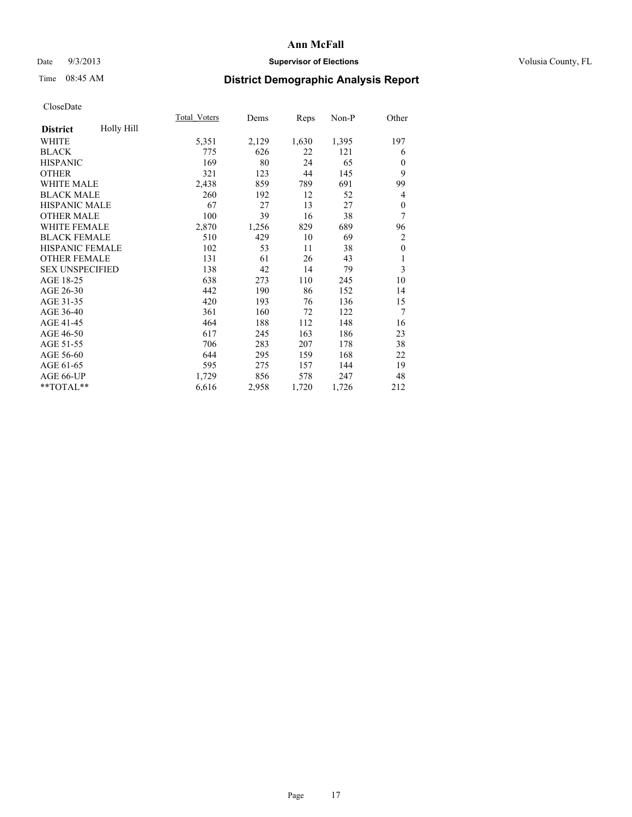### Date  $9/3/2013$  **Supervisor of Elections Supervisor of Elections** Volusia County, FL

# Time 08:45 AM **District Demographic Analysis Report**

|                        |            | Total Voters | Dems  | Reps  | Non-P | Other            |
|------------------------|------------|--------------|-------|-------|-------|------------------|
| <b>District</b>        | Holly Hill |              |       |       |       |                  |
| WHITE                  |            | 5,351        | 2,129 | 1,630 | 1,395 | 197              |
| <b>BLACK</b>           |            | 775          | 626   | 22    | 121   | 6                |
| <b>HISPANIC</b>        |            | 169          | 80    | 24    | 65    | $\Omega$         |
| <b>OTHER</b>           |            | 321          | 123   | 44    | 145   | 9                |
| <b>WHITE MALE</b>      |            | 2,438        | 859   | 789   | 691   | 99               |
| <b>BLACK MALE</b>      |            | 260          | 192   | 12    | 52    | 4                |
| HISPANIC MALE          |            | 67           | 27    | 13    | 27    | $\boldsymbol{0}$ |
| <b>OTHER MALE</b>      |            | 100          | 39    | 16    | 38    | 7                |
| <b>WHITE FEMALE</b>    |            | 2,870        | 1,256 | 829   | 689   | 96               |
| <b>BLACK FEMALE</b>    |            | 510          | 429   | 10    | 69    | $\overline{c}$   |
| <b>HISPANIC FEMALE</b> |            | 102          | 53    | 11    | 38    | $\mathbf{0}$     |
| <b>OTHER FEMALE</b>    |            | 131          | 61    | 26    | 43    | 1                |
| <b>SEX UNSPECIFIED</b> |            | 138          | 42    | 14    | 79    | 3                |
| AGE 18-25              |            | 638          | 273   | 110   | 245   | 10               |
| AGE 26-30              |            | 442          | 190   | 86    | 152   | 14               |
| AGE 31-35              |            | 420          | 193   | 76    | 136   | 15               |
| AGE 36-40              |            | 361          | 160   | 72    | 122   | 7                |
| AGE 41-45              |            | 464          | 188   | 112   | 148   | 16               |
| AGE 46-50              |            | 617          | 245   | 163   | 186   | 23               |
| AGE 51-55              |            | 706          | 283   | 207   | 178   | 38               |
| AGE 56-60              |            | 644          | 295   | 159   | 168   | 22               |
| AGE 61-65              |            | 595          | 275   | 157   | 144   | 19               |
| AGE 66-UP              |            | 1,729        | 856   | 578   | 247   | 48               |
| **TOTAL**              |            | 6,616        | 2,958 | 1,720 | 1,726 | 212              |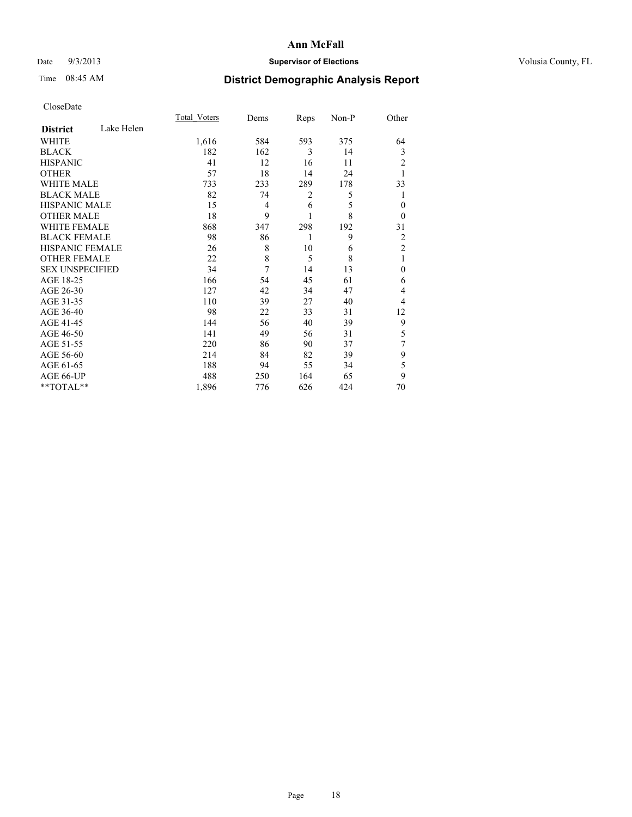### Date  $9/3/2013$  **Supervisor of Elections Supervisor of Elections** Volusia County, FL

# Time 08:45 AM **District Demographic Analysis Report**

|                        |            | Total Voters | Dems | Reps | Non-P | Other          |
|------------------------|------------|--------------|------|------|-------|----------------|
| <b>District</b>        | Lake Helen |              |      |      |       |                |
| <b>WHITE</b>           |            | 1,616        | 584  | 593  | 375   | 64             |
| <b>BLACK</b>           |            | 182          | 162  | 3    | 14    | 3              |
| <b>HISPANIC</b>        |            | 41           | 12   | 16   | 11    | 2              |
| <b>OTHER</b>           |            | 57           | 18   | 14   | 24    |                |
| WHITE MALE             |            | 733          | 233  | 289  | 178   | 33             |
| <b>BLACK MALE</b>      |            | 82           | 74   | 2    | 5     | 1              |
| <b>HISPANIC MALE</b>   |            | 15           | 4    | 6    | 5     | $\overline{0}$ |
| <b>OTHER MALE</b>      |            | 18           | 9    | 1    | 8     | $\theta$       |
| WHITE FEMALE           |            | 868          | 347  | 298  | 192   | 31             |
| <b>BLACK FEMALE</b>    |            | 98           | 86   | 1    | 9     | $\overline{2}$ |
| <b>HISPANIC FEMALE</b> |            | 26           | 8    | 10   | 6     | $\overline{2}$ |
| <b>OTHER FEMALE</b>    |            | 22           | 8    | 5    | 8     | 1              |
| <b>SEX UNSPECIFIED</b> |            | 34           | 7    | 14   | 13    | $\theta$       |
| AGE 18-25              |            | 166          | 54   | 45   | 61    | 6              |
| AGE 26-30              |            | 127          | 42   | 34   | 47    | 4              |
| AGE 31-35              |            | 110          | 39   | 27   | 40    | 4              |
| AGE 36-40              |            | 98           | 22   | 33   | 31    | 12             |
| AGE 41-45              |            | 144          | 56   | 40   | 39    | 9              |
| AGE 46-50              |            | 141          | 49   | 56   | 31    | 5              |
| AGE 51-55              |            | 220          | 86   | 90   | 37    | 7              |
| AGE 56-60              |            | 214          | 84   | 82   | 39    | 9              |
| AGE 61-65              |            | 188          | 94   | 55   | 34    | 5              |
| AGE 66-UP              |            | 488          | 250  | 164  | 65    | 9              |
| **TOTAL**              |            | 1,896        | 776  | 626  | 424   | 70             |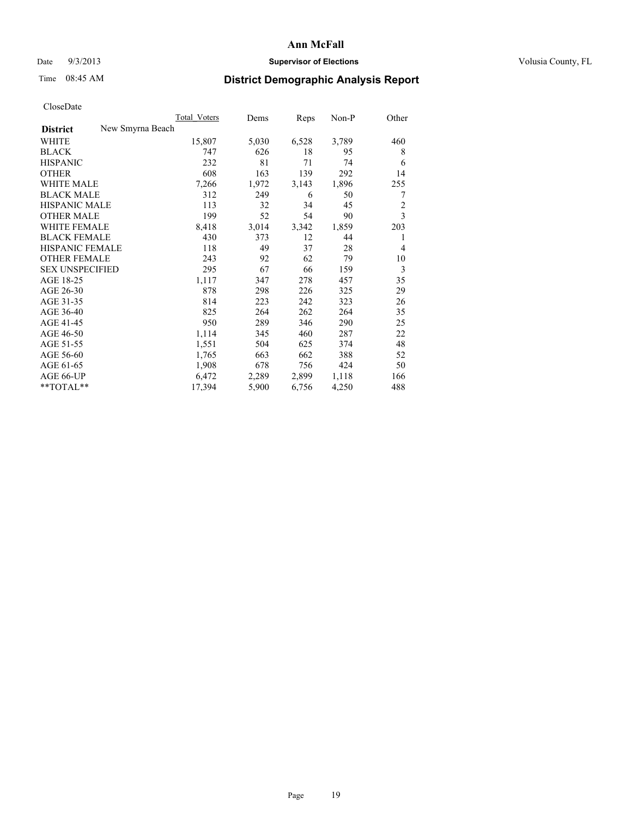### Date  $9/3/2013$  **Supervisor of Elections Supervisor of Elections** Volusia County, FL

# Time 08:45 AM **District Demographic Analysis Report**

|                                     | Total Voters | Dems  | Reps  | Non-P | Other          |
|-------------------------------------|--------------|-------|-------|-------|----------------|
| New Smyrna Beach<br><b>District</b> |              |       |       |       |                |
| WHITE                               | 15,807       | 5,030 | 6,528 | 3,789 | 460            |
| <b>BLACK</b>                        | 747          | 626   | 18    | 95    | 8              |
| <b>HISPANIC</b>                     | 232          | 81    | 71    | 74    | 6              |
| <b>OTHER</b>                        | 608          | 163   | 139   | 292   | 14             |
| <b>WHITE MALE</b>                   | 7,266        | 1,972 | 3,143 | 1,896 | 255            |
| <b>BLACK MALE</b>                   | 312          | 249   | 6     | 50    | 7              |
| <b>HISPANIC MALE</b>                | 113          | 32    | 34    | 45    | $\overline{c}$ |
| <b>OTHER MALE</b>                   | 199          | 52    | 54    | 90    | 3              |
| <b>WHITE FEMALE</b>                 | 8,418        | 3,014 | 3,342 | 1,859 | 203            |
| <b>BLACK FEMALE</b>                 | 430          | 373   | 12    | 44    | 1              |
| <b>HISPANIC FEMALE</b>              | 118          | 49    | 37    | 28    | $\overline{4}$ |
| <b>OTHER FEMALE</b>                 | 243          | 92    | 62    | 79    | 10             |
| <b>SEX UNSPECIFIED</b>              | 295          | 67    | 66    | 159   | 3              |
| AGE 18-25                           | 1,117        | 347   | 278   | 457   | 35             |
| AGE 26-30                           | 878          | 298   | 226   | 325   | 29             |
| AGE 31-35                           | 814          | 223   | 242   | 323   | 26             |
| AGE 36-40                           | 825          | 264   | 262   | 264   | 35             |
| AGE 41-45                           | 950          | 289   | 346   | 290   | 25             |
| AGE 46-50                           | 1,114        | 345   | 460   | 287   | 22             |
| AGE 51-55                           | 1,551        | 504   | 625   | 374   | 48             |
| AGE 56-60                           | 1,765        | 663   | 662   | 388   | 52             |
| AGE 61-65                           | 1,908        | 678   | 756   | 424   | 50             |
| AGE 66-UP                           | 6,472        | 2,289 | 2,899 | 1,118 | 166            |
| **TOTAL**                           | 17,394       | 5,900 | 6,756 | 4,250 | 488            |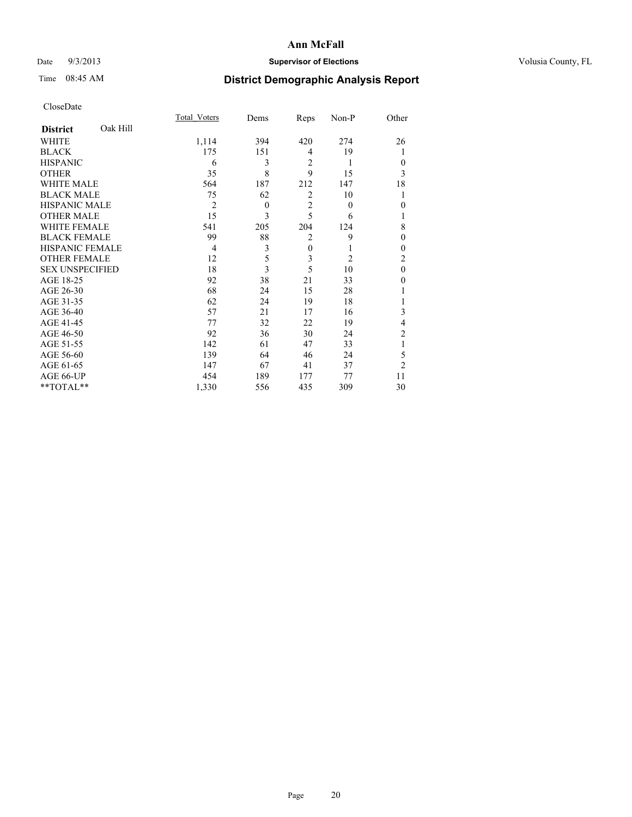## Date  $9/3/2013$  **Supervisor of Elections Supervisor of Elections** Volusia County, FL

# Time 08:45 AM **District Demographic Analysis Report**

|                        |          | Total Voters   | Dems         | Reps           | Non-P          | Other          |
|------------------------|----------|----------------|--------------|----------------|----------------|----------------|
| <b>District</b>        | Oak Hill |                |              |                |                |                |
| <b>WHITE</b>           |          | 1,114          | 394          | 420            | 274            | 26             |
| <b>BLACK</b>           |          | 175            | 151          | 4              | 19             | 1              |
| <b>HISPANIC</b>        |          | 6              | 3            | $\overline{2}$ | 1              | $\Omega$       |
| <b>OTHER</b>           |          | 35             | 8            | 9              | 15             | 3              |
| <b>WHITE MALE</b>      |          | 564            | 187          | 212            | 147            | 18             |
| <b>BLACK MALE</b>      |          | 75             | 62           | $\overline{2}$ | 10             | 1              |
| <b>HISPANIC MALE</b>   |          | $\overline{2}$ | $\mathbf{0}$ | $\overline{2}$ | $\theta$       | $\theta$       |
| <b>OTHER MALE</b>      |          | 15             | 3            | 5              | 6              | 1              |
| WHITE FEMALE           |          | 541            | 205          | 204            | 124            | 8              |
| <b>BLACK FEMALE</b>    |          | 99             | 88           | $\overline{2}$ | 9              | $\theta$       |
| <b>HISPANIC FEMALE</b> |          | 4              | 3            | $\mathbf{0}$   | 1              | $\Omega$       |
| <b>OTHER FEMALE</b>    |          | 12             | 5            | 3              | $\overline{2}$ | $\overline{c}$ |
| <b>SEX UNSPECIFIED</b> |          | 18             | 3            | 5              | 10             | $\theta$       |
| AGE 18-25              |          | 92             | 38           | 21             | 33             | $\Omega$       |
| AGE 26-30              |          | 68             | 24           | 15             | 28             |                |
| AGE 31-35              |          | 62             | 24           | 19             | 18             |                |
| AGE 36-40              |          | 57             | 21           | 17             | 16             | 3              |
| AGE 41-45              |          | 77             | 32           | 22             | 19             | 4              |
| AGE 46-50              |          | 92             | 36           | 30             | 24             | 2              |
| AGE 51-55              |          | 142            | 61           | 47             | 33             | 1              |
| AGE 56-60              |          | 139            | 64           | 46             | 24             | 5              |
| AGE 61-65              |          | 147            | 67           | 41             | 37             | $\overline{2}$ |
| AGE 66-UP              |          | 454            | 189          | 177            | 77             | 11             |
| **TOTAL**              |          | 1,330          | 556          | 435            | 309            | 30             |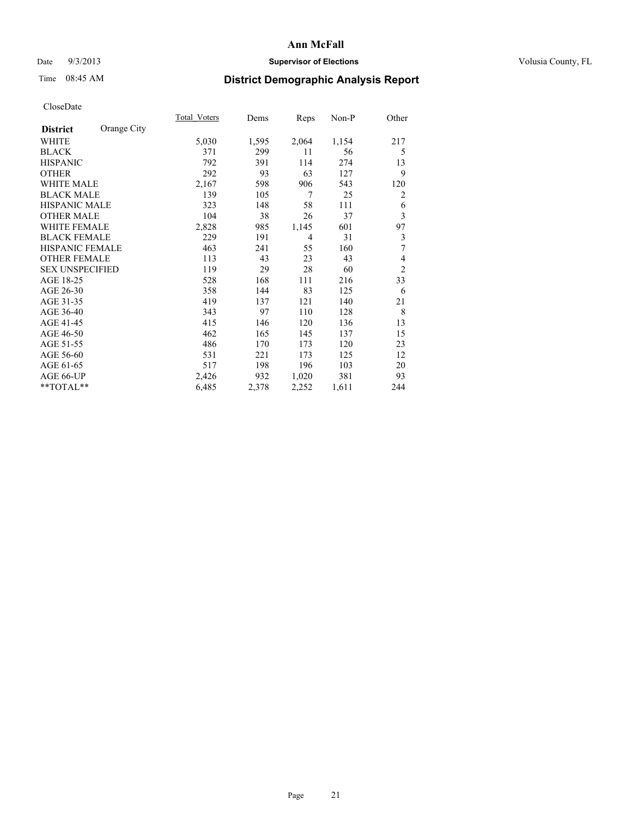## Date  $9/3/2013$  **Supervisor of Elections Supervisor of Elections** Volusia County, FL

# Time 08:45 AM **District Demographic Analysis Report**

|                        |             | Total Voters | Dems  | Reps           | Non-P | Other          |
|------------------------|-------------|--------------|-------|----------------|-------|----------------|
| <b>District</b>        | Orange City |              |       |                |       |                |
| WHITE                  |             | 5,030        | 1,595 | 2,064          | 1,154 | 217            |
| <b>BLACK</b>           |             | 371          | 299   | 11             | 56    | 5              |
| <b>HISPANIC</b>        |             | 792          | 391   | 114            | 274   | 13             |
| <b>OTHER</b>           |             | 292          | 93    | 63             | 127   | 9              |
| <b>WHITE MALE</b>      |             | 2,167        | 598   | 906            | 543   | 120            |
| <b>BLACK MALE</b>      |             | 139          | 105   | 7              | 25    | 2              |
| <b>HISPANIC MALE</b>   |             | 323          | 148   | 58             | 111   | 6              |
| <b>OTHER MALE</b>      |             | 104          | 38    | 26             | 37    | 3              |
| <b>WHITE FEMALE</b>    |             | 2,828        | 985   | 1,145          | 601   | 97             |
| <b>BLACK FEMALE</b>    |             | 229          | 191   | $\overline{4}$ | 31    | 3              |
| <b>HISPANIC FEMALE</b> |             | 463          | 241   | 55             | 160   | 7              |
| <b>OTHER FEMALE</b>    |             | 113          | 43    | 23             | 43    | 4              |
| <b>SEX UNSPECIFIED</b> |             | 119          | 29    | 28             | 60    | $\overline{c}$ |
| AGE 18-25              |             | 528          | 168   | 111            | 216   | 33             |
| AGE 26-30              |             | 358          | 144   | 83             | 125   | 6              |
| AGE 31-35              |             | 419          | 137   | 121            | 140   | 21             |
| AGE 36-40              |             | 343          | 97    | 110            | 128   | 8              |
| AGE 41-45              |             | 415          | 146   | 120            | 136   | 13             |
| AGE 46-50              |             | 462          | 165   | 145            | 137   | 15             |
| AGE 51-55              |             | 486          | 170   | 173            | 120   | 23             |
| AGE 56-60              |             | 531          | 221   | 173            | 125   | 12             |
| AGE 61-65              |             | 517          | 198   | 196            | 103   | 20             |
| AGE 66-UP              |             | 2,426        | 932   | 1,020          | 381   | 93             |
| **TOTAL**              |             | 6,485        | 2,378 | 2,252          | 1,611 | 244            |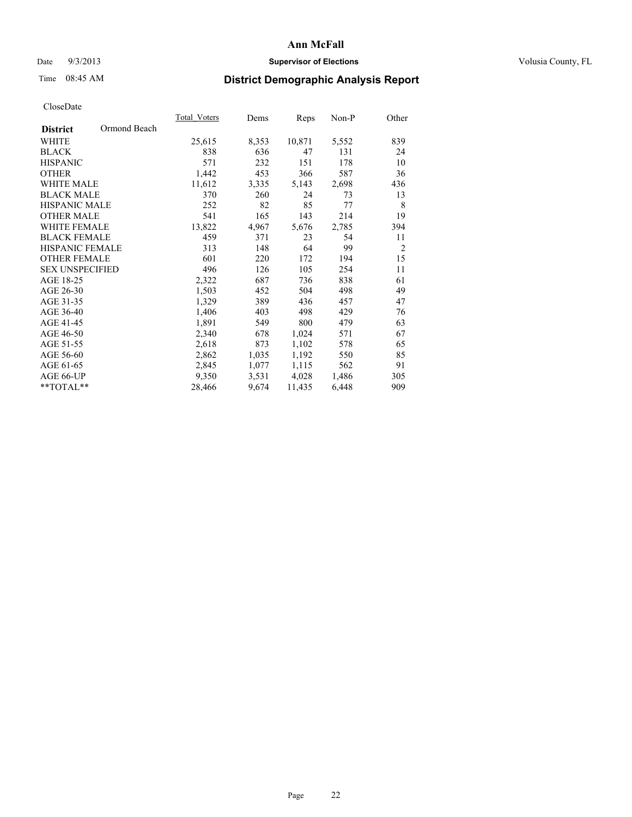## Date  $9/3/2013$  **Supervisor of Elections Supervisor of Elections** Volusia County, FL

## Time 08:45 AM **District Demographic Analysis Report**

|                        |              | <b>Total Voters</b> | Dems  | Reps   | Non-P | Other          |
|------------------------|--------------|---------------------|-------|--------|-------|----------------|
| <b>District</b>        | Ormond Beach |                     |       |        |       |                |
| WHITE                  |              | 25,615              | 8,353 | 10,871 | 5,552 | 839            |
| <b>BLACK</b>           |              | 838                 | 636   | 47     | 131   | 24             |
| <b>HISPANIC</b>        |              | 571                 | 232   | 151    | 178   | 10             |
| <b>OTHER</b>           |              | 1,442               | 453   | 366    | 587   | 36             |
| WHITE MALE             |              | 11,612              | 3,335 | 5,143  | 2,698 | 436            |
| <b>BLACK MALE</b>      |              | 370                 | 260   | 24     | 73    | 13             |
| <b>HISPANIC MALE</b>   |              | 252                 | 82    | 85     | 77    | 8              |
| <b>OTHER MALE</b>      |              | 541                 | 165   | 143    | 214   | 19             |
| <b>WHITE FEMALE</b>    |              | 13,822              | 4,967 | 5,676  | 2,785 | 394            |
| <b>BLACK FEMALE</b>    |              | 459                 | 371   | 23     | 54    | 11             |
| HISPANIC FEMALE        |              | 313                 | 148   | 64     | 99    | $\overline{c}$ |
| <b>OTHER FEMALE</b>    |              | 601                 | 220   | 172    | 194   | 15             |
| <b>SEX UNSPECIFIED</b> |              | 496                 | 126   | 105    | 254   | 11             |
| AGE 18-25              |              | 2,322               | 687   | 736    | 838   | 61             |
| AGE 26-30              |              | 1,503               | 452   | 504    | 498   | 49             |
| AGE 31-35              |              | 1,329               | 389   | 436    | 457   | 47             |
| AGE 36-40              |              | 1,406               | 403   | 498    | 429   | 76             |
| AGE 41-45              |              | 1,891               | 549   | 800    | 479   | 63             |
| AGE 46-50              |              | 2,340               | 678   | 1,024  | 571   | 67             |
| AGE 51-55              |              | 2,618               | 873   | 1,102  | 578   | 65             |
| AGE 56-60              |              | 2,862               | 1,035 | 1,192  | 550   | 85             |
| AGE 61-65              |              | 2,845               | 1,077 | 1,115  | 562   | 91             |
| AGE 66-UP              |              | 9,350               | 3,531 | 4,028  | 1,486 | 305            |
| **TOTAL**              |              | 28,466              | 9,674 | 11,435 | 6,448 | 909            |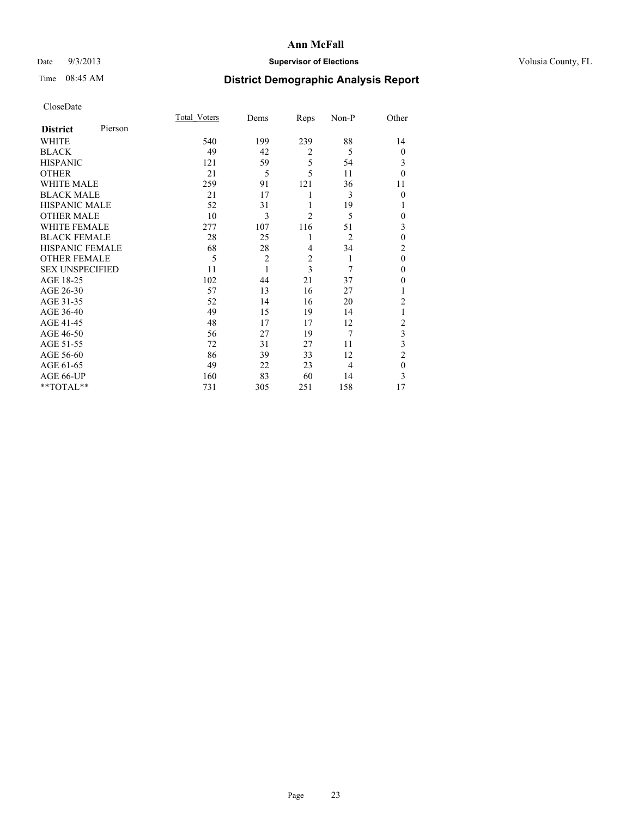## Date  $9/3/2013$  **Supervisor of Elections Supervisor of Elections** Volusia County, FL

# Time 08:45 AM **District Demographic Analysis Report**

|                        |         | <b>Total Voters</b> | Dems           | Reps           | Non-P          | Other          |
|------------------------|---------|---------------------|----------------|----------------|----------------|----------------|
| <b>District</b>        | Pierson |                     |                |                |                |                |
| WHITE                  |         | 540                 | 199            | 239            | 88             | 14             |
| <b>BLACK</b>           |         | 49                  | 42             | $\overline{2}$ | 5              | $\theta$       |
| <b>HISPANIC</b>        |         | 121                 | 59             | 5              | 54             | 3              |
| <b>OTHER</b>           |         | 21                  | 5              | 5              | 11             | $\theta$       |
| WHITE MALE             |         | 259                 | 91             | 121            | 36             | 11             |
| <b>BLACK MALE</b>      |         | 21                  | 17             | 1              | 3              | $\theta$       |
| <b>HISPANIC MALE</b>   |         | 52                  | 31             | 1              | 19             | 1              |
| <b>OTHER MALE</b>      |         | 10                  | 3              | $\overline{2}$ | 5              | 0              |
| <b>WHITE FEMALE</b>    |         | 277                 | 107            | 116            | 51             | 3              |
| <b>BLACK FEMALE</b>    |         | 28                  | 25             | 1              | $\overline{2}$ | $\mathbf{0}$   |
| <b>HISPANIC FEMALE</b> |         | 68                  | 28             | 4              | 34             | $\overline{c}$ |
| <b>OTHER FEMALE</b>    |         | 5                   | $\overline{c}$ | $\overline{c}$ | 1              | $\theta$       |
| <b>SEX UNSPECIFIED</b> |         | 11                  | 1              | 3              | 7              | $\mathbf{0}$   |
| AGE 18-25              |         | 102                 | 44             | 21             | 37             | $\theta$       |
| AGE 26-30              |         | 57                  | 13             | 16             | 27             | 1              |
| AGE 31-35              |         | 52                  | 14             | 16             | 20             | $\overline{c}$ |
| AGE 36-40              |         | 49                  | 15             | 19             | 14             | 1              |
| AGE 41-45              |         | 48                  | 17             | 17             | 12             | $\overline{c}$ |
| AGE 46-50              |         | 56                  | 27             | 19             | $\overline{7}$ | 3              |
| AGE 51-55              |         | 72                  | 31             | 27             | 11             | 3              |
| AGE 56-60              |         | 86                  | 39             | 33             | 12             | $\overline{c}$ |
| AGE 61-65              |         | 49                  | 22             | 23             | 4              | $\mathbf{0}$   |
| AGE 66-UP              |         | 160                 | 83             | 60             | 14             | 3              |
| **TOTAL**              |         | 731                 | 305            | 251            | 158            | 17             |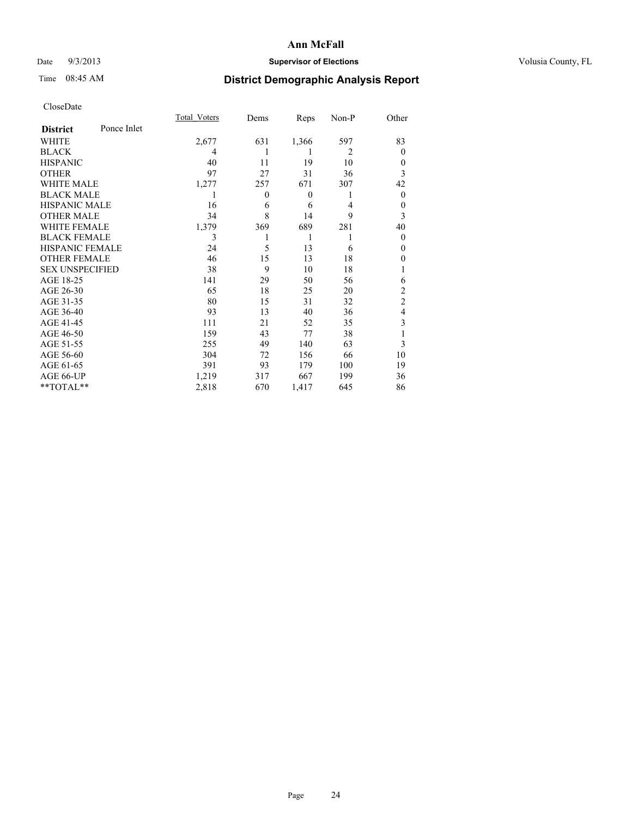## Date  $9/3/2013$  **Supervisor of Elections Supervisor of Elections** Volusia County, FL

# Time 08:45 AM **District Demographic Analysis Report**

|                        |             | Total Voters | Dems         | Reps             | Non-P          | Other          |
|------------------------|-------------|--------------|--------------|------------------|----------------|----------------|
| <b>District</b>        | Ponce Inlet |              |              |                  |                |                |
| WHITE                  |             | 2,677        | 631          | 1,366            | 597            | 83             |
| <b>BLACK</b>           |             | 4            | 1            | 1                | $\overline{2}$ | $\theta$       |
| <b>HISPANIC</b>        |             | 40           | 11           | 19               | 10             | $\theta$       |
| <b>OTHER</b>           |             | 97           | 27           | 31               | 36             | 3              |
| WHITE MALE             |             | 1,277        | 257          | 671              | 307            | 42             |
| <b>BLACK MALE</b>      |             | 1            | $\mathbf{0}$ | $\boldsymbol{0}$ | 1              | $\overline{0}$ |
| <b>HISPANIC MALE</b>   |             | 16           | 6            | 6                | 4              | $\theta$       |
| <b>OTHER MALE</b>      |             | 34           | 8            | 14               | 9              | 3              |
| <b>WHITE FEMALE</b>    |             | 1,379        | 369          | 689              | 281            | 40             |
| <b>BLACK FEMALE</b>    |             | 3            |              | 1                | 1              | $\theta$       |
| <b>HISPANIC FEMALE</b> |             | 24           | 5            | 13               | 6              | $\theta$       |
| <b>OTHER FEMALE</b>    |             | 46           | 15           | 13               | 18             | 0              |
| <b>SEX UNSPECIFIED</b> |             | 38           | 9            | 10               | 18             |                |
| AGE 18-25              |             | 141          | 29           | 50               | 56             | 6              |
| AGE 26-30              |             | 65           | 18           | 25               | 20             | $\overline{c}$ |
| AGE 31-35              |             | 80           | 15           | 31               | 32             | $\overline{c}$ |
| AGE 36-40              |             | 93           | 13           | 40               | 36             | 4              |
| AGE 41-45              |             | 111          | 21           | 52               | 35             | 3              |
| AGE 46-50              |             | 159          | 43           | 77               | 38             |                |
| AGE 51-55              |             | 255          | 49           | 140              | 63             | 3              |
| AGE 56-60              |             | 304          | 72           | 156              | 66             | 10             |
| AGE 61-65              |             | 391          | 93           | 179              | 100            | 19             |
| AGE 66-UP              |             | 1,219        | 317          | 667              | 199            | 36             |
| **TOTAL**              |             | 2,818        | 670          | 1,417            | 645            | 86             |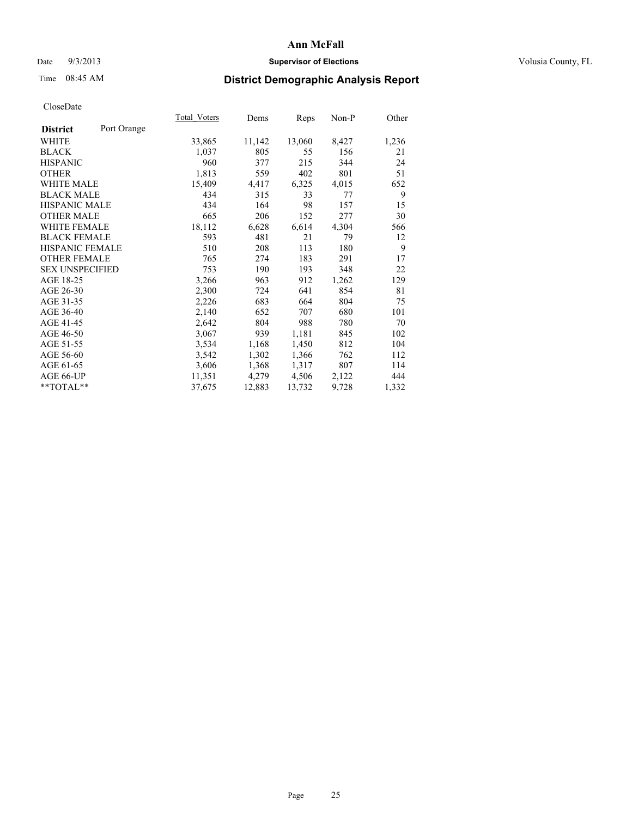### Date  $9/3/2013$  **Supervisor of Elections Supervisor of Elections** Volusia County, FL

# Time 08:45 AM **District Demographic Analysis Report**

|                        |             | <b>Total Voters</b> | Dems   | Reps   | Non-P | Other |
|------------------------|-------------|---------------------|--------|--------|-------|-------|
| <b>District</b>        | Port Orange |                     |        |        |       |       |
| WHITE                  |             | 33,865              | 11,142 | 13,060 | 8,427 | 1,236 |
| <b>BLACK</b>           |             | 1,037               | 805    | 55     | 156   | 21    |
| <b>HISPANIC</b>        |             | 960                 | 377    | 215    | 344   | 24    |
| <b>OTHER</b>           |             | 1,813               | 559    | 402    | 801   | 51    |
| WHITE MALE             |             | 15,409              | 4,417  | 6,325  | 4,015 | 652   |
| <b>BLACK MALE</b>      |             | 434                 | 315    | 33     | 77    | 9     |
| <b>HISPANIC MALE</b>   |             | 434                 | 164    | 98     | 157   | 15    |
| <b>OTHER MALE</b>      |             | 665                 | 206    | 152    | 277   | 30    |
| <b>WHITE FEMALE</b>    |             | 18,112              | 6,628  | 6,614  | 4,304 | 566   |
| <b>BLACK FEMALE</b>    |             | 593                 | 481    | 21     | 79    | 12    |
| HISPANIC FEMALE        |             | 510                 | 208    | 113    | 180   | 9     |
| <b>OTHER FEMALE</b>    |             | 765                 | 274    | 183    | 291   | 17    |
| <b>SEX UNSPECIFIED</b> |             | 753                 | 190    | 193    | 348   | 22    |
| AGE 18-25              |             | 3,266               | 963    | 912    | 1,262 | 129   |
| AGE 26-30              |             | 2,300               | 724    | 641    | 854   | 81    |
| AGE 31-35              |             | 2,226               | 683    | 664    | 804   | 75    |
| AGE 36-40              |             | 2,140               | 652    | 707    | 680   | 101   |
| AGE 41-45              |             | 2,642               | 804    | 988    | 780   | 70    |
| AGE 46-50              |             | 3,067               | 939    | 1,181  | 845   | 102   |
| AGE 51-55              |             | 3,534               | 1,168  | 1,450  | 812   | 104   |
| AGE 56-60              |             | 3,542               | 1,302  | 1,366  | 762   | 112   |
| AGE 61-65              |             | 3,606               | 1,368  | 1,317  | 807   | 114   |
| AGE 66-UP              |             | 11,351              | 4,279  | 4,506  | 2,122 | 444   |
| $*$ TOTAL $*$          |             | 37,675              | 12,883 | 13,732 | 9,728 | 1,332 |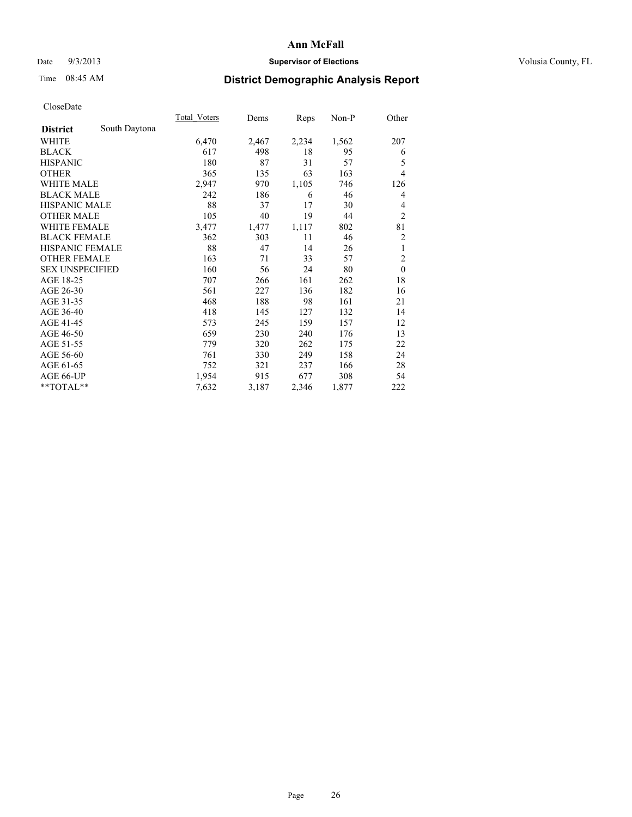## Date  $9/3/2013$  **Supervisor of Elections Supervisor of Elections** Volusia County, FL

# Time 08:45 AM **District Demographic Analysis Report**

|                        |               | <b>Total Voters</b> | Dems  | Reps  | Non-P | Other          |
|------------------------|---------------|---------------------|-------|-------|-------|----------------|
| <b>District</b>        | South Daytona |                     |       |       |       |                |
| WHITE                  |               | 6,470               | 2,467 | 2,234 | 1,562 | 207            |
| <b>BLACK</b>           |               | 617                 | 498   | 18    | 95    | 6              |
| <b>HISPANIC</b>        |               | 180                 | 87    | 31    | 57    | 5              |
| <b>OTHER</b>           |               | 365                 | 135   | 63    | 163   | $\overline{4}$ |
| WHITE MALE             |               | 2,947               | 970   | 1,105 | 746   | 126            |
| <b>BLACK MALE</b>      |               | 242                 | 186   | 6     | 46    | 4              |
| <b>HISPANIC MALE</b>   |               | 88                  | 37    | 17    | 30    | 4              |
| <b>OTHER MALE</b>      |               | 105                 | 40    | 19    | 44    | $\overline{2}$ |
| <b>WHITE FEMALE</b>    |               | 3,477               | 1,477 | 1,117 | 802   | 81             |
| <b>BLACK FEMALE</b>    |               | 362                 | 303   | 11    | 46    | 2              |
| <b>HISPANIC FEMALE</b> |               | 88                  | 47    | 14    | 26    | 1              |
| <b>OTHER FEMALE</b>    |               | 163                 | 71    | 33    | 57    | $\overline{2}$ |
| <b>SEX UNSPECIFIED</b> |               | 160                 | 56    | 24    | 80    | $\mathbf{0}$   |
| AGE 18-25              |               | 707                 | 266   | 161   | 262   | 18             |
| AGE 26-30              |               | 561                 | 227   | 136   | 182   | 16             |
| AGE 31-35              |               | 468                 | 188   | 98    | 161   | 21             |
| AGE 36-40              |               | 418                 | 145   | 127   | 132   | 14             |
| AGE 41-45              |               | 573                 | 245   | 159   | 157   | 12             |
| AGE 46-50              |               | 659                 | 230   | 240   | 176   | 13             |
| AGE 51-55              |               | 779                 | 320   | 262   | 175   | 22             |
| AGE 56-60              |               | 761                 | 330   | 249   | 158   | 24             |
| AGE 61-65              |               | 752                 | 321   | 237   | 166   | 28             |
| AGE 66-UP              |               | 1,954               | 915   | 677   | 308   | 54             |
| **TOTAL**              |               | 7,632               | 3,187 | 2,346 | 1,877 | 222            |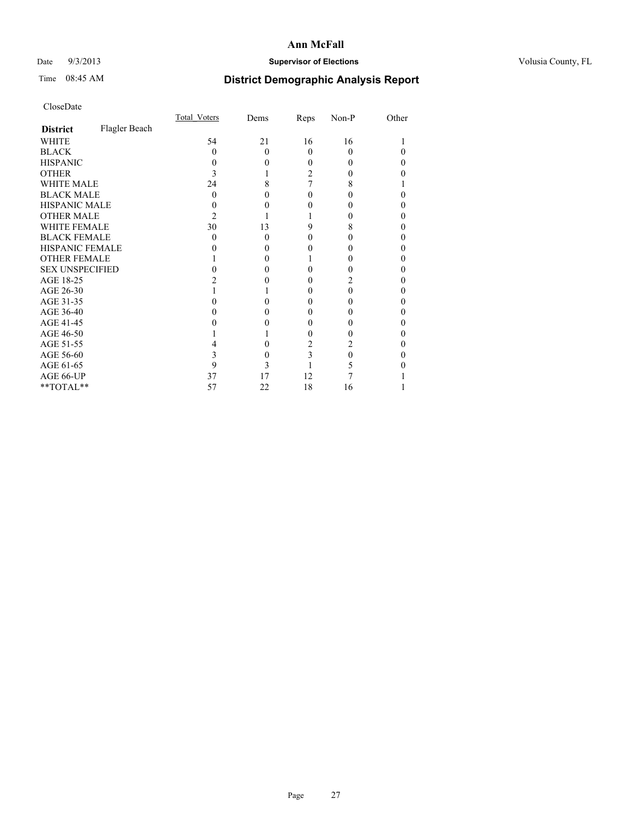## Date  $9/3/2013$  **Supervisor of Elections Supervisor of Elections** Volusia County, FL

# Time 08:45 AM **District Demographic Analysis Report**

|                        |               | <b>Total Voters</b> | Dems     | Reps     | Non-P | Other |
|------------------------|---------------|---------------------|----------|----------|-------|-------|
| <b>District</b>        | Flagler Beach |                     |          |          |       |       |
| <b>WHITE</b>           |               | 54                  | 21       | 16       | 16    |       |
| <b>BLACK</b>           |               | 0                   | $\Omega$ | $\Omega$ | 0     | 0     |
| <b>HISPANIC</b>        |               |                     | 0        | 0        | 0     | 0     |
| <b>OTHER</b>           |               |                     |          | 2        |       | 0     |
| WHITE MALE             |               | 24                  | 8        |          | 8     |       |
| <b>BLACK MALE</b>      |               | 0                   | 0        | 0        |       | 0     |
| <b>HISPANIC MALE</b>   |               |                     |          |          |       | 0     |
| <b>OTHER MALE</b>      |               | 2                   |          |          |       | 0     |
| <b>WHITE FEMALE</b>    |               | 30                  | 13       | 9        | 8     | 0     |
| <b>BLACK FEMALE</b>    |               | 0                   | $\Omega$ | 0        | 0     | 0     |
| <b>HISPANIC FEMALE</b> |               |                     | 0        |          |       | 0     |
| <b>OTHER FEMALE</b>    |               |                     | 0        |          |       | 0     |
| <b>SEX UNSPECIFIED</b> |               |                     | 0        |          |       | 0     |
| AGE 18-25              |               |                     |          |          | 2     | 0     |
| AGE 26-30              |               |                     |          | 0        | 0     | 0     |
| AGE 31-35              |               |                     |          |          |       | 0     |
| AGE 36-40              |               |                     | 0        | 0        |       | 0     |
| AGE 41-45              |               |                     |          |          |       | 0     |
| AGE 46-50              |               |                     |          | 0        |       | 0     |
| AGE 51-55              |               |                     |          | 2        |       | 0     |
| AGE 56-60              |               | 3                   | 0        | 3        | 0     | 0     |
| AGE 61-65              |               | 9                   | 3        |          | 5     | 0     |
| AGE 66-UP              |               | 37                  | 17       | 12       |       |       |
| **TOTAL**              |               | 57                  | 22       | 18       | 16    |       |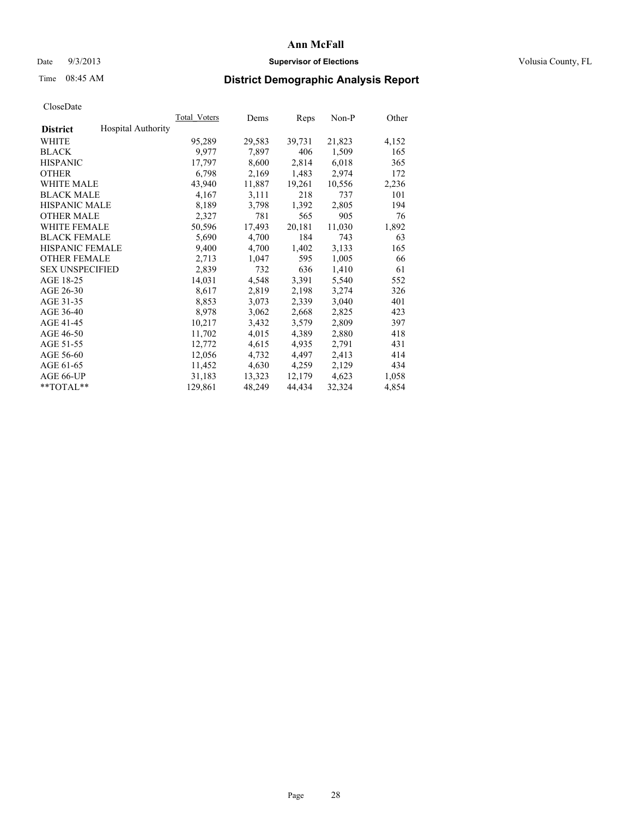### Date  $9/3/2013$  **Supervisor of Elections Supervisor of Elections** Volusia County, FL

## Time 08:45 AM **District Demographic Analysis Report**

|                        |                    | Total Voters | Dems   | <b>Reps</b> | Non-P  | Other |
|------------------------|--------------------|--------------|--------|-------------|--------|-------|
| <b>District</b>        | Hospital Authority |              |        |             |        |       |
| WHITE                  |                    | 95,289       | 29,583 | 39,731      | 21,823 | 4,152 |
| <b>BLACK</b>           |                    | 9,977        | 7,897  | 406         | 1,509  | 165   |
| <b>HISPANIC</b>        |                    | 17,797       | 8,600  | 2,814       | 6,018  | 365   |
| <b>OTHER</b>           |                    | 6,798        | 2,169  | 1,483       | 2,974  | 172   |
| <b>WHITE MALE</b>      |                    | 43,940       | 11,887 | 19,261      | 10,556 | 2,236 |
| <b>BLACK MALE</b>      |                    | 4,167        | 3,111  | 218         | 737    | 101   |
| <b>HISPANIC MALE</b>   |                    | 8,189        | 3,798  | 1,392       | 2,805  | 194   |
| <b>OTHER MALE</b>      |                    | 2,327        | 781    | 565         | 905    | 76    |
| WHITE FEMALE           |                    | 50,596       | 17,493 | 20,181      | 11,030 | 1,892 |
| <b>BLACK FEMALE</b>    |                    | 5,690        | 4,700  | 184         | 743    | 63    |
| <b>HISPANIC FEMALE</b> |                    | 9,400        | 4,700  | 1,402       | 3,133  | 165   |
| <b>OTHER FEMALE</b>    |                    | 2,713        | 1,047  | 595         | 1,005  | 66    |
| <b>SEX UNSPECIFIED</b> |                    | 2,839        | 732    | 636         | 1,410  | 61    |
| AGE 18-25              |                    | 14,031       | 4,548  | 3,391       | 5,540  | 552   |
| AGE 26-30              |                    | 8,617        | 2,819  | 2,198       | 3,274  | 326   |
| AGE 31-35              |                    | 8,853        | 3,073  | 2,339       | 3,040  | 401   |
| AGE 36-40              |                    | 8,978        | 3,062  | 2,668       | 2,825  | 423   |
| AGE 41-45              |                    | 10,217       | 3,432  | 3,579       | 2,809  | 397   |
| AGE 46-50              |                    | 11,702       | 4,015  | 4,389       | 2,880  | 418   |
| AGE 51-55              |                    | 12,772       | 4,615  | 4,935       | 2,791  | 431   |
| AGE 56-60              |                    | 12,056       | 4,732  | 4,497       | 2,413  | 414   |
| AGE 61-65              |                    | 11,452       | 4,630  | 4,259       | 2,129  | 434   |
| AGE 66-UP              |                    | 31,183       | 13,323 | 12,179      | 4,623  | 1,058 |
| $*$ TOTAL $*$          |                    | 129,861      | 48,249 | 44,434      | 32,324 | 4,854 |
|                        |                    |              |        |             |        |       |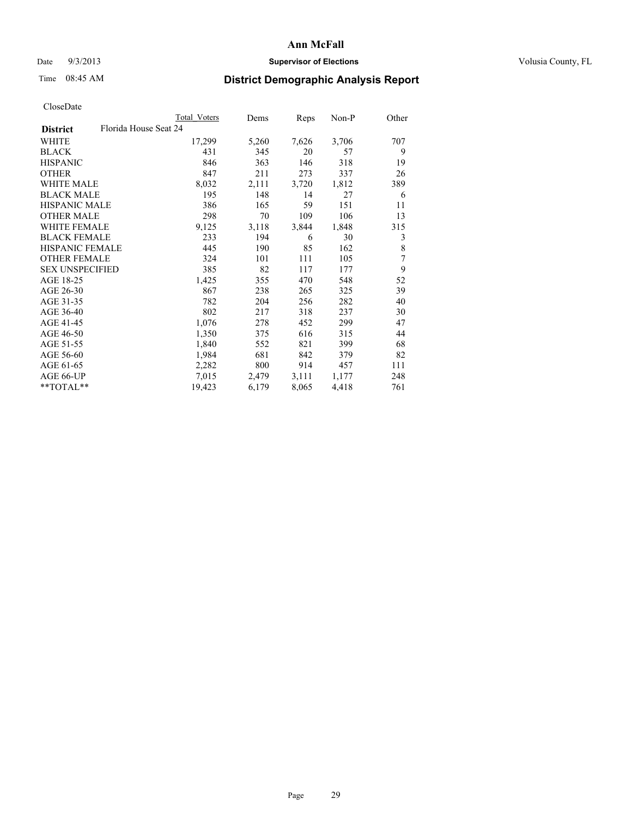## Date  $9/3/2013$  **Supervisor of Elections Supervisor of Elections** Volusia County, FL

# Time 08:45 AM **District Demographic Analysis Report**

|                                          | Total Voters | Dems  | Reps  | Non-P | Other |
|------------------------------------------|--------------|-------|-------|-------|-------|
| Florida House Seat 24<br><b>District</b> |              |       |       |       |       |
| <b>WHITE</b>                             | 17,299       | 5,260 | 7,626 | 3,706 | 707   |
| <b>BLACK</b>                             | 431          | 345   | 20    | 57    | 9     |
| <b>HISPANIC</b>                          | 846          | 363   | 146   | 318   | 19    |
| <b>OTHER</b>                             | 847          | 211   | 273   | 337   | 26    |
| <b>WHITE MALE</b>                        | 8,032        | 2,111 | 3,720 | 1,812 | 389   |
| <b>BLACK MALE</b>                        | 195          | 148   | 14    | 27    | 6     |
| <b>HISPANIC MALE</b>                     | 386          | 165   | 59    | 151   | 11    |
| <b>OTHER MALE</b>                        | 298          | 70    | 109   | 106   | 13    |
| <b>WHITE FEMALE</b>                      | 9,125        | 3,118 | 3,844 | 1,848 | 315   |
| <b>BLACK FEMALE</b>                      | 233          | 194   | 6     | 30    | 3     |
| HISPANIC FEMALE                          | 445          | 190   | 85    | 162   | 8     |
| <b>OTHER FEMALE</b>                      | 324          | 101   | 111   | 105   | 7     |
| <b>SEX UNSPECIFIED</b>                   | 385          | 82    | 117   | 177   | 9     |
| AGE 18-25                                | 1,425        | 355   | 470   | 548   | 52    |
| AGE 26-30                                | 867          | 238   | 265   | 325   | 39    |
| AGE 31-35                                | 782          | 204   | 256   | 282   | 40    |
| AGE 36-40                                | 802          | 217   | 318   | 237   | 30    |
| AGE 41-45                                | 1,076        | 278   | 452   | 299   | 47    |
| AGE 46-50                                | 1,350        | 375   | 616   | 315   | 44    |
| AGE 51-55                                | 1,840        | 552   | 821   | 399   | 68    |
| AGE 56-60                                | 1,984        | 681   | 842   | 379   | 82    |
| AGE 61-65                                | 2,282        | 800   | 914   | 457   | 111   |
| AGE 66-UP                                | 7,015        | 2,479 | 3,111 | 1,177 | 248   |
| $*$ $TOTAL**$                            | 19,423       | 6,179 | 8,065 | 4,418 | 761   |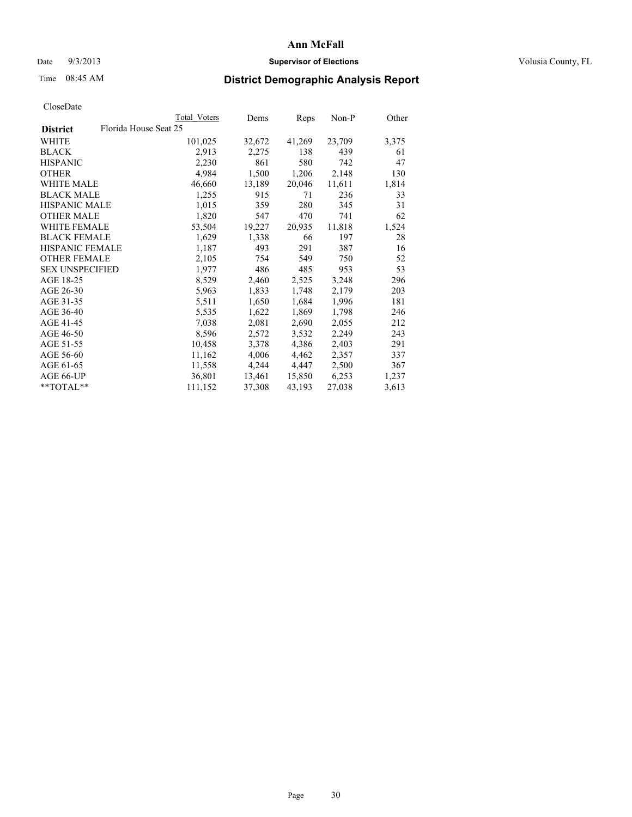### Date  $9/3/2013$  **Supervisor of Elections Supervisor of Elections** Volusia County, FL

## Time 08:45 AM **District Demographic Analysis Report**

|                                          | Total Voters | Dems   | <b>Reps</b> | Non-P  | Other |
|------------------------------------------|--------------|--------|-------------|--------|-------|
| Florida House Seat 25<br><b>District</b> |              |        |             |        |       |
| WHITE                                    | 101,025      | 32,672 | 41,269      | 23,709 | 3,375 |
| <b>BLACK</b>                             | 2,913        | 2,275  | 138         | 439    | 61    |
| <b>HISPANIC</b>                          | 2,230        | 861    | 580         | 742    | 47    |
| <b>OTHER</b>                             | 4,984        | 1,500  | 1,206       | 2,148  | 130   |
| <b>WHITE MALE</b>                        | 46,660       | 13,189 | 20,046      | 11,611 | 1,814 |
| <b>BLACK MALE</b>                        | 1,255        | 915    | 71          | 236    | 33    |
| <b>HISPANIC MALE</b>                     | 1,015        | 359    | 280         | 345    | 31    |
| <b>OTHER MALE</b>                        | 1,820        | 547    | 470         | 741    | 62    |
| <b>WHITE FEMALE</b>                      | 53,504       | 19,227 | 20,935      | 11,818 | 1,524 |
| <b>BLACK FEMALE</b>                      | 1,629        | 1,338  | 66          | 197    | 28    |
| <b>HISPANIC FEMALE</b>                   | 1,187        | 493    | 291         | 387    | 16    |
| <b>OTHER FEMALE</b>                      | 2,105        | 754    | 549         | 750    | 52    |
| <b>SEX UNSPECIFIED</b>                   | 1,977        | 486    | 485         | 953    | 53    |
| AGE 18-25                                | 8,529        | 2,460  | 2,525       | 3,248  | 296   |
| AGE 26-30                                | 5,963        | 1,833  | 1,748       | 2,179  | 203   |
| AGE 31-35                                | 5,511        | 1,650  | 1,684       | 1,996  | 181   |
| AGE 36-40                                | 5,535        | 1,622  | 1,869       | 1,798  | 246   |
| AGE 41-45                                | 7,038        | 2,081  | 2,690       | 2,055  | 212   |
| AGE 46-50                                | 8,596        | 2,572  | 3,532       | 2,249  | 243   |
| AGE 51-55                                | 10,458       | 3,378  | 4,386       | 2,403  | 291   |
| AGE 56-60                                | 11,162       | 4,006  | 4,462       | 2,357  | 337   |
| AGE 61-65                                | 11,558       | 4,244  | 4,447       | 2,500  | 367   |
| AGE 66-UP                                | 36,801       | 13,461 | 15,850      | 6,253  | 1,237 |
| $*$ TOTAL $*$                            | 111,152      | 37,308 | 43,193      | 27,038 | 3,613 |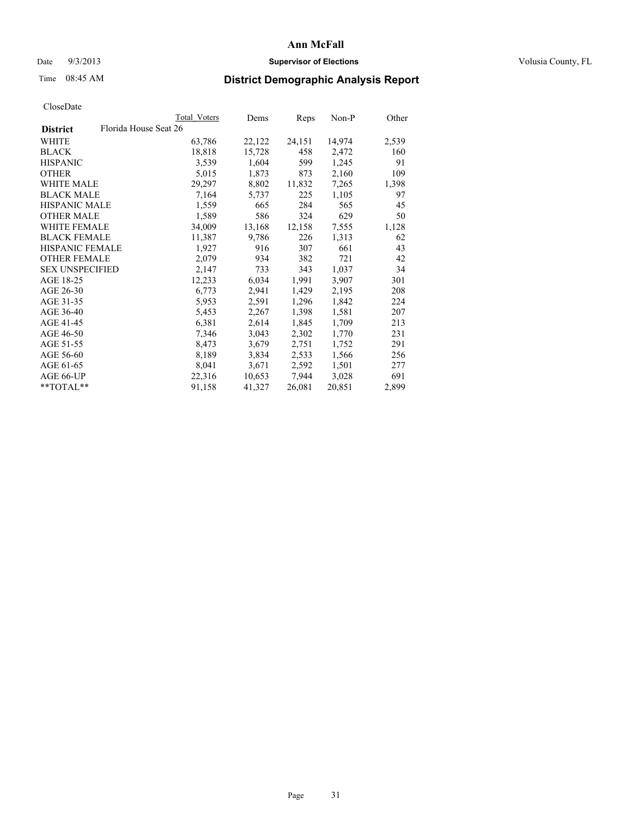### Date  $9/3/2013$  **Supervisor of Elections Supervisor of Elections** Volusia County, FL

## Time 08:45 AM **District Demographic Analysis Report**

|                                          | <b>Total Voters</b> | Dems   | Reps   | Non-P  | Other |
|------------------------------------------|---------------------|--------|--------|--------|-------|
| Florida House Seat 26<br><b>District</b> |                     |        |        |        |       |
| <b>WHITE</b>                             | 63,786              | 22,122 | 24,151 | 14,974 | 2,539 |
| <b>BLACK</b>                             | 18,818              | 15,728 | 458    | 2,472  | 160   |
| <b>HISPANIC</b>                          | 3.539               | 1,604  | 599    | 1,245  | 91    |
| <b>OTHER</b>                             | 5,015               | 1,873  | 873    | 2,160  | 109   |
| WHITE MALE                               | 29,297              | 8,802  | 11,832 | 7,265  | 1,398 |
| <b>BLACK MALE</b>                        | 7,164               | 5,737  | 225    | 1,105  | 97    |
| <b>HISPANIC MALE</b>                     | 1,559               | 665    | 284    | 565    | 45    |
| <b>OTHER MALE</b>                        | 1,589               | 586    | 324    | 629    | 50    |
| WHITE FEMALE                             | 34,009              | 13,168 | 12,158 | 7,555  | 1,128 |
| <b>BLACK FEMALE</b>                      | 11,387              | 9,786  | 226    | 1,313  | 62    |
| HISPANIC FEMALE                          | 1,927               | 916    | 307    | 661    | 43    |
| <b>OTHER FEMALE</b>                      | 2,079               | 934    | 382    | 721    | 42    |
| <b>SEX UNSPECIFIED</b>                   | 2,147               | 733    | 343    | 1,037  | 34    |
| AGE 18-25                                | 12,233              | 6,034  | 1,991  | 3,907  | 301   |
| AGE 26-30                                | 6,773               | 2,941  | 1,429  | 2,195  | 208   |
| AGE 31-35                                | 5,953               | 2,591  | 1,296  | 1,842  | 224   |
| AGE 36-40                                | 5,453               | 2,267  | 1,398  | 1,581  | 207   |
| AGE 41-45                                | 6,381               | 2,614  | 1,845  | 1,709  | 213   |
| AGE 46-50                                | 7,346               | 3,043  | 2,302  | 1,770  | 231   |
| AGE 51-55                                | 8,473               | 3,679  | 2,751  | 1,752  | 291   |
| AGE 56-60                                | 8,189               | 3,834  | 2,533  | 1,566  | 256   |
| AGE 61-65                                | 8,041               | 3,671  | 2,592  | 1,501  | 277   |
| AGE 66-UP                                | 22,316              | 10,653 | 7,944  | 3,028  | 691   |
| **TOTAL**                                | 91,158              | 41,327 | 26,081 | 20,851 | 2,899 |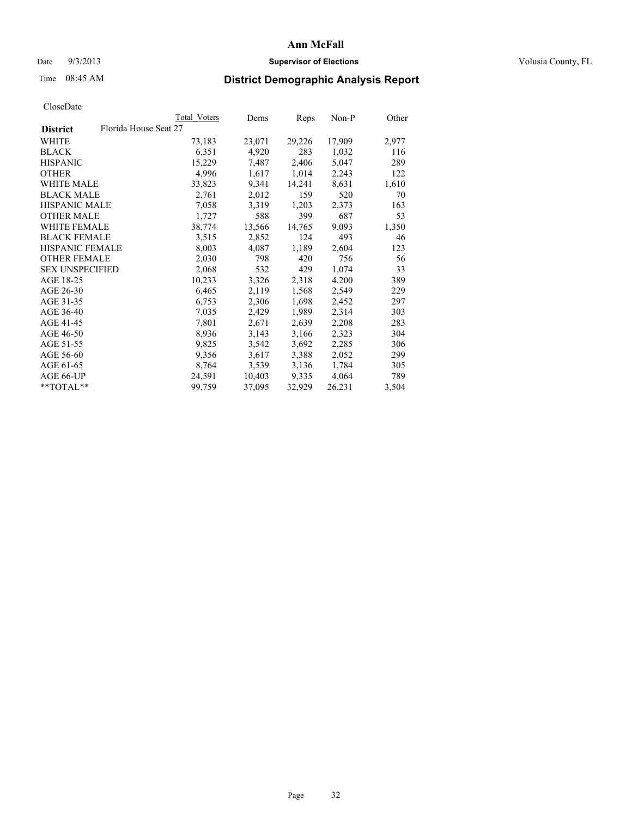### Date  $9/3/2013$  **Supervisor of Elections Supervisor of Elections** Volusia County, FL

## Time 08:45 AM **District Demographic Analysis Report**

|                                          | <b>Total Voters</b> | Dems   | Reps   | Non-P  | Other |
|------------------------------------------|---------------------|--------|--------|--------|-------|
| Florida House Seat 27<br><b>District</b> |                     |        |        |        |       |
| WHITE                                    | 73,183              | 23,071 | 29,226 | 17,909 | 2,977 |
| <b>BLACK</b>                             | 6,351               | 4,920  | 283    | 1,032  | 116   |
| <b>HISPANIC</b>                          | 15,229              | 7.487  | 2,406  | 5,047  | 289   |
| <b>OTHER</b>                             | 4,996               | 1,617  | 1,014  | 2,243  | 122   |
| WHITE MALE                               | 33,823              | 9,341  | 14,241 | 8,631  | 1,610 |
| <b>BLACK MALE</b>                        | 2,761               | 2,012  | 159    | 520    | 70    |
| <b>HISPANIC MALE</b>                     | 7,058               | 3,319  | 1,203  | 2,373  | 163   |
| <b>OTHER MALE</b>                        | 1,727               | 588    | 399    | 687    | 53    |
| <b>WHITE FEMALE</b>                      | 38,774              | 13,566 | 14,765 | 9,093  | 1,350 |
| <b>BLACK FEMALE</b>                      | 3,515               | 2,852  | 124    | 493    | 46    |
| HISPANIC FEMALE                          | 8,003               | 4,087  | 1,189  | 2,604  | 123   |
| <b>OTHER FEMALE</b>                      | 2,030               | 798    | 420    | 756    | 56    |
| <b>SEX UNSPECIFIED</b>                   | 2,068               | 532    | 429    | 1,074  | 33    |
| AGE 18-25                                | 10,233              | 3,326  | 2,318  | 4,200  | 389   |
| AGE 26-30                                | 6,465               | 2,119  | 1,568  | 2,549  | 229   |
| AGE 31-35                                | 6,753               | 2,306  | 1,698  | 2,452  | 297   |
| AGE 36-40                                | 7,035               | 2,429  | 1,989  | 2,314  | 303   |
| AGE 41-45                                | 7,801               | 2,671  | 2,639  | 2,208  | 283   |
| AGE 46-50                                | 8,936               | 3,143  | 3,166  | 2,323  | 304   |
| AGE 51-55                                | 9,825               | 3,542  | 3,692  | 2,285  | 306   |
| AGE 56-60                                | 9,356               | 3,617  | 3,388  | 2,052  | 299   |
| AGE 61-65                                | 8,764               | 3,539  | 3,136  | 1,784  | 305   |
| AGE 66-UP                                | 24,591              | 10,403 | 9,335  | 4,064  | 789   |
| $*$ $TOTAL**$                            | 99,759              | 37,095 | 32,929 | 26,231 | 3,504 |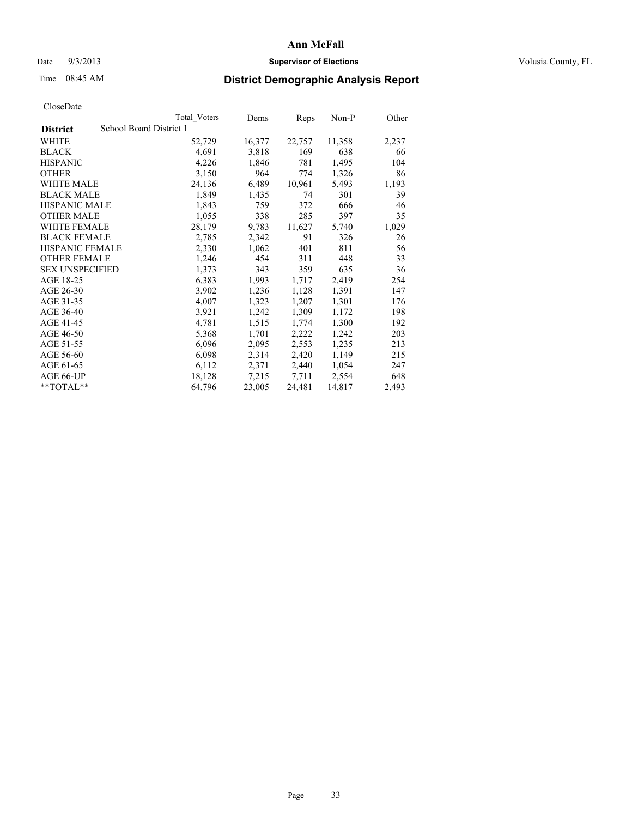## Date  $9/3/2013$  **Supervisor of Elections Supervisor of Elections** Volusia County, FL

## Time 08:45 AM **District Demographic Analysis Report**

|                        | Total Voters            | Dems   | <b>Reps</b> | Non-P  | Other |
|------------------------|-------------------------|--------|-------------|--------|-------|
| <b>District</b>        | School Board District 1 |        |             |        |       |
| WHITE                  | 52,729                  | 16,377 | 22,757      | 11,358 | 2,237 |
| <b>BLACK</b>           | 4,691                   | 3,818  | 169         | 638    | 66    |
| <b>HISPANIC</b>        | 4,226                   | 1,846  | 781         | 1,495  | 104   |
| <b>OTHER</b>           | 3,150                   | 964    | 774         | 1,326  | 86    |
| <b>WHITE MALE</b>      | 24,136                  | 6,489  | 10,961      | 5,493  | 1,193 |
| <b>BLACK MALE</b>      | 1,849                   | 1,435  | 74          | 301    | 39    |
| <b>HISPANIC MALE</b>   | 1,843                   | 759    | 372         | 666    | 46    |
| <b>OTHER MALE</b>      | 1,055                   | 338    | 285         | 397    | 35    |
| WHITE FEMALE           | 28,179                  | 9,783  | 11,627      | 5,740  | 1,029 |
| <b>BLACK FEMALE</b>    | 2,785                   | 2,342  | 91          | 326    | 26    |
| <b>HISPANIC FEMALE</b> | 2,330                   | 1,062  | 401         | 811    | 56    |
| <b>OTHER FEMALE</b>    | 1,246                   | 454    | 311         | 448    | 33    |
| <b>SEX UNSPECIFIED</b> | 1,373                   | 343    | 359         | 635    | 36    |
| AGE 18-25              | 6,383                   | 1,993  | 1,717       | 2,419  | 254   |
| AGE 26-30              | 3,902                   | 1,236  | 1,128       | 1,391  | 147   |
| AGE 31-35              | 4,007                   | 1,323  | 1,207       | 1,301  | 176   |
| AGE 36-40              | 3,921                   | 1,242  | 1,309       | 1,172  | 198   |
| AGE 41-45              | 4,781                   | 1,515  | 1,774       | 1,300  | 192   |
| AGE 46-50              | 5,368                   | 1,701  | 2,222       | 1,242  | 203   |
| AGE 51-55              | 6,096                   | 2,095  | 2,553       | 1,235  | 213   |
| AGE 56-60              | 6,098                   | 2,314  | 2,420       | 1,149  | 215   |
| AGE 61-65              | 6,112                   | 2,371  | 2,440       | 1,054  | 247   |
| AGE 66-UP              | 18,128                  | 7,215  | 7,711       | 2,554  | 648   |
| $*$ $TOTAI.**$         | 64,796                  | 23,005 | 24,481      | 14,817 | 2,493 |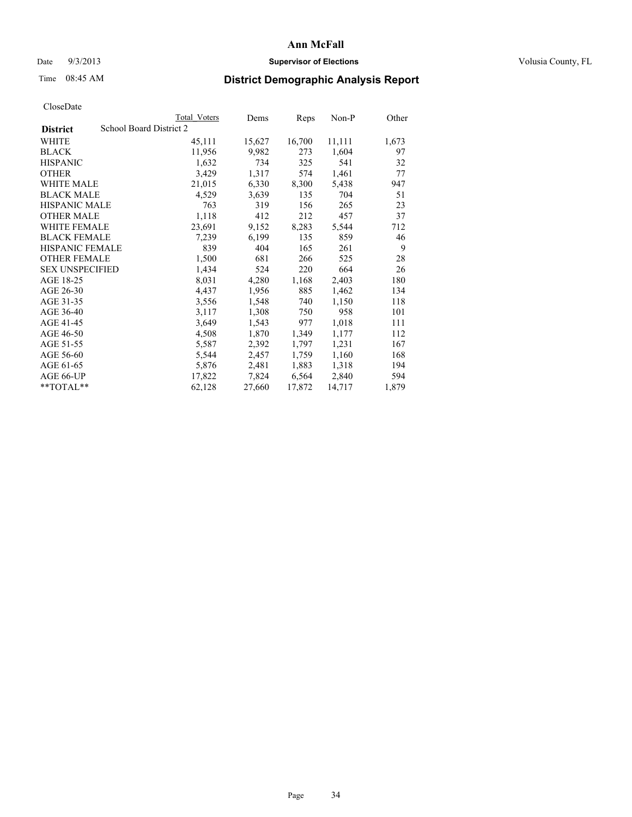### Date  $9/3/2013$  **Supervisor of Elections Supervisor of Elections** Volusia County, FL

## Time 08:45 AM **District Demographic Analysis Report**

|                        | Total Voters            | Dems   | <b>Reps</b> | $Non-P$ | Other |
|------------------------|-------------------------|--------|-------------|---------|-------|
| <b>District</b>        | School Board District 2 |        |             |         |       |
| <b>WHITE</b>           | 45,111                  | 15,627 | 16,700      | 11,111  | 1,673 |
| <b>BLACK</b>           | 11,956                  | 9,982  | 273         | 1,604   | 97    |
| <b>HISPANIC</b>        | 1,632                   | 734    | 325         | 541     | 32    |
| <b>OTHER</b>           | 3,429                   | 1,317  | 574         | 1,461   | 77    |
| <b>WHITE MALE</b>      | 21,015                  | 6,330  | 8,300       | 5,438   | 947   |
| <b>BLACK MALE</b>      | 4,529                   | 3,639  | 135         | 704     | 51    |
| <b>HISPANIC MALE</b>   | 763                     | 319    | 156         | 265     | 23    |
| <b>OTHER MALE</b>      | 1,118                   | 412    | 212         | 457     | 37    |
| WHITE FEMALE           | 23,691                  | 9,152  | 8,283       | 5,544   | 712   |
| <b>BLACK FEMALE</b>    | 7,239                   | 6,199  | 135         | 859     | 46    |
| HISPANIC FEMALE        | 839                     | 404    | 165         | 261     | 9     |
| <b>OTHER FEMALE</b>    | 1,500                   | 681    | 266         | 525     | 28    |
| <b>SEX UNSPECIFIED</b> | 1,434                   | 524    | 220         | 664     | 26    |
| AGE 18-25              | 8,031                   | 4,280  | 1,168       | 2,403   | 180   |
| AGE 26-30              | 4,437                   | 1,956  | 885         | 1,462   | 134   |
| AGE 31-35              | 3,556                   | 1,548  | 740         | 1,150   | 118   |
| AGE 36-40              | 3,117                   | 1,308  | 750         | 958     | 101   |
| AGE 41-45              | 3,649                   | 1,543  | 977         | 1,018   | 111   |
| AGE 46-50              | 4,508                   | 1,870  | 1,349       | 1,177   | 112   |
| AGE 51-55              | 5,587                   | 2,392  | 1,797       | 1,231   | 167   |
| AGE 56-60              | 5,544                   | 2,457  | 1,759       | 1,160   | 168   |
| AGE 61-65              | 5,876                   | 2,481  | 1,883       | 1,318   | 194   |
| AGE 66-UP              | 17,822                  | 7,824  | 6,564       | 2,840   | 594   |
| **TOTAL**              | 62,128                  | 27,660 | 17,872      | 14,717  | 1,879 |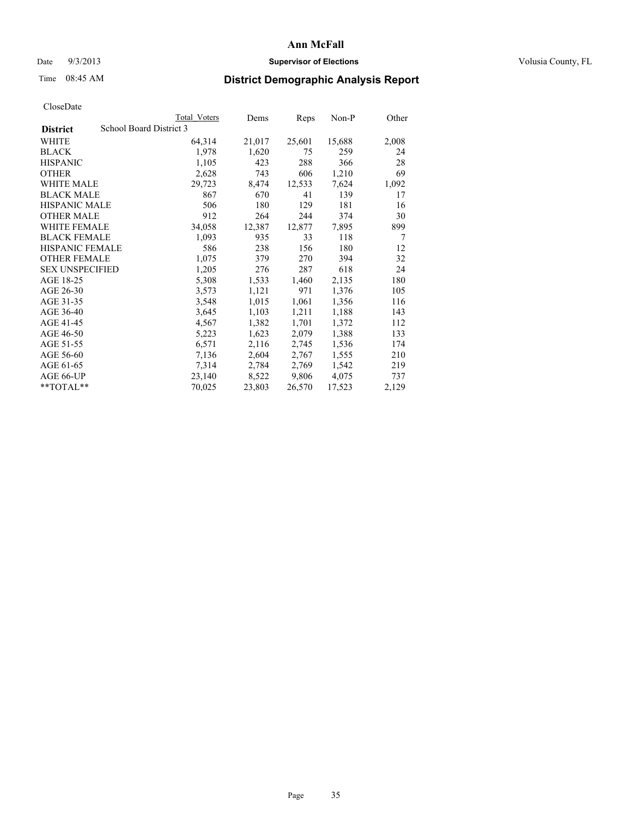### Date  $9/3/2013$  **Supervisor of Elections Supervisor of Elections** Volusia County, FL

## Time 08:45 AM **District Demographic Analysis Report**

|                        |                         | Total Voters | Dems   | <b>Reps</b> | Non-P  | Other |
|------------------------|-------------------------|--------------|--------|-------------|--------|-------|
| <b>District</b>        | School Board District 3 |              |        |             |        |       |
| WHITE                  |                         | 64,314       | 21,017 | 25,601      | 15,688 | 2,008 |
| <b>BLACK</b>           |                         | 1,978        | 1,620  | 75          | 259    | 24    |
| <b>HISPANIC</b>        |                         | 1,105        | 423    | 288         | 366    | 28    |
| <b>OTHER</b>           |                         | 2,628        | 743    | 606         | 1,210  | 69    |
| <b>WHITE MALE</b>      |                         | 29,723       | 8,474  | 12,533      | 7,624  | 1,092 |
| <b>BLACK MALE</b>      |                         | 867          | 670    | 41          | 139    | 17    |
| <b>HISPANIC MALE</b>   |                         | 506          | 180    | 129         | 181    | 16    |
| <b>OTHER MALE</b>      |                         | 912          | 264    | 244         | 374    | 30    |
| <b>WHITE FEMALE</b>    |                         | 34,058       | 12,387 | 12,877      | 7,895  | 899   |
| <b>BLACK FEMALE</b>    |                         | 1,093        | 935    | 33          | 118    | 7     |
| <b>HISPANIC FEMALE</b> |                         | 586          | 238    | 156         | 180    | 12    |
| <b>OTHER FEMALE</b>    |                         | 1,075        | 379    | 270         | 394    | 32    |
| <b>SEX UNSPECIFIED</b> |                         | 1,205        | 276    | 287         | 618    | 24    |
| AGE 18-25              |                         | 5,308        | 1,533  | 1,460       | 2,135  | 180   |
| AGE 26-30              |                         | 3,573        | 1,121  | 971         | 1,376  | 105   |
| AGE 31-35              |                         | 3,548        | 1,015  | 1,061       | 1,356  | 116   |
| AGE 36-40              |                         | 3,645        | 1,103  | 1,211       | 1,188  | 143   |
| AGE 41-45              |                         | 4,567        | 1,382  | 1,701       | 1,372  | 112   |
| AGE 46-50              |                         | 5,223        | 1,623  | 2,079       | 1,388  | 133   |
| AGE 51-55              |                         | 6,571        | 2,116  | 2,745       | 1,536  | 174   |
| AGE 56-60              |                         | 7,136        | 2,604  | 2,767       | 1,555  | 210   |
| AGE 61-65              |                         | 7,314        | 2,784  | 2,769       | 1,542  | 219   |
| AGE 66-UP              |                         | 23,140       | 8,522  | 9,806       | 4,075  | 737   |
| $*$ $TOTAL**$          |                         | 70,025       | 23,803 | 26,570      | 17,523 | 2,129 |
|                        |                         |              |        |             |        |       |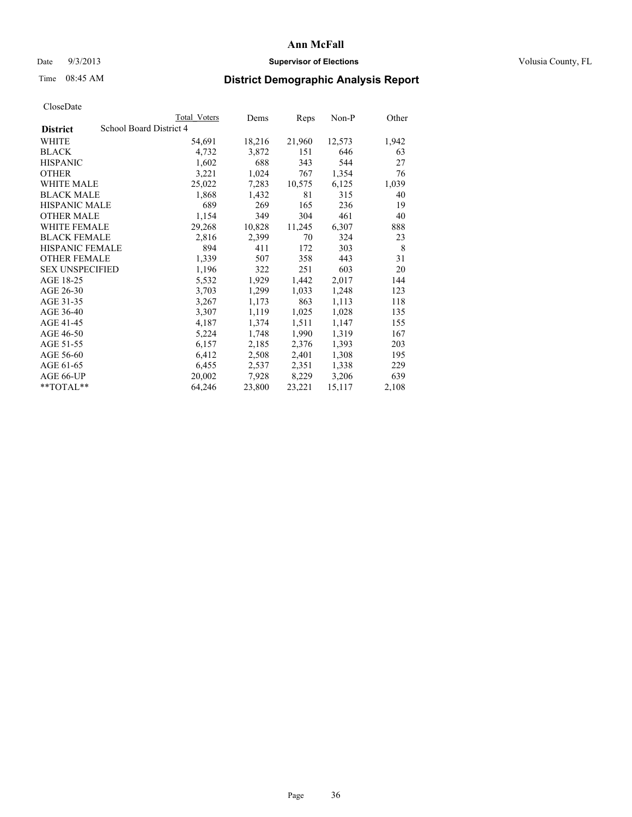### Date  $9/3/2013$  **Supervisor of Elections Supervisor of Elections** Volusia County, FL

## Time 08:45 AM **District Demographic Analysis Report**

|                                            | <b>Total Voters</b> | Dems   | Reps   | Non-P  | Other |
|--------------------------------------------|---------------------|--------|--------|--------|-------|
| School Board District 4<br><b>District</b> |                     |        |        |        |       |
| <b>WHITE</b>                               | 54,691              | 18,216 | 21,960 | 12,573 | 1,942 |
| <b>BLACK</b>                               | 4,732               | 3,872  | 151    | 646    | 63    |
| <b>HISPANIC</b>                            | 1,602               | 688    | 343    | 544    | 27    |
| <b>OTHER</b>                               | 3,221               | 1,024  | 767    | 1,354  | 76    |
| <b>WHITE MALE</b>                          | 25,022              | 7,283  | 10,575 | 6,125  | 1,039 |
| <b>BLACK MALE</b>                          | 1,868               | 1,432  | 81     | 315    | 40    |
| <b>HISPANIC MALE</b>                       | 689                 | 269    | 165    | 236    | 19    |
| <b>OTHER MALE</b>                          | 1,154               | 349    | 304    | 461    | 40    |
| <b>WHITE FEMALE</b>                        | 29,268              | 10,828 | 11,245 | 6,307  | 888   |
| <b>BLACK FEMALE</b>                        | 2,816               | 2,399  | 70     | 324    | 23    |
| <b>HISPANIC FEMALE</b>                     | 894                 | 411    | 172    | 303    | 8     |
| <b>OTHER FEMALE</b>                        | 1,339               | 507    | 358    | 443    | 31    |
| <b>SEX UNSPECIFIED</b>                     | 1,196               | 322    | 251    | 603    | 20    |
| AGE 18-25                                  | 5,532               | 1,929  | 1,442  | 2,017  | 144   |
| AGE 26-30                                  | 3,703               | 1,299  | 1,033  | 1,248  | 123   |
| AGE 31-35                                  | 3,267               | 1,173  | 863    | 1,113  | 118   |
| AGE 36-40                                  | 3,307               | 1,119  | 1,025  | 1,028  | 135   |
| AGE 41-45                                  | 4,187               | 1,374  | 1,511  | 1,147  | 155   |
| AGE 46-50                                  | 5,224               | 1,748  | 1,990  | 1,319  | 167   |
| AGE 51-55                                  | 6,157               | 2,185  | 2,376  | 1,393  | 203   |
| AGE 56-60                                  | 6,412               | 2,508  | 2,401  | 1,308  | 195   |
| AGE 61-65                                  | 6,455               | 2,537  | 2,351  | 1,338  | 229   |
| AGE 66-UP                                  | 20,002              | 7,928  | 8,229  | 3,206  | 639   |
| $*$ $TOTAL**$                              | 64,246              | 23,800 | 23,221 | 15,117 | 2,108 |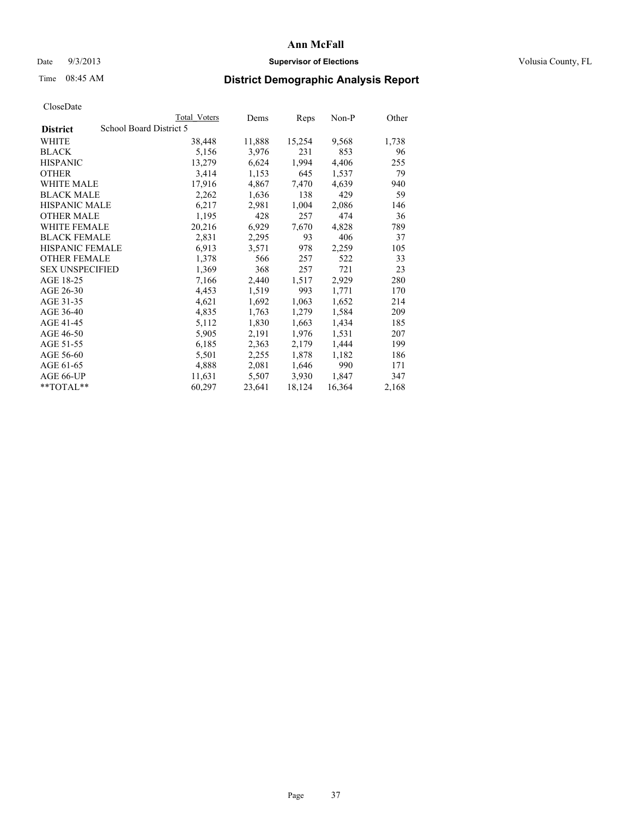### Date  $9/3/2013$  **Supervisor of Elections Supervisor of Elections** Volusia County, FL

## Time 08:45 AM **District Demographic Analysis Report**

|                        | Total Voters            | Dems   | <u>Reps</u> | Non-P  | Other |
|------------------------|-------------------------|--------|-------------|--------|-------|
| <b>District</b>        | School Board District 5 |        |             |        |       |
| <b>WHITE</b>           | 38,448                  | 11,888 | 15,254      | 9,568  | 1,738 |
| <b>BLACK</b>           | 5,156                   | 3,976  | 231         | 853    | 96    |
| <b>HISPANIC</b>        | 13,279                  | 6,624  | 1,994       | 4,406  | 255   |
| <b>OTHER</b>           | 3,414                   | 1,153  | 645         | 1,537  | 79    |
| <b>WHITE MALE</b>      | 17,916                  | 4,867  | 7,470       | 4,639  | 940   |
| <b>BLACK MALE</b>      | 2,262                   | 1,636  | 138         | 429    | 59    |
| <b>HISPANIC MALE</b>   | 6,217                   | 2,981  | 1,004       | 2,086  | 146   |
| <b>OTHER MALE</b>      | 1,195                   | 428    | 257         | 474    | 36    |
| <b>WHITE FEMALE</b>    | 20,216                  | 6,929  | 7,670       | 4,828  | 789   |
| <b>BLACK FEMALE</b>    | 2,831                   | 2,295  | 93          | 406    | 37    |
| <b>HISPANIC FEMALE</b> | 6,913                   | 3,571  | 978         | 2,259  | 105   |
| <b>OTHER FEMALE</b>    | 1,378                   | 566    | 257         | 522    | 33    |
| <b>SEX UNSPECIFIED</b> | 1,369                   | 368    | 257         | 721    | 23    |
| AGE 18-25              | 7,166                   | 2,440  | 1,517       | 2,929  | 280   |
| AGE 26-30              | 4,453                   | 1,519  | 993         | 1,771  | 170   |
| AGE 31-35              | 4,621                   | 1,692  | 1,063       | 1,652  | 214   |
| AGE 36-40              | 4,835                   | 1,763  | 1,279       | 1,584  | 209   |
| AGE 41-45              | 5,112                   | 1,830  | 1,663       | 1,434  | 185   |
| AGE 46-50              | 5,905                   | 2,191  | 1,976       | 1,531  | 207   |
| AGE 51-55              | 6,185                   | 2,363  | 2,179       | 1,444  | 199   |
| AGE 56-60              | 5,501                   | 2,255  | 1,878       | 1,182  | 186   |
| AGE 61-65              | 4,888                   | 2,081  | 1,646       | 990    | 171   |
| AGE 66-UP              | 11,631                  | 5,507  | 3,930       | 1,847  | 347   |
| $*$ TOTAL $*$          | 60,297                  | 23,641 | 18,124      | 16,364 | 2,168 |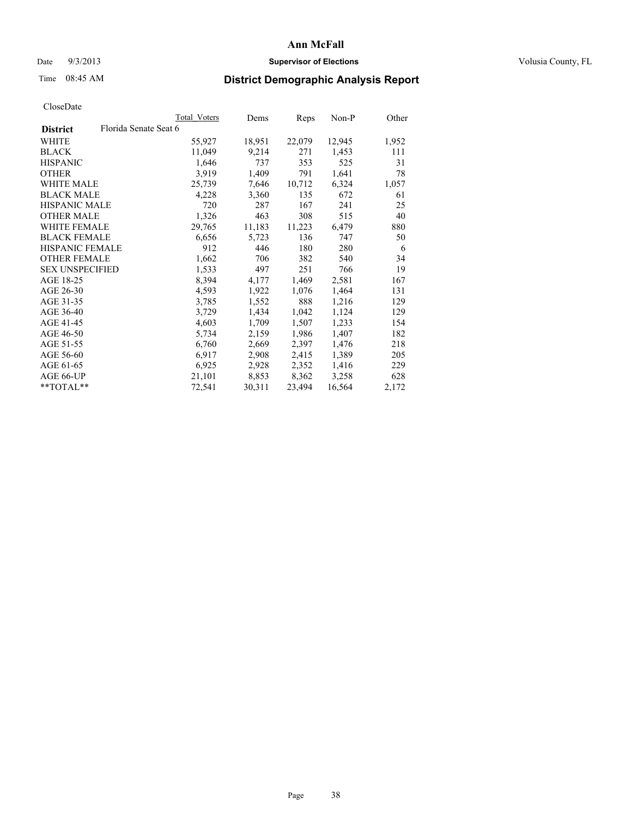### Date  $9/3/2013$  **Supervisor of Elections Supervisor of Elections** Volusia County, FL

## Time 08:45 AM **District Demographic Analysis Report**

|                                          | Total Voters | Dems   | Reps   | Non-P  | Other |
|------------------------------------------|--------------|--------|--------|--------|-------|
| Florida Senate Seat 6<br><b>District</b> |              |        |        |        |       |
| WHITE                                    | 55,927       | 18,951 | 22,079 | 12,945 | 1,952 |
| <b>BLACK</b>                             | 11,049       | 9,214  | 271    | 1,453  | 111   |
| <b>HISPANIC</b>                          | 1,646        | 737    | 353    | 525    | 31    |
| <b>OTHER</b>                             | 3.919        | 1,409  | 791    | 1,641  | 78    |
| <b>WHITE MALE</b>                        | 25,739       | 7,646  | 10,712 | 6,324  | 1,057 |
| <b>BLACK MALE</b>                        | 4,228        | 3,360  | 135    | 672    | 61    |
| <b>HISPANIC MALE</b>                     | 720          | 287    | 167    | 241    | 25    |
| <b>OTHER MALE</b>                        | 1,326        | 463    | 308    | 515    | 40    |
| WHITE FEMALE                             | 29,765       | 11,183 | 11,223 | 6,479  | 880   |
| <b>BLACK FEMALE</b>                      | 6,656        | 5,723  | 136    | 747    | 50    |
| <b>HISPANIC FEMALE</b>                   | 912          | 446    | 180    | 280    | 6     |
| <b>OTHER FEMALE</b>                      | 1,662        | 706    | 382    | 540    | 34    |
| <b>SEX UNSPECIFIED</b>                   | 1,533        | 497    | 251    | 766    | 19    |
| AGE 18-25                                | 8,394        | 4,177  | 1,469  | 2,581  | 167   |
| AGE 26-30                                | 4,593        | 1,922  | 1,076  | 1,464  | 131   |
| AGE 31-35                                | 3,785        | 1,552  | 888    | 1,216  | 129   |
| AGE 36-40                                | 3,729        | 1,434  | 1,042  | 1,124  | 129   |
| AGE 41-45                                | 4,603        | 1,709  | 1,507  | 1,233  | 154   |
| AGE 46-50                                | 5,734        | 2,159  | 1,986  | 1,407  | 182   |
| AGE 51-55                                | 6,760        | 2,669  | 2,397  | 1,476  | 218   |
| AGE 56-60                                | 6,917        | 2,908  | 2,415  | 1,389  | 205   |
| AGE 61-65                                | 6,925        | 2,928  | 2,352  | 1,416  | 229   |
| AGE 66-UP                                | 21,101       | 8,853  | 8,362  | 3,258  | 628   |
| **TOTAL**                                | 72,541       | 30,311 | 23,494 | 16,564 | 2,172 |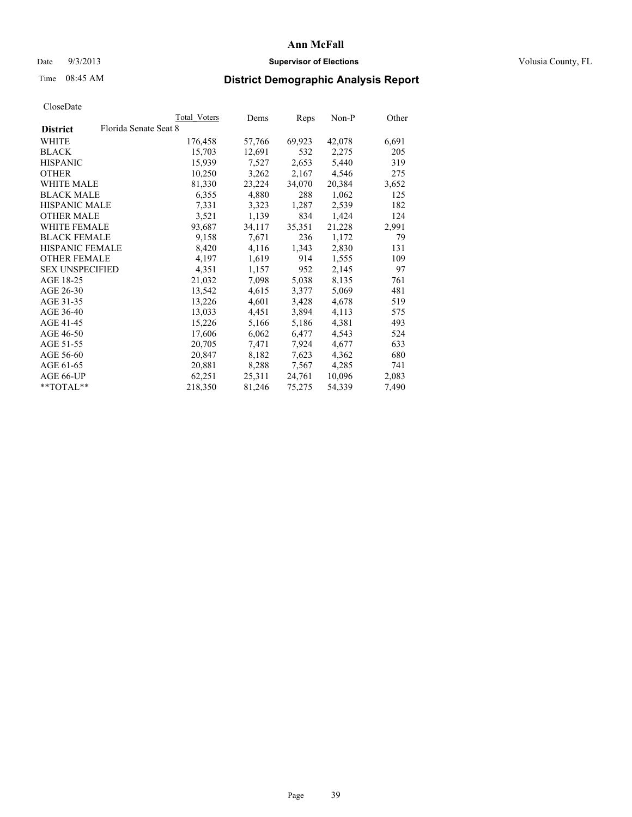### Date  $9/3/2013$  **Supervisor of Elections Supervisor of Elections** Volusia County, FL

## Time 08:45 AM **District Demographic Analysis Report**

| Total Voters          | Dems   | <b>Reps</b> | Non-P  | Other |
|-----------------------|--------|-------------|--------|-------|
| Florida Senate Seat 8 |        |             |        |       |
| 176,458               | 57,766 | 69,923      | 42,078 | 6,691 |
| 15,703                | 12,691 | 532         | 2,275  | 205   |
| 15,939                | 7,527  | 2,653       | 5,440  | 319   |
| 10,250                | 3,262  | 2,167       | 4,546  | 275   |
| 81,330                | 23,224 | 34,070      | 20,384 | 3,652 |
| 6,355                 | 4,880  | 288         | 1,062  | 125   |
| 7,331                 | 3,323  | 1,287       | 2,539  | 182   |
| 3,521                 | 1,139  | 834         | 1,424  | 124   |
| 93,687                | 34,117 | 35,351      | 21,228 | 2,991 |
| 9,158                 | 7,671  | 236         | 1,172  | 79    |
| 8,420                 | 4,116  | 1,343       | 2,830  | 131   |
| 4,197                 | 1,619  | 914         | 1,555  | 109   |
| 4,351                 | 1,157  | 952         | 2,145  | 97    |
| 21,032                | 7,098  | 5,038       | 8,135  | 761   |
| 13,542                | 4,615  | 3,377       | 5,069  | 481   |
| 13,226                | 4,601  | 3,428       | 4,678  | 519   |
| 13,033                | 4,451  | 3,894       | 4,113  | 575   |
| 15,226                | 5,166  | 5,186       | 4,381  | 493   |
| 17,606                | 6,062  | 6,477       | 4,543  | 524   |
| 20,705                | 7,471  | 7,924       | 4,677  | 633   |
| 20,847                | 8,182  | 7,623       | 4,362  | 680   |
| 20,881                | 8,288  | 7,567       | 4,285  | 741   |
| 62,251                | 25,311 | 24,761      | 10,096 | 2,083 |
| 218,350               | 81,246 | 75,275      | 54,339 | 7,490 |
|                       |        |             |        |       |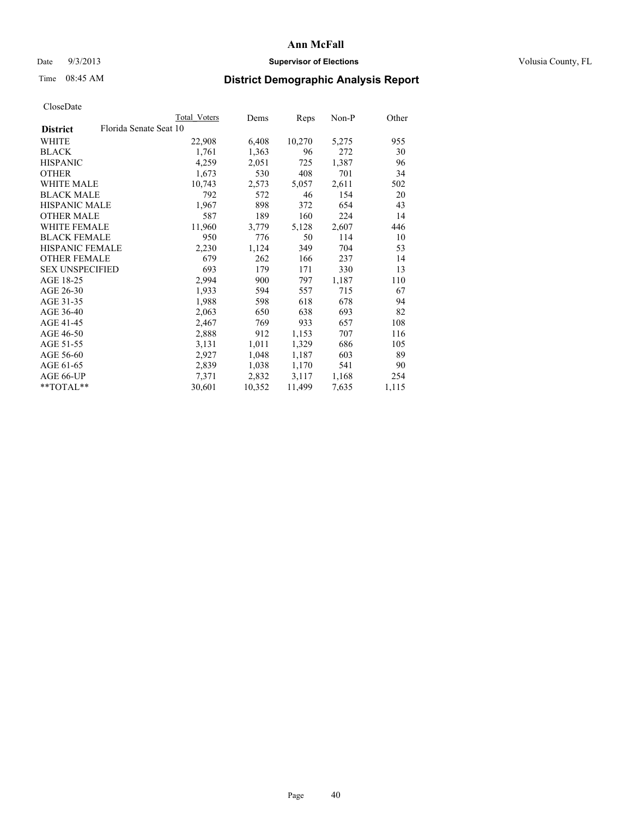### Date  $9/3/2013$  **Supervisor of Elections Supervisor of Elections** Volusia County, FL

## Time 08:45 AM **District Demographic Analysis Report**

| <b>Total Voters</b>    | Dems   | Reps   | Non-P | Other |
|------------------------|--------|--------|-------|-------|
| Florida Senate Seat 10 |        |        |       |       |
| 22,908                 | 6,408  | 10,270 | 5,275 | 955   |
| 1,761                  | 1,363  | 96     | 272   | 30    |
| 4,259                  | 2,051  | 725    | 1,387 | 96    |
| 1,673                  | 530    | 408    | 701   | 34    |
| 10,743                 | 2,573  | 5,057  | 2,611 | 502   |
| 792                    | 572    | 46     | 154   | 20    |
| 1,967                  | 898    | 372    | 654   | 43    |
| 587                    | 189    | 160    | 224   | 14    |
| 11,960                 | 3,779  | 5,128  | 2,607 | 446   |
| 950                    | 776    | 50     | 114   | 10    |
| 2,230                  | 1,124  | 349    | 704   | 53    |
| 679                    | 262    | 166    | 237   | 14    |
| 693                    | 179    | 171    | 330   | 13    |
| 2,994                  | 900    | 797    | 1,187 | 110   |
| 1,933                  | 594    | 557    | 715   | 67    |
| 1,988                  | 598    | 618    | 678   | 94    |
| 2,063                  | 650    | 638    | 693   | 82    |
| 2,467                  | 769    | 933    | 657   | 108   |
| 2,888                  | 912    | 1,153  | 707   | 116   |
| 3,131                  | 1,011  | 1,329  | 686   | 105   |
| 2,927                  | 1,048  | 1,187  | 603   | 89    |
| 2,839                  | 1,038  | 1,170  | 541   | 90    |
| 7,371                  | 2,832  | 3,117  | 1,168 | 254   |
| 30,601                 | 10,352 | 11,499 | 7,635 | 1,115 |
|                        |        |        |       |       |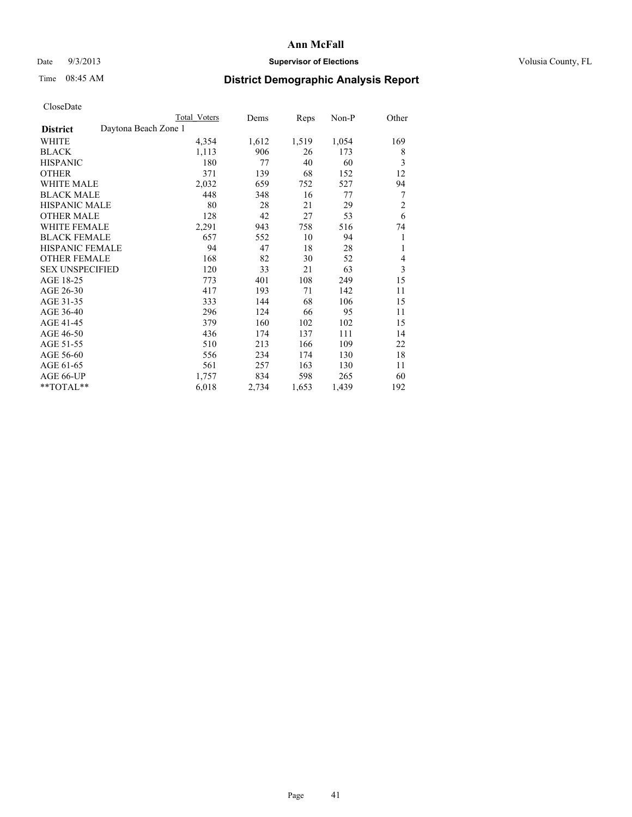### Date  $9/3/2013$  **Supervisor of Elections Supervisor of Elections** Volusia County, FL

# Time 08:45 AM **District Demographic Analysis Report**

|                                         | Total Voters | Dems  | Reps  | Non-P | Other          |
|-----------------------------------------|--------------|-------|-------|-------|----------------|
| Daytona Beach Zone 1<br><b>District</b> |              |       |       |       |                |
| WHITE                                   | 4,354        | 1,612 | 1,519 | 1,054 | 169            |
| <b>BLACK</b>                            | 1,113        | 906   | 26    | 173   | 8              |
| <b>HISPANIC</b>                         | 180          | 77    | 40    | 60    | 3              |
| <b>OTHER</b>                            | 371          | 139   | 68    | 152   | 12             |
| <b>WHITE MALE</b>                       | 2,032        | 659   | 752   | 527   | 94             |
| <b>BLACK MALE</b>                       | 448          | 348   | 16    | 77    | 7              |
| HISPANIC MALE                           | 80           | 28    | 21    | 29    | $\overline{2}$ |
| <b>OTHER MALE</b>                       | 128          | 42    | 27    | 53    | 6              |
| <b>WHITE FEMALE</b>                     | 2,291        | 943   | 758   | 516   | 74             |
| <b>BLACK FEMALE</b>                     | 657          | 552   | 10    | 94    | 1              |
| <b>HISPANIC FEMALE</b>                  | 94           | 47    | 18    | 28    | 1              |
| <b>OTHER FEMALE</b>                     | 168          | 82    | 30    | 52    | 4              |
| <b>SEX UNSPECIFIED</b>                  | 120          | 33    | 21    | 63    | 3              |
| AGE 18-25                               | 773          | 401   | 108   | 249   | 15             |
| AGE 26-30                               | 417          | 193   | 71    | 142   | 11             |
| AGE 31-35                               | 333          | 144   | 68    | 106   | 15             |
| AGE 36-40                               | 296          | 124   | 66    | 95    | 11             |
| AGE 41-45                               | 379          | 160   | 102   | 102   | 15             |
| AGE 46-50                               | 436          | 174   | 137   | 111   | 14             |
| AGE 51-55                               | 510          | 213   | 166   | 109   | 22             |
| AGE 56-60                               | 556          | 234   | 174   | 130   | 18             |
| AGE 61-65                               | 561          | 257   | 163   | 130   | 11             |
| AGE 66-UP                               | 1,757        | 834   | 598   | 265   | 60             |
| **TOTAL**                               | 6,018        | 2,734 | 1,653 | 1,439 | 192            |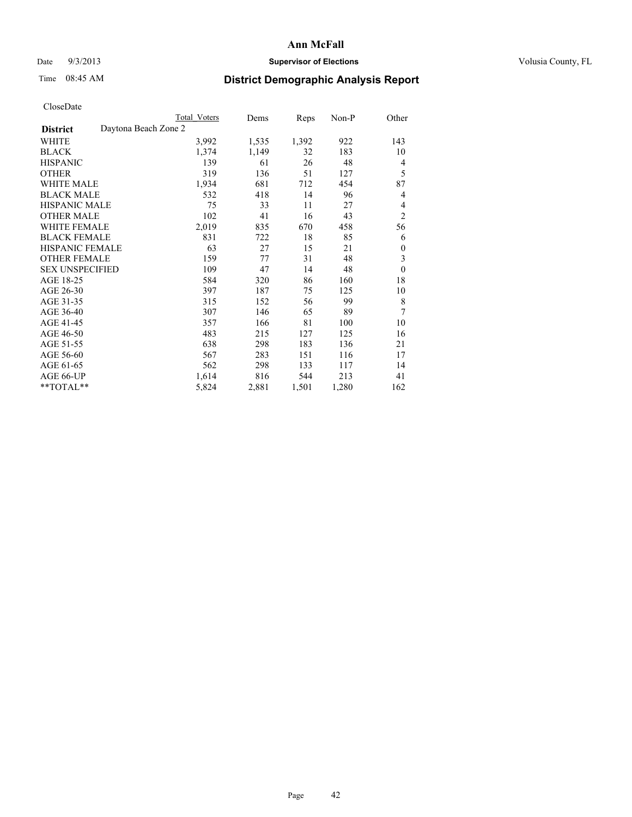## Date  $9/3/2013$  **Supervisor of Elections Supervisor of Elections** Volusia County, FL

# Time 08:45 AM **District Demographic Analysis Report**

|                                         | Total Voters | Dems  | Reps  | Non-P | Other          |
|-----------------------------------------|--------------|-------|-------|-------|----------------|
| Daytona Beach Zone 2<br><b>District</b> |              |       |       |       |                |
| WHITE                                   | 3,992        | 1,535 | 1,392 | 922   | 143            |
| <b>BLACK</b>                            | 1,374        | 1,149 | 32    | 183   | 10             |
| <b>HISPANIC</b>                         | 139          | 61    | 26    | 48    | 4              |
| <b>OTHER</b>                            | 319          | 136   | 51    | 127   | 5              |
| <b>WHITE MALE</b>                       | 1,934        | 681   | 712   | 454   | 87             |
| <b>BLACK MALE</b>                       | 532          | 418   | 14    | 96    | 4              |
| <b>HISPANIC MALE</b>                    | 75           | 33    | 11    | 27    | 4              |
| <b>OTHER MALE</b>                       | 102          | 41    | 16    | 43    | $\overline{c}$ |
| WHITE FEMALE                            | 2,019        | 835   | 670   | 458   | 56             |
| <b>BLACK FEMALE</b>                     | 831          | 722   | 18    | 85    | 6              |
| <b>HISPANIC FEMALE</b>                  | 63           | 27    | 15    | 21    | 0              |
| <b>OTHER FEMALE</b>                     | 159          | 77    | 31    | 48    | 3              |
| <b>SEX UNSPECIFIED</b>                  | 109          | 47    | 14    | 48    | $\mathbf{0}$   |
| AGE 18-25                               | 584          | 320   | 86    | 160   | 18             |
| AGE 26-30                               | 397          | 187   | 75    | 125   | 10             |
| AGE 31-35                               | 315          | 152   | 56    | 99    | 8              |
| AGE 36-40                               | 307          | 146   | 65    | 89    | 7              |
| AGE 41-45                               | 357          | 166   | 81    | 100   | 10             |
| AGE 46-50                               | 483          | 215   | 127   | 125   | 16             |
| AGE 51-55                               | 638          | 298   | 183   | 136   | 21             |
| AGE 56-60                               | 567          | 283   | 151   | 116   | 17             |
| AGE 61-65                               | 562          | 298   | 133   | 117   | 14             |
| AGE 66-UP                               | 1,614        | 816   | 544   | 213   | 41             |
| **TOTAL**                               | 5,824        | 2,881 | 1,501 | 1,280 | 162            |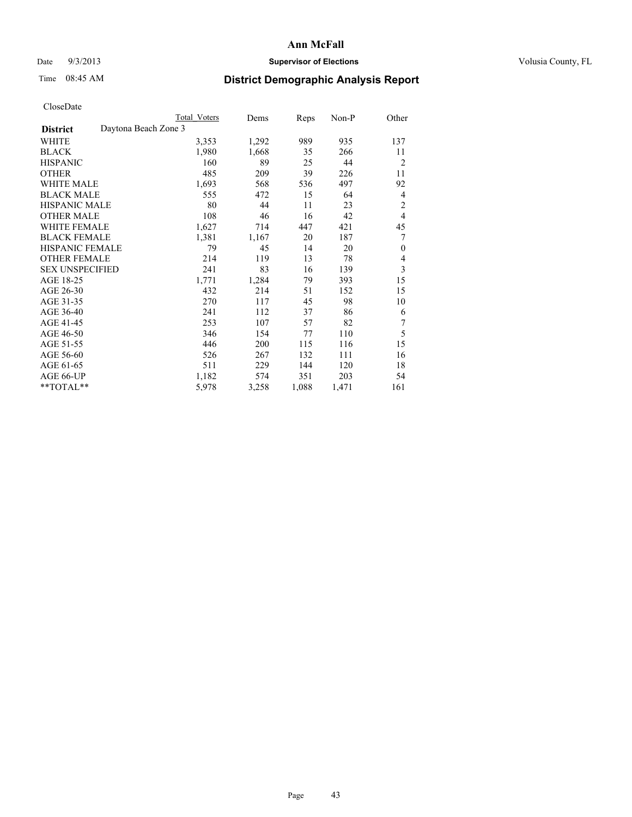## Date  $9/3/2013$  **Supervisor of Elections Supervisor of Elections** Volusia County, FL

## Time 08:45 AM **District Demographic Analysis Report**

|                                         | <b>Total Voters</b> | Dems  | Reps  | Non-P | Other          |
|-----------------------------------------|---------------------|-------|-------|-------|----------------|
| Daytona Beach Zone 3<br><b>District</b> |                     |       |       |       |                |
| WHITE                                   | 3,353               | 1,292 | 989   | 935   | 137            |
| <b>BLACK</b>                            | 1,980               | 1,668 | 35    | 266   | 11             |
| <b>HISPANIC</b>                         | 160                 | 89    | 25    | 44    | $\overline{2}$ |
| <b>OTHER</b>                            | 485                 | 209   | 39    | 226   | 11             |
| WHITE MALE                              | 1,693               | 568   | 536   | 497   | 92             |
| <b>BLACK MALE</b>                       | 555                 | 472   | 15    | 64    | 4              |
| <b>HISPANIC MALE</b>                    | 80                  | 44    | 11    | 23    | $\overline{c}$ |
| <b>OTHER MALE</b>                       | 108                 | 46    | 16    | 42    | $\overline{4}$ |
| <b>WHITE FEMALE</b>                     | 1,627               | 714   | 447   | 421   | 45             |
| <b>BLACK FEMALE</b>                     | 1,381               | 1,167 | 20    | 187   | 7              |
| HISPANIC FEMALE                         | 79                  | 45    | 14    | 20    | $\mathbf{0}$   |
| <b>OTHER FEMALE</b>                     | 214                 | 119   | 13    | 78    | 4              |
| <b>SEX UNSPECIFIED</b>                  | 241                 | 83    | 16    | 139   | 3              |
| AGE 18-25                               | 1,771               | 1,284 | 79    | 393   | 15             |
| AGE 26-30                               | 432                 | 214   | 51    | 152   | 15             |
| AGE 31-35                               | 270                 | 117   | 45    | 98    | 10             |
| AGE 36-40                               | 241                 | 112   | 37    | 86    | 6              |
| AGE 41-45                               | 253                 | 107   | 57    | 82    | 7              |
| AGE 46-50                               | 346                 | 154   | 77    | 110   | 5              |
| AGE 51-55                               | 446                 | 200   | 115   | 116   | 15             |
| AGE 56-60                               | 526                 | 267   | 132   | 111   | 16             |
| AGE 61-65                               | 511                 | 229   | 144   | 120   | 18             |
| AGE 66-UP                               | 1,182               | 574   | 351   | 203   | 54             |
| **TOTAL**                               | 5,978               | 3,258 | 1,088 | 1,471 | 161            |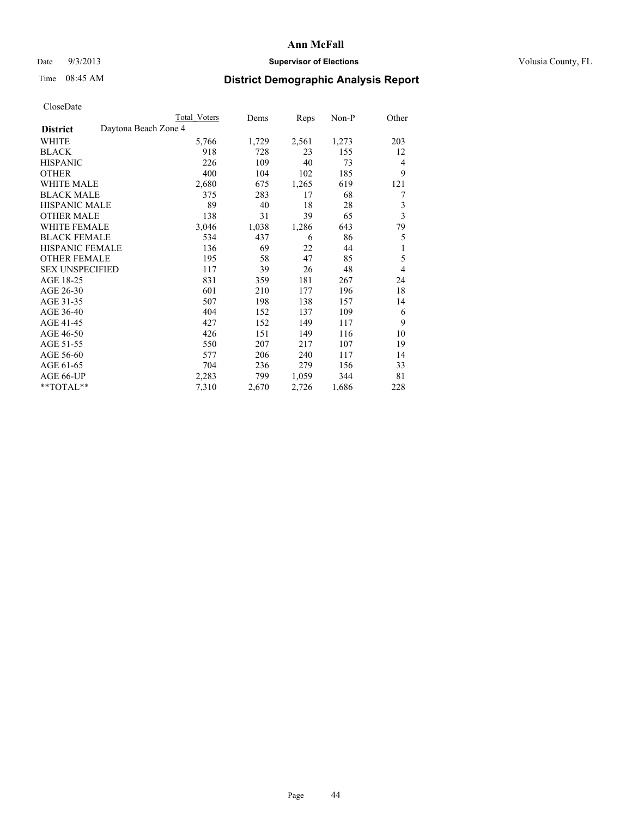## Date  $9/3/2013$  **Supervisor of Elections Supervisor of Elections** Volusia County, FL

## Time 08:45 AM **District Demographic Analysis Report**

|                        |                      | <b>Total Voters</b> | Dems  | Reps  | Non-P | Other          |
|------------------------|----------------------|---------------------|-------|-------|-------|----------------|
| <b>District</b>        | Daytona Beach Zone 4 |                     |       |       |       |                |
| WHITE                  |                      | 5,766               | 1,729 | 2,561 | 1,273 | 203            |
| <b>BLACK</b>           |                      | 918                 | 728   | 23    | 155   | 12             |
| <b>HISPANIC</b>        |                      | 226                 | 109   | 40    | 73    | $\overline{4}$ |
| <b>OTHER</b>           |                      | 400                 | 104   | 102   | 185   | 9              |
| WHITE MALE             |                      | 2,680               | 675   | 1,265 | 619   | 121            |
| <b>BLACK MALE</b>      |                      | 375                 | 283   | 17    | 68    | 7              |
| <b>HISPANIC MALE</b>   |                      | 89                  | 40    | 18    | 28    | 3              |
| <b>OTHER MALE</b>      |                      | 138                 | 31    | 39    | 65    | $\overline{3}$ |
| <b>WHITE FEMALE</b>    |                      | 3,046               | 1,038 | 1,286 | 643   | 79             |
| <b>BLACK FEMALE</b>    |                      | 534                 | 437   | 6     | 86    | 5              |
| <b>HISPANIC FEMALE</b> |                      | 136                 | 69    | 22    | 44    | 1              |
| <b>OTHER FEMALE</b>    |                      | 195                 | 58    | 47    | 85    | 5              |
| <b>SEX UNSPECIFIED</b> |                      | 117                 | 39    | 26    | 48    | $\overline{4}$ |
| AGE 18-25              |                      | 831                 | 359   | 181   | 267   | 24             |
| AGE 26-30              |                      | 601                 | 210   | 177   | 196   | 18             |
| AGE 31-35              |                      | 507                 | 198   | 138   | 157   | 14             |
| AGE 36-40              |                      | 404                 | 152   | 137   | 109   | 6              |
| AGE 41-45              |                      | 427                 | 152   | 149   | 117   | 9              |
| AGE 46-50              |                      | 426                 | 151   | 149   | 116   | 10             |
| AGE 51-55              |                      | 550                 | 207   | 217   | 107   | 19             |
| AGE 56-60              |                      | 577                 | 206   | 240   | 117   | 14             |
| AGE 61-65              |                      | 704                 | 236   | 279   | 156   | 33             |
| AGE 66-UP              |                      | 2,283               | 799   | 1,059 | 344   | 81             |
| **TOTAL**              |                      | 7,310               | 2,670 | 2,726 | 1,686 | 228            |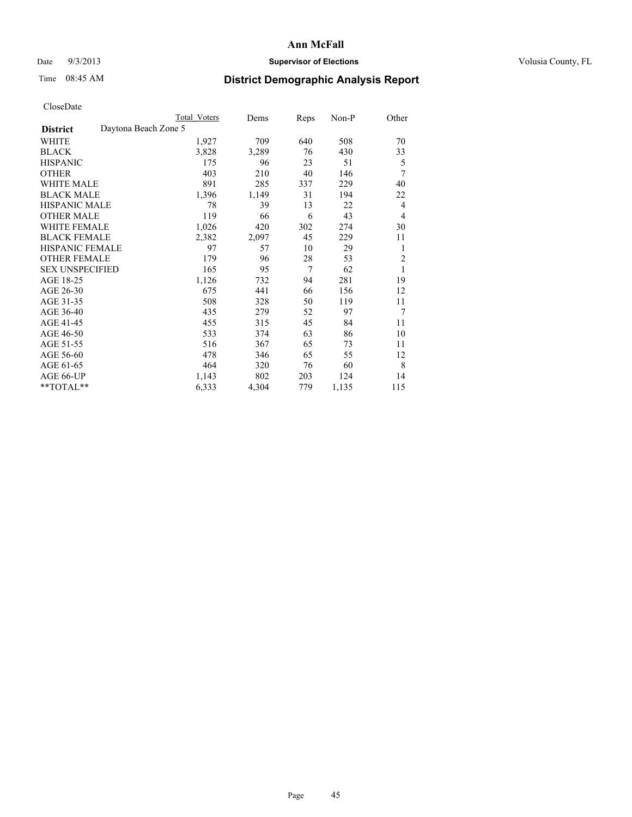## Date  $9/3/2013$  **Supervisor of Elections Supervisor of Elections** Volusia County, FL

# Time 08:45 AM **District Demographic Analysis Report**

|                                         | <b>Total Voters</b> | Dems  | Reps           | Non-P | Other          |
|-----------------------------------------|---------------------|-------|----------------|-------|----------------|
| Daytona Beach Zone 5<br><b>District</b> |                     |       |                |       |                |
| WHITE                                   | 1,927               | 709   | 640            | 508   | 70             |
| <b>BLACK</b>                            | 3,828               | 3,289 | 76             | 430   | 33             |
| <b>HISPANIC</b>                         | 175                 | 96    | 23             | 51    | 5              |
| <b>OTHER</b>                            | 403                 | 210   | 40             | 146   | 7              |
| <b>WHITE MALE</b>                       | 891                 | 285   | 337            | 229   | 40             |
| <b>BLACK MALE</b>                       | 1,396               | 1,149 | 31             | 194   | 22             |
| <b>HISPANIC MALE</b>                    | 78                  | 39    | 13             | 22    | 4              |
| <b>OTHER MALE</b>                       | 119                 | 66    | 6              | 43    | 4              |
| <b>WHITE FEMALE</b>                     | 1,026               | 420   | 302            | 274   | 30             |
| <b>BLACK FEMALE</b>                     | 2,382               | 2,097 | 45             | 229   | 11             |
| <b>HISPANIC FEMALE</b>                  | 97                  | 57    | 10             | 29    | 1              |
| <b>OTHER FEMALE</b>                     | 179                 | 96    | 28             | 53    | $\overline{2}$ |
| <b>SEX UNSPECIFIED</b>                  | 165                 | 95    | $\overline{7}$ | 62    | 1              |
| AGE 18-25                               | 1,126               | 732   | 94             | 281   | 19             |
| AGE 26-30                               | 675                 | 441   | 66             | 156   | 12             |
| AGE 31-35                               | 508                 | 328   | 50             | 119   | 11             |
| AGE 36-40                               | 435                 | 279   | 52             | 97    | 7              |
| AGE 41-45                               | 455                 | 315   | 45             | 84    | 11             |
| AGE 46-50                               | 533                 | 374   | 63             | 86    | 10             |
| AGE 51-55                               | 516                 | 367   | 65             | 73    | 11             |
| AGE 56-60                               | 478                 | 346   | 65             | 55    | 12             |
| AGE 61-65                               | 464                 | 320   | 76             | 60    | 8              |
| AGE 66-UP                               | 1,143               | 802   | 203            | 124   | 14             |
| **TOTAL**                               | 6,333               | 4,304 | 779            | 1,135 | 115            |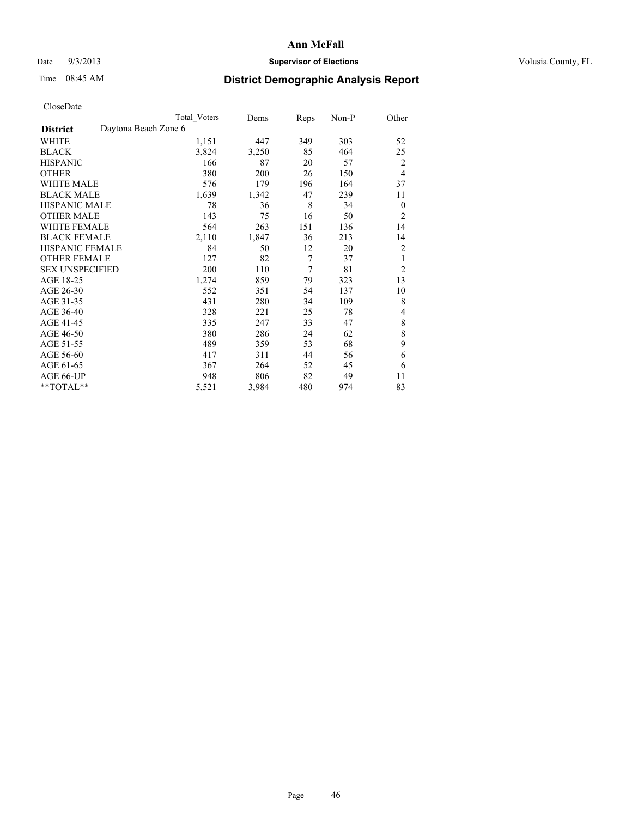## Date  $9/3/2013$  **Supervisor of Elections Supervisor of Elections** Volusia County, FL

# Time 08:45 AM **District Demographic Analysis Report**

|                        |                      | <b>Total Voters</b> | Dems  | Reps | Non-P | Other          |
|------------------------|----------------------|---------------------|-------|------|-------|----------------|
| <b>District</b>        | Daytona Beach Zone 6 |                     |       |      |       |                |
| WHITE                  |                      | 1,151               | 447   | 349  | 303   | 52             |
| <b>BLACK</b>           |                      | 3,824               | 3,250 | 85   | 464   | 25             |
| <b>HISPANIC</b>        |                      | 166                 | 87    | 20   | 57    | 2              |
| <b>OTHER</b>           |                      | 380                 | 200   | 26   | 150   | $\overline{4}$ |
| WHITE MALE             |                      | 576                 | 179   | 196  | 164   | 37             |
| <b>BLACK MALE</b>      |                      | 1,639               | 1,342 | 47   | 239   | 11             |
| <b>HISPANIC MALE</b>   |                      | 78                  | 36    | 8    | 34    | $\theta$       |
| <b>OTHER MALE</b>      |                      | 143                 | 75    | 16   | 50    | $\overline{2}$ |
| WHITE FEMALE           |                      | 564                 | 263   | 151  | 136   | 14             |
| <b>BLACK FEMALE</b>    |                      | 2,110               | 1,847 | 36   | 213   | 14             |
| <b>HISPANIC FEMALE</b> |                      | 84                  | 50    | 12   | 20    | $\overline{2}$ |
| <b>OTHER FEMALE</b>    |                      | 127                 | 82    | 7    | 37    | 1              |
| <b>SEX UNSPECIFIED</b> |                      | 200                 | 110   | 7    | 81    | $\overline{2}$ |
| AGE 18-25              |                      | 1,274               | 859   | 79   | 323   | 13             |
| AGE 26-30              |                      | 552                 | 351   | 54   | 137   | 10             |
| AGE 31-35              |                      | 431                 | 280   | 34   | 109   | 8              |
| AGE 36-40              |                      | 328                 | 221   | 25   | 78    | 4              |
| AGE 41-45              |                      | 335                 | 247   | 33   | 47    | $\,$ 8 $\,$    |
| AGE 46-50              |                      | 380                 | 286   | 24   | 62    | 8              |
| AGE 51-55              |                      | 489                 | 359   | 53   | 68    | 9              |
| AGE 56-60              |                      | 417                 | 311   | 44   | 56    | 6              |
| AGE 61-65              |                      | 367                 | 264   | 52   | 45    | 6              |
| AGE 66-UP              |                      | 948                 | 806   | 82   | 49    | 11             |
| **TOTAL**              |                      | 5,521               | 3,984 | 480  | 974   | 83             |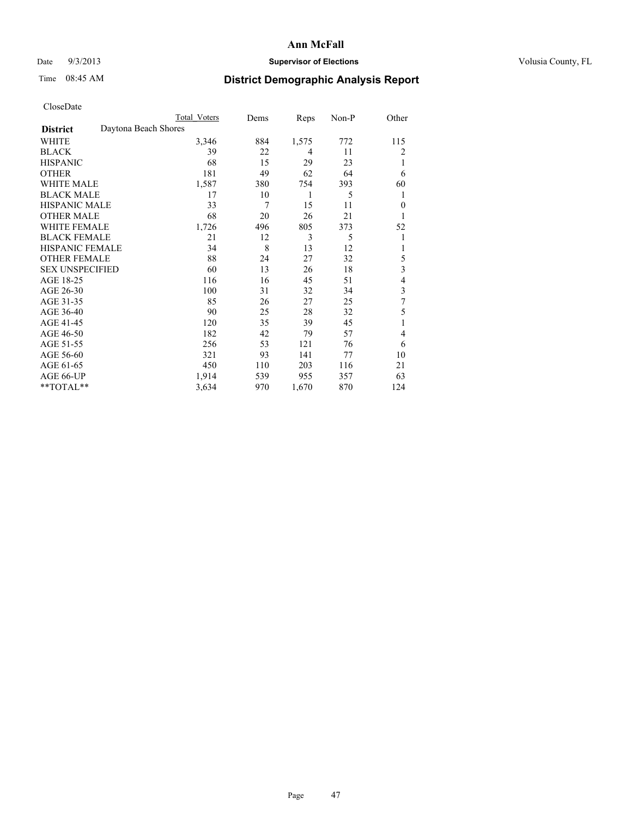## Date  $9/3/2013$  **Supervisor of Elections Supervisor of Elections** Volusia County, FL

# Time 08:45 AM **District Demographic Analysis Report**

|                        | <b>Total Voters</b>  | Dems | Reps  | Non-P | Other    |
|------------------------|----------------------|------|-------|-------|----------|
| <b>District</b>        | Daytona Beach Shores |      |       |       |          |
| WHITE                  | 3,346                | 884  | 1,575 | 772   | 115      |
| <b>BLACK</b>           | 39                   | 22   | 4     | 11    | 2        |
| <b>HISPANIC</b>        | 68                   | 15   | 29    | 23    | 1        |
| <b>OTHER</b>           | 181                  | 49   | 62    | 64    | 6        |
| <b>WHITE MALE</b>      | 1,587                | 380  | 754   | 393   | 60       |
| <b>BLACK MALE</b>      | 17                   | 10   | 1     | 5     | 1        |
| <b>HISPANIC MALE</b>   | 33                   | 7    | 15    | 11    | $\theta$ |
| <b>OTHER MALE</b>      | 68                   | 20   | 26    | 21    | 1        |
| <b>WHITE FEMALE</b>    | 1,726                | 496  | 805   | 373   | 52       |
| <b>BLACK FEMALE</b>    | 21                   | 12   | 3     | 5     | 1        |
| <b>HISPANIC FEMALE</b> | 34                   | 8    | 13    | 12    | 1        |
| <b>OTHER FEMALE</b>    | 88                   | 24   | 27    | 32    | 5        |
| <b>SEX UNSPECIFIED</b> | 60                   | 13   | 26    | 18    | 3        |
| AGE 18-25              | 116                  | 16   | 45    | 51    | 4        |
| AGE 26-30              | 100                  | 31   | 32    | 34    | 3        |
| AGE 31-35              | 85                   | 26   | 27    | 25    | 7        |
| AGE 36-40              | 90                   | 25   | 28    | 32    | 5        |
| AGE 41-45              | 120                  | 35   | 39    | 45    |          |
| AGE 46-50              | 182                  | 42   | 79    | 57    | 4        |
| AGE 51-55              | 256                  | 53   | 121   | 76    | 6        |
| AGE 56-60              | 321                  | 93   | 141   | 77    | 10       |
| AGE 61-65              | 450                  | 110  | 203   | 116   | 21       |
| AGE 66-UP              | 1,914                | 539  | 955   | 357   | 63       |
| $*$ TOTAL $*$          | 3,634                | 970  | 1,670 | 870   | 124      |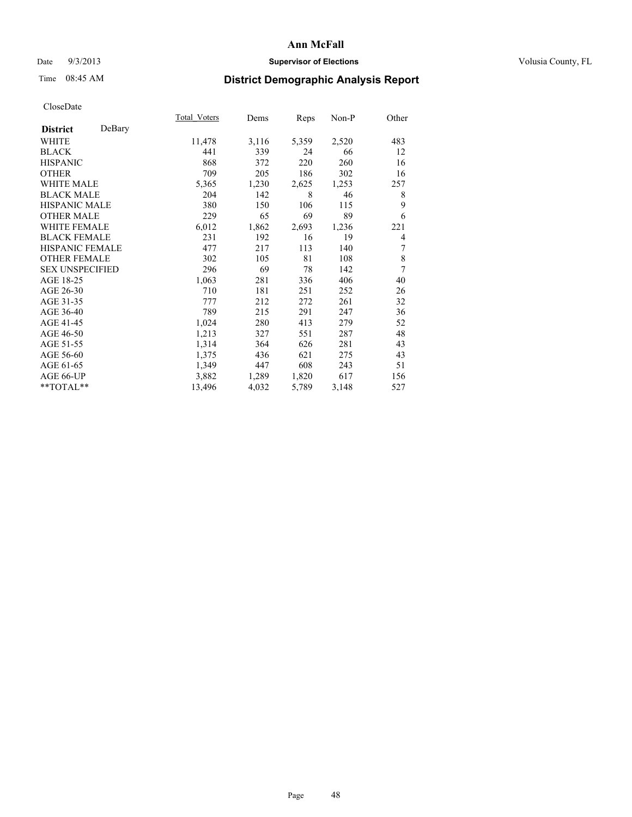### Date  $9/3/2013$  **Supervisor of Elections Supervisor of Elections** Volusia County, FL

## Time 08:45 AM **District Demographic Analysis Report**

|                        |        | Total Voters | Dems  | Reps  | Non-P | Other |
|------------------------|--------|--------------|-------|-------|-------|-------|
| <b>District</b>        | DeBary |              |       |       |       |       |
| WHITE                  |        | 11,478       | 3,116 | 5,359 | 2,520 | 483   |
| <b>BLACK</b>           |        | 441          | 339   | 24    | 66    | 12    |
| <b>HISPANIC</b>        |        | 868          | 372   | 220   | 260   | 16    |
| <b>OTHER</b>           |        | 709          | 205   | 186   | 302   | 16    |
| <b>WHITE MALE</b>      |        | 5,365        | 1,230 | 2,625 | 1,253 | 257   |
| <b>BLACK MALE</b>      |        | 204          | 142   | 8     | 46    | 8     |
| <b>HISPANIC MALE</b>   |        | 380          | 150   | 106   | 115   | 9     |
| <b>OTHER MALE</b>      |        | 229          | 65    | 69    | 89    | 6     |
| <b>WHITE FEMALE</b>    |        | 6,012        | 1,862 | 2,693 | 1,236 | 221   |
| <b>BLACK FEMALE</b>    |        | 231          | 192   | 16    | 19    | 4     |
| <b>HISPANIC FEMALE</b> |        | 477          | 217   | 113   | 140   | 7     |
| <b>OTHER FEMALE</b>    |        | 302          | 105   | 81    | 108   | 8     |
| <b>SEX UNSPECIFIED</b> |        | 296          | 69    | 78    | 142   | 7     |
| AGE 18-25              |        | 1,063        | 281   | 336   | 406   | 40    |
| AGE 26-30              |        | 710          | 181   | 251   | 252   | 26    |
| AGE 31-35              |        | 777          | 212   | 272   | 261   | 32    |
| AGE 36-40              |        | 789          | 215   | 291   | 247   | 36    |
| AGE 41-45              |        | 1,024        | 280   | 413   | 279   | 52    |
| AGE 46-50              |        | 1,213        | 327   | 551   | 287   | 48    |
| AGE 51-55              |        | 1,314        | 364   | 626   | 281   | 43    |
| AGE 56-60              |        | 1,375        | 436   | 621   | 275   | 43    |
| AGE 61-65              |        | 1,349        | 447   | 608   | 243   | 51    |
| AGE 66-UP              |        | 3,882        | 1,289 | 1,820 | 617   | 156   |
| **TOTAL**              |        | 13,496       | 4,032 | 5,789 | 3,148 | 527   |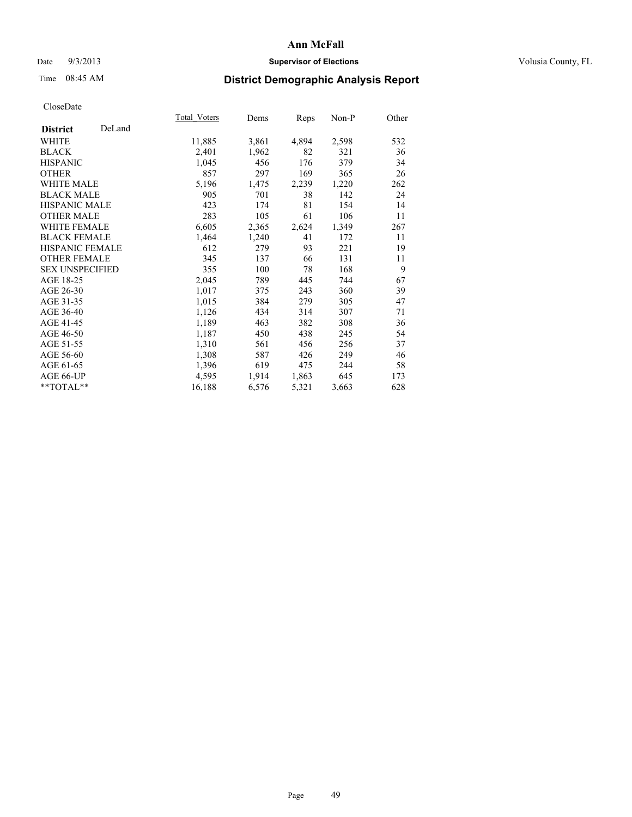## Date  $9/3/2013$  **Supervisor of Elections Supervisor of Elections** Volusia County, FL

# Time 08:45 AM **District Demographic Analysis Report**

|                        |        | Total Voters | Dems  | <b>Reps</b> | Non-P | Other |
|------------------------|--------|--------------|-------|-------------|-------|-------|
| <b>District</b>        | DeLand |              |       |             |       |       |
| WHITE                  |        | 11,885       | 3,861 | 4,894       | 2,598 | 532   |
| <b>BLACK</b>           |        | 2,401        | 1,962 | 82          | 321   | 36    |
| <b>HISPANIC</b>        |        | 1,045        | 456   | 176         | 379   | 34    |
| <b>OTHER</b>           |        | 857          | 297   | 169         | 365   | 26    |
| <b>WHITE MALE</b>      |        | 5,196        | 1,475 | 2,239       | 1,220 | 262   |
| <b>BLACK MALE</b>      |        | 905          | 701   | 38          | 142   | 24    |
| <b>HISPANIC MALE</b>   |        | 423          | 174   | 81          | 154   | 14    |
| <b>OTHER MALE</b>      |        | 283          | 105   | 61          | 106   | 11    |
| <b>WHITE FEMALE</b>    |        | 6,605        | 2,365 | 2,624       | 1,349 | 267   |
| <b>BLACK FEMALE</b>    |        | 1,464        | 1,240 | 41          | 172   | 11    |
| <b>HISPANIC FEMALE</b> |        | 612          | 279   | 93          | 221   | 19    |
| <b>OTHER FEMALE</b>    |        | 345          | 137   | 66          | 131   | 11    |
| <b>SEX UNSPECIFIED</b> |        | 355          | 100   | 78          | 168   | 9     |
| AGE 18-25              |        | 2,045        | 789   | 445         | 744   | 67    |
| AGE 26-30              |        | 1,017        | 375   | 243         | 360   | 39    |
| AGE 31-35              |        | 1,015        | 384   | 279         | 305   | 47    |
| AGE 36-40              |        | 1,126        | 434   | 314         | 307   | 71    |
| AGE 41-45              |        | 1,189        | 463   | 382         | 308   | 36    |
| AGE 46-50              |        | 1,187        | 450   | 438         | 245   | 54    |
| AGE 51-55              |        | 1,310        | 561   | 456         | 256   | 37    |
| AGE 56-60              |        | 1,308        | 587   | 426         | 249   | 46    |
| AGE 61-65              |        | 1,396        | 619   | 475         | 244   | 58    |
| AGE 66-UP              |        | 4,595        | 1,914 | 1,863       | 645   | 173   |
| **TOTAL**              |        | 16,188       | 6,576 | 5,321       | 3,663 | 628   |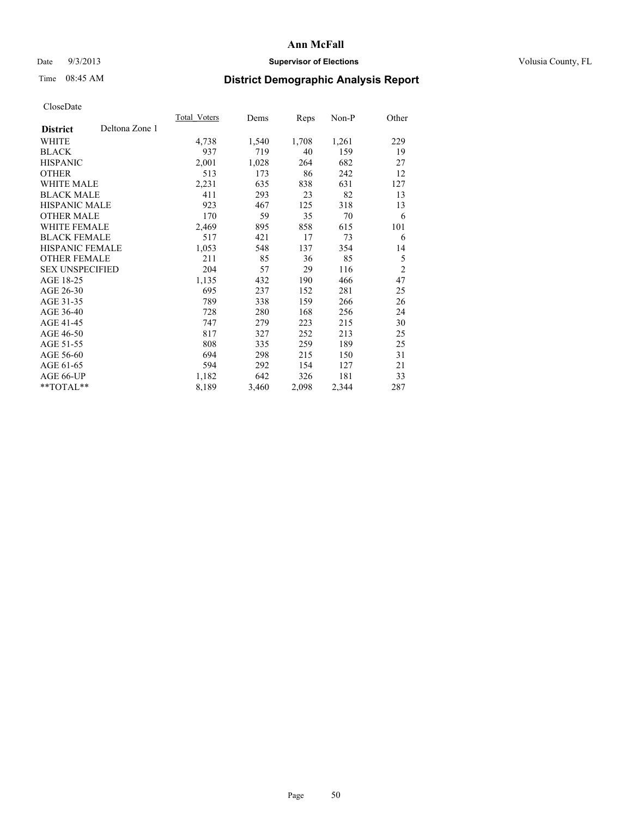### Date  $9/3/2013$  **Supervisor of Elections Supervisor of Elections** Volusia County, FL

# Time 08:45 AM **District Demographic Analysis Report**

|                        |                | Total Voters | Dems  | Reps  | Non-P | Other          |
|------------------------|----------------|--------------|-------|-------|-------|----------------|
| <b>District</b>        | Deltona Zone 1 |              |       |       |       |                |
| WHITE                  |                | 4,738        | 1,540 | 1,708 | 1,261 | 229            |
| <b>BLACK</b>           |                | 937          | 719   | 40    | 159   | 19             |
| <b>HISPANIC</b>        |                | 2,001        | 1,028 | 264   | 682   | 27             |
| <b>OTHER</b>           |                | 513          | 173   | 86    | 242   | 12             |
| <b>WHITE MALE</b>      |                | 2,231        | 635   | 838   | 631   | 127            |
| <b>BLACK MALE</b>      |                | 411          | 293   | 23    | 82    | 13             |
| <b>HISPANIC MALE</b>   |                | 923          | 467   | 125   | 318   | 13             |
| <b>OTHER MALE</b>      |                | 170          | 59    | 35    | 70    | 6              |
| <b>WHITE FEMALE</b>    |                | 2,469        | 895   | 858   | 615   | 101            |
| <b>BLACK FEMALE</b>    |                | 517          | 421   | 17    | 73    | 6              |
| <b>HISPANIC FEMALE</b> |                | 1,053        | 548   | 137   | 354   | 14             |
| <b>OTHER FEMALE</b>    |                | 211          | 85    | 36    | 85    | 5              |
| <b>SEX UNSPECIFIED</b> |                | 204          | 57    | 29    | 116   | $\overline{2}$ |
| AGE 18-25              |                | 1,135        | 432   | 190   | 466   | 47             |
| AGE 26-30              |                | 695          | 237   | 152   | 281   | 25             |
| AGE 31-35              |                | 789          | 338   | 159   | 266   | 26             |
| AGE 36-40              |                | 728          | 280   | 168   | 256   | 24             |
| AGE 41-45              |                | 747          | 279   | 223   | 215   | 30             |
| AGE 46-50              |                | 817          | 327   | 252   | 213   | 25             |
| AGE 51-55              |                | 808          | 335   | 259   | 189   | 25             |
| AGE 56-60              |                | 694          | 298   | 215   | 150   | 31             |
| AGE 61-65              |                | 594          | 292   | 154   | 127   | 21             |
| AGE 66-UP              |                | 1,182        | 642   | 326   | 181   | 33             |
| **TOTAL**              |                | 8,189        | 3,460 | 2,098 | 2,344 | 287            |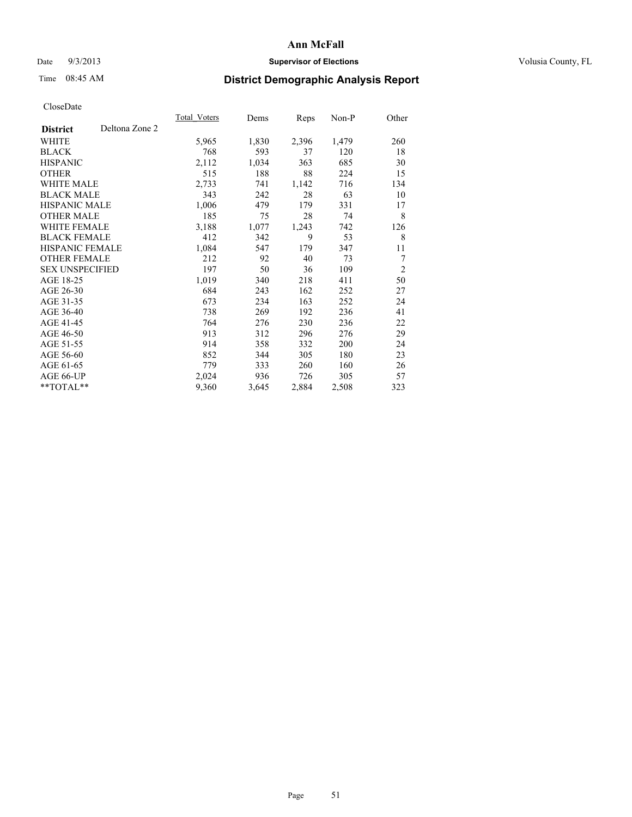## Date  $9/3/2013$  **Supervisor of Elections Supervisor of Elections** Volusia County, FL

# Time 08:45 AM **District Demographic Analysis Report**

|                        |                | <b>Total Voters</b> | Dems  | <b>Reps</b> | $Non-P$ | Other          |
|------------------------|----------------|---------------------|-------|-------------|---------|----------------|
| <b>District</b>        | Deltona Zone 2 |                     |       |             |         |                |
| WHITE                  |                | 5,965               | 1,830 | 2,396       | 1,479   | 260            |
| <b>BLACK</b>           |                | 768                 | 593   | 37          | 120     | 18             |
| <b>HISPANIC</b>        |                | 2,112               | 1,034 | 363         | 685     | 30             |
| <b>OTHER</b>           |                | 515                 | 188   | 88          | 224     | 15             |
| <b>WHITE MALE</b>      |                | 2,733               | 741   | 1,142       | 716     | 134            |
| <b>BLACK MALE</b>      |                | 343                 | 242   | 28          | 63      | 10             |
| <b>HISPANIC MALE</b>   |                | 1,006               | 479   | 179         | 331     | 17             |
| <b>OTHER MALE</b>      |                | 185                 | 75    | 28          | 74      | 8              |
| WHITE FEMALE           |                | 3,188               | 1,077 | 1,243       | 742     | 126            |
| <b>BLACK FEMALE</b>    |                | 412                 | 342   | 9           | 53      | 8              |
| HISPANIC FEMALE        |                | 1,084               | 547   | 179         | 347     | 11             |
| <b>OTHER FEMALE</b>    |                | 212                 | 92    | 40          | 73      | 7              |
| <b>SEX UNSPECIFIED</b> |                | 197                 | 50    | 36          | 109     | $\overline{2}$ |
| AGE 18-25              |                | 1,019               | 340   | 218         | 411     | 50             |
| AGE 26-30              |                | 684                 | 243   | 162         | 252     | 27             |
| AGE 31-35              |                | 673                 | 234   | 163         | 252     | 24             |
| AGE 36-40              |                | 738                 | 269   | 192         | 236     | 41             |
| AGE 41-45              |                | 764                 | 276   | 230         | 236     | 22             |
| AGE 46-50              |                | 913                 | 312   | 296         | 276     | 29             |
| AGE 51-55              |                | 914                 | 358   | 332         | 200     | 24             |
| AGE 56-60              |                | 852                 | 344   | 305         | 180     | 23             |
| AGE 61-65              |                | 779                 | 333   | 260         | 160     | 26             |
| AGE 66-UP              |                | 2,024               | 936   | 726         | 305     | 57             |
| **TOTAL**              |                | 9,360               | 3,645 | 2,884       | 2,508   | 323            |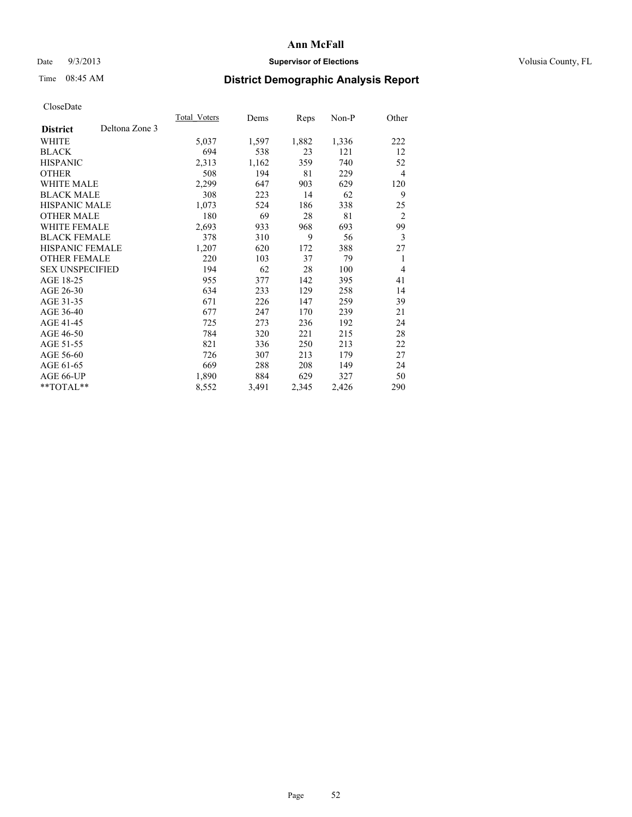## Date  $9/3/2013$  **Supervisor of Elections Supervisor of Elections** Volusia County, FL

## Time 08:45 AM **District Demographic Analysis Report**

|                                   | Total Voters | Dems  | <b>Reps</b> | Non-P | Other          |
|-----------------------------------|--------------|-------|-------------|-------|----------------|
| Deltona Zone 3<br><b>District</b> |              |       |             |       |                |
| WHITE                             | 5,037        | 1,597 | 1,882       | 1,336 | 222            |
| <b>BLACK</b>                      | 694          | 538   | 23          | 121   | 12             |
| <b>HISPANIC</b>                   | 2,313        | 1,162 | 359         | 740   | 52             |
| <b>OTHER</b>                      | 508          | 194   | 81          | 229   | $\overline{4}$ |
| <b>WHITE MALE</b>                 | 2,299        | 647   | 903         | 629   | 120            |
| <b>BLACK MALE</b>                 | 308          | 223   | 14          | 62    | 9              |
| <b>HISPANIC MALE</b>              | 1,073        | 524   | 186         | 338   | 25             |
| <b>OTHER MALE</b>                 | 180          | 69    | 28          | 81    | $\overline{2}$ |
| <b>WHITE FEMALE</b>               | 2,693        | 933   | 968         | 693   | 99             |
| <b>BLACK FEMALE</b>               | 378          | 310   | 9           | 56    | 3              |
| <b>HISPANIC FEMALE</b>            | 1,207        | 620   | 172         | 388   | 27             |
| <b>OTHER FEMALE</b>               | 220          | 103   | 37          | 79    | 1              |
| <b>SEX UNSPECIFIED</b>            | 194          | 62    | 28          | 100   | $\overline{4}$ |
| AGE 18-25                         | 955          | 377   | 142         | 395   | 41             |
| AGE 26-30                         | 634          | 233   | 129         | 258   | 14             |
| AGE 31-35                         | 671          | 226   | 147         | 259   | 39             |
| AGE 36-40                         | 677          | 247   | 170         | 239   | 21             |
| AGE 41-45                         | 725          | 273   | 236         | 192   | 24             |
| AGE 46-50                         | 784          | 320   | 221         | 215   | 28             |
| AGE 51-55                         | 821          | 336   | 250         | 213   | 22             |
| AGE 56-60                         | 726          | 307   | 213         | 179   | 27             |
| AGE 61-65                         | 669          | 288   | 208         | 149   | 24             |
| AGE 66-UP                         | 1,890        | 884   | 629         | 327   | 50             |
| **TOTAL**                         | 8,552        | 3,491 | 2,345       | 2,426 | 290            |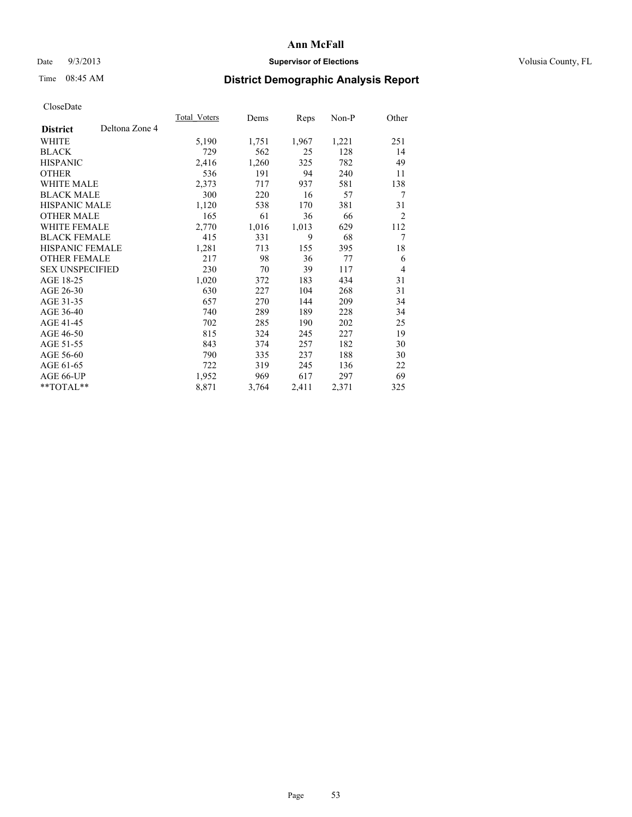## Date  $9/3/2013$  **Supervisor of Elections Supervisor of Elections** Volusia County, FL

# Time 08:45 AM **District Demographic Analysis Report**

|                        |                | Total Voters | Dems  | <b>Reps</b> | Non-P | Other          |
|------------------------|----------------|--------------|-------|-------------|-------|----------------|
| <b>District</b>        | Deltona Zone 4 |              |       |             |       |                |
| WHITE                  |                | 5,190        | 1,751 | 1,967       | 1,221 | 251            |
| <b>BLACK</b>           |                | 729          | 562   | 25          | 128   | 14             |
| <b>HISPANIC</b>        |                | 2,416        | 1,260 | 325         | 782   | 49             |
| <b>OTHER</b>           |                | 536          | 191   | 94          | 240   | 11             |
| <b>WHITE MALE</b>      |                | 2,373        | 717   | 937         | 581   | 138            |
| <b>BLACK MALE</b>      |                | 300          | 220   | 16          | 57    | 7              |
| HISPANIC MALE          |                | 1,120        | 538   | 170         | 381   | 31             |
| <b>OTHER MALE</b>      |                | 165          | 61    | 36          | 66    | $\overline{2}$ |
| WHITE FEMALE           |                | 2,770        | 1,016 | 1,013       | 629   | 112            |
| <b>BLACK FEMALE</b>    |                | 415          | 331   | 9           | 68    | 7              |
| HISPANIC FEMALE        |                | 1,281        | 713   | 155         | 395   | 18             |
| <b>OTHER FEMALE</b>    |                | 217          | 98    | 36          | 77    | 6              |
| <b>SEX UNSPECIFIED</b> |                | 230          | 70    | 39          | 117   | $\overline{4}$ |
| AGE 18-25              |                | 1,020        | 372   | 183         | 434   | 31             |
| AGE 26-30              |                | 630          | 227   | 104         | 268   | 31             |
| AGE 31-35              |                | 657          | 270   | 144         | 209   | 34             |
| AGE 36-40              |                | 740          | 289   | 189         | 228   | 34             |
| AGE 41-45              |                | 702          | 285   | 190         | 202   | 25             |
| AGE 46-50              |                | 815          | 324   | 245         | 227   | 19             |
| AGE 51-55              |                | 843          | 374   | 257         | 182   | 30             |
| AGE 56-60              |                | 790          | 335   | 237         | 188   | 30             |
| AGE 61-65              |                | 722          | 319   | 245         | 136   | 22             |
| AGE 66-UP              |                | 1,952        | 969   | 617         | 297   | 69             |
| **TOTAL**              |                | 8,871        | 3,764 | 2,411       | 2,371 | 325            |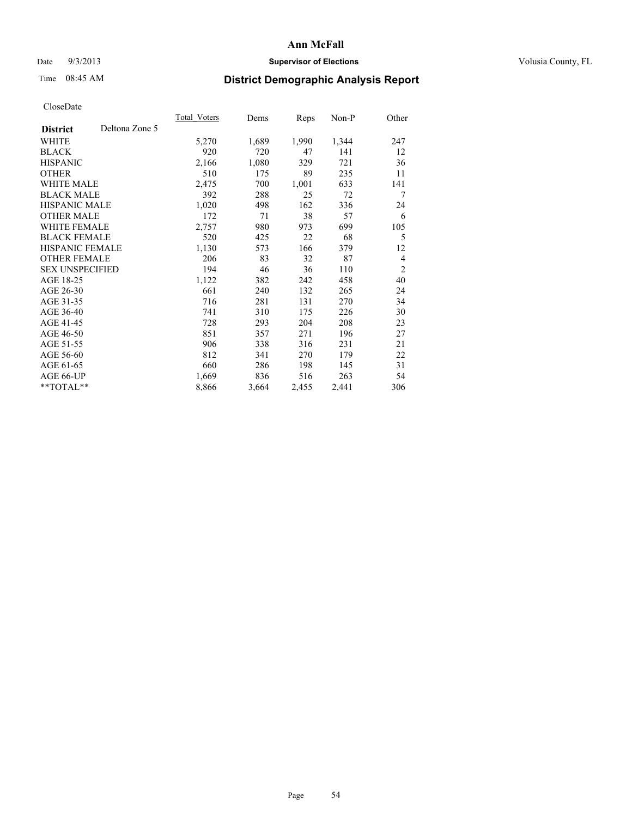## Date  $9/3/2013$  **Supervisor of Elections Supervisor of Elections** Volusia County, FL

# Time 08:45 AM **District Demographic Analysis Report**

|                        |                | Total Voters | Dems  | Reps  | Non-P | Other          |
|------------------------|----------------|--------------|-------|-------|-------|----------------|
| <b>District</b>        | Deltona Zone 5 |              |       |       |       |                |
| WHITE                  |                | 5,270        | 1,689 | 1,990 | 1,344 | 247            |
| <b>BLACK</b>           |                | 920          | 720   | 47    | 141   | 12             |
| <b>HISPANIC</b>        |                | 2,166        | 1,080 | 329   | 721   | 36             |
| <b>OTHER</b>           |                | 510          | 175   | 89    | 235   | 11             |
| <b>WHITE MALE</b>      |                | 2,475        | 700   | 1,001 | 633   | 141            |
| <b>BLACK MALE</b>      |                | 392          | 288   | 25    | 72    | 7              |
| <b>HISPANIC MALE</b>   |                | 1,020        | 498   | 162   | 336   | 24             |
| <b>OTHER MALE</b>      |                | 172          | 71    | 38    | 57    | 6              |
| <b>WHITE FEMALE</b>    |                | 2,757        | 980   | 973   | 699   | 105            |
| <b>BLACK FEMALE</b>    |                | 520          | 425   | 22    | 68    | 5              |
| HISPANIC FEMALE        |                | 1,130        | 573   | 166   | 379   | 12             |
| <b>OTHER FEMALE</b>    |                | 206          | 83    | 32    | 87    | 4              |
| <b>SEX UNSPECIFIED</b> |                | 194          | 46    | 36    | 110   | $\overline{2}$ |
| AGE 18-25              |                | 1,122        | 382   | 242   | 458   | 40             |
| AGE 26-30              |                | 661          | 240   | 132   | 265   | 24             |
| AGE 31-35              |                | 716          | 281   | 131   | 270   | 34             |
| AGE 36-40              |                | 741          | 310   | 175   | 226   | 30             |
| AGE 41-45              |                | 728          | 293   | 204   | 208   | 23             |
| AGE 46-50              |                | 851          | 357   | 271   | 196   | 27             |
| AGE 51-55              |                | 906          | 338   | 316   | 231   | 21             |
| AGE 56-60              |                | 812          | 341   | 270   | 179   | 22             |
| AGE 61-65              |                | 660          | 286   | 198   | 145   | 31             |
| AGE 66-UP              |                | 1,669        | 836   | 516   | 263   | 54             |
| **TOTAL**              |                | 8,866        | 3,664 | 2,455 | 2,441 | 306            |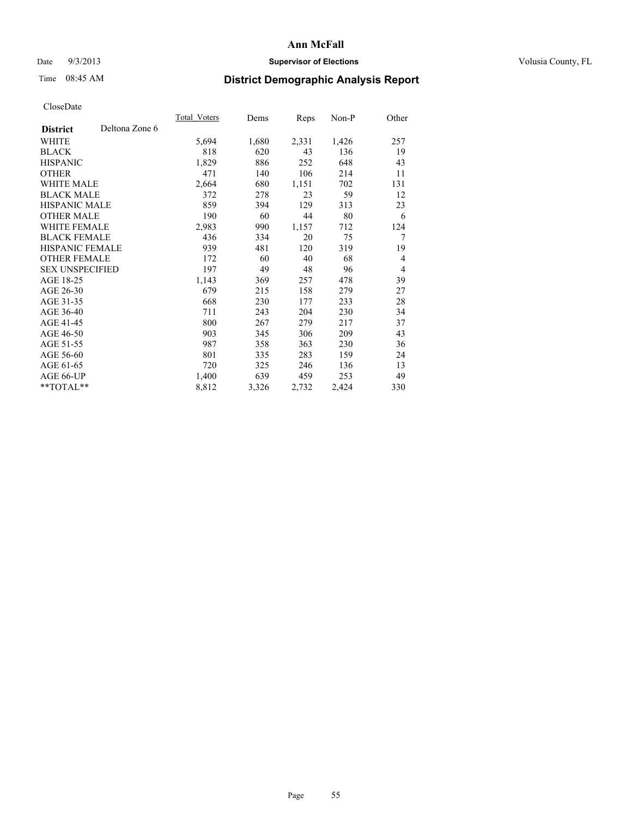## Date  $9/3/2013$  **Supervisor of Elections Supervisor of Elections** Volusia County, FL

# Time 08:45 AM **District Demographic Analysis Report**

|                        |                | Total Voters | Dems  | Reps  | Non-P | Other |
|------------------------|----------------|--------------|-------|-------|-------|-------|
| <b>District</b>        | Deltona Zone 6 |              |       |       |       |       |
| WHITE                  |                | 5,694        | 1,680 | 2,331 | 1,426 | 257   |
| <b>BLACK</b>           |                | 818          | 620   | 43    | 136   | 19    |
| <b>HISPANIC</b>        |                | 1,829        | 886   | 252   | 648   | 43    |
| <b>OTHER</b>           |                | 471          | 140   | 106   | 214   | 11    |
| WHITE MALE             |                | 2,664        | 680   | 1,151 | 702   | 131   |
| <b>BLACK MALE</b>      |                | 372          | 278   | 23    | 59    | 12    |
| <b>HISPANIC MALE</b>   |                | 859          | 394   | 129   | 313   | 23    |
| <b>OTHER MALE</b>      |                | 190          | 60    | 44    | 80    | 6     |
| <b>WHITE FEMALE</b>    |                | 2,983        | 990   | 1,157 | 712   | 124   |
| <b>BLACK FEMALE</b>    |                | 436          | 334   | 20    | 75    | 7     |
| HISPANIC FEMALE        |                | 939          | 481   | 120   | 319   | 19    |
| <b>OTHER FEMALE</b>    |                | 172          | 60    | 40    | 68    | 4     |
| <b>SEX UNSPECIFIED</b> |                | 197          | 49    | 48    | 96    | 4     |
| AGE 18-25              |                | 1,143        | 369   | 257   | 478   | 39    |
| AGE 26-30              |                | 679          | 215   | 158   | 279   | 27    |
| AGE 31-35              |                | 668          | 230   | 177   | 233   | 28    |
| AGE 36-40              |                | 711          | 243   | 204   | 230   | 34    |
| AGE 41-45              |                | 800          | 267   | 279   | 217   | 37    |
| AGE 46-50              |                | 903          | 345   | 306   | 209   | 43    |
| AGE 51-55              |                | 987          | 358   | 363   | 230   | 36    |
| AGE 56-60              |                | 801          | 335   | 283   | 159   | 24    |
| AGE 61-65              |                | 720          | 325   | 246   | 136   | 13    |
| AGE 66-UP              |                | 1,400        | 639   | 459   | 253   | 49    |
| **TOTAL**              |                | 8,812        | 3,326 | 2,732 | 2,424 | 330   |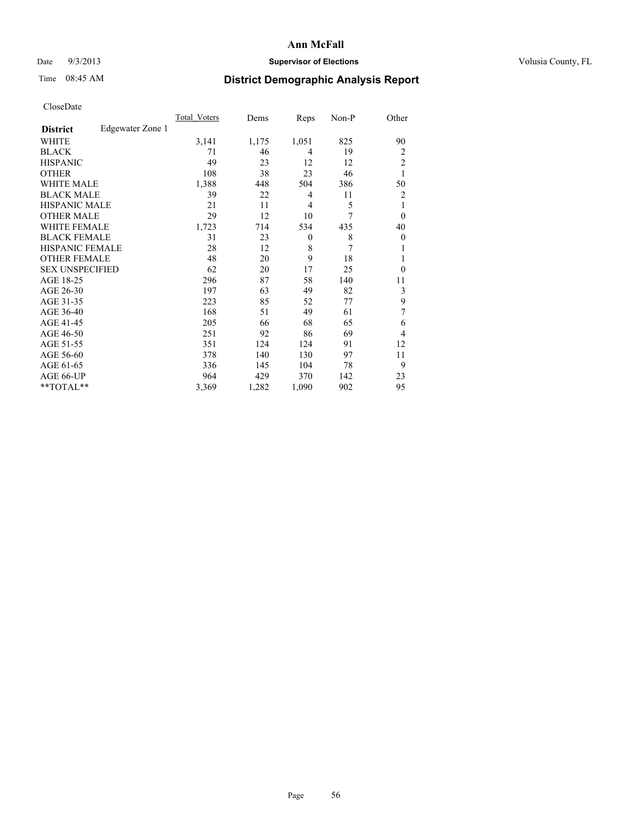## Date  $9/3/2013$  **Supervisor of Elections Supervisor of Elections** Volusia County, FL

## Time 08:45 AM **District Demographic Analysis Report**

|                        |                  | <b>Total Voters</b> | Dems  | Reps     | Non-P          | Other          |
|------------------------|------------------|---------------------|-------|----------|----------------|----------------|
| <b>District</b>        | Edgewater Zone 1 |                     |       |          |                |                |
| WHITE                  |                  | 3,141               | 1,175 | 1,051    | 825            | 90             |
| <b>BLACK</b>           |                  | 71                  | 46    | 4        | 19             | 2              |
| <b>HISPANIC</b>        |                  | 49                  | 23    | 12       | 12             | $\overline{c}$ |
| <b>OTHER</b>           |                  | 108                 | 38    | 23       | 46             | 1              |
| WHITE MALE             |                  | 1,388               | 448   | 504      | 386            | 50             |
| <b>BLACK MALE</b>      |                  | 39                  | 22    | 4        | 11             | 2              |
| <b>HISPANIC MALE</b>   |                  | 21                  | 11    | 4        | 5              | 1              |
| <b>OTHER MALE</b>      |                  | 29                  | 12    | 10       | 7              | $\theta$       |
| WHITE FEMALE           |                  | 1,723               | 714   | 534      | 435            | 40             |
| <b>BLACK FEMALE</b>    |                  | 31                  | 23    | $\theta$ | 8              | $\theta$       |
| <b>HISPANIC FEMALE</b> |                  | 28                  | 12    | 8        | $\overline{7}$ | 1              |
| <b>OTHER FEMALE</b>    |                  | 48                  | 20    | 9        | 18             | 1              |
| <b>SEX UNSPECIFIED</b> |                  | 62                  | 20    | 17       | 25             | $\theta$       |
| AGE 18-25              |                  | 296                 | 87    | 58       | 140            | 11             |
| AGE 26-30              |                  | 197                 | 63    | 49       | 82             | 3              |
| AGE 31-35              |                  | 223                 | 85    | 52       | 77             | 9              |
| AGE 36-40              |                  | 168                 | 51    | 49       | 61             | 7              |
| AGE 41-45              |                  | 205                 | 66    | 68       | 65             | 6              |
| AGE 46-50              |                  | 251                 | 92    | 86       | 69             | 4              |
| AGE 51-55              |                  | 351                 | 124   | 124      | 91             | 12             |
| AGE 56-60              |                  | 378                 | 140   | 130      | 97             | 11             |
| AGE 61-65              |                  | 336                 | 145   | 104      | 78             | 9              |
| AGE 66-UP              |                  | 964                 | 429   | 370      | 142            | 23             |
| **TOTAL**              |                  | 3,369               | 1,282 | 1,090    | 902            | 95             |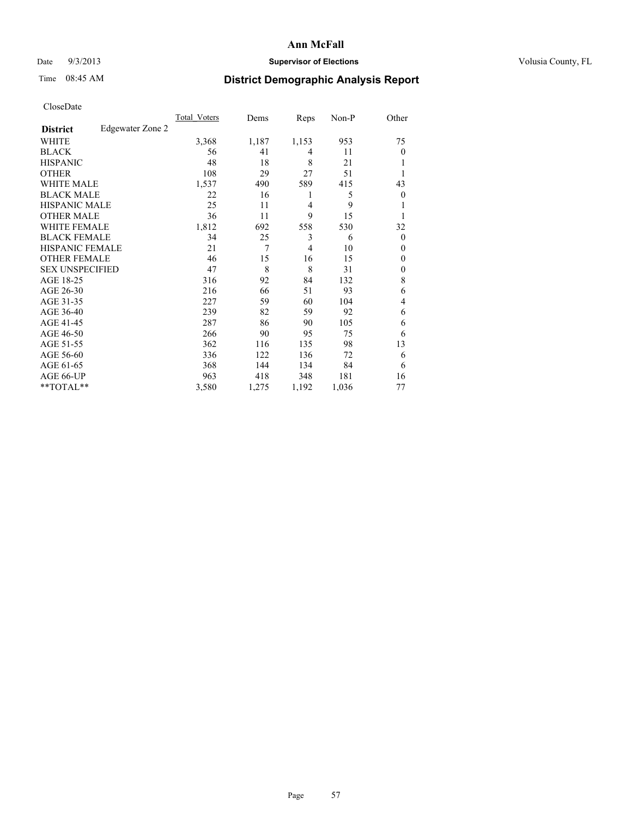## Date  $9/3/2013$  **Supervisor of Elections Supervisor of Elections** Volusia County, FL

# Time 08:45 AM **District Demographic Analysis Report**

|                        |                  | <b>Total Voters</b> | Dems  | Reps           | Non-P | Other          |
|------------------------|------------------|---------------------|-------|----------------|-------|----------------|
| <b>District</b>        | Edgewater Zone 2 |                     |       |                |       |                |
| WHITE                  |                  | 3,368               | 1,187 | 1,153          | 953   | 75             |
| <b>BLACK</b>           |                  | 56                  | 41    | 4              | 11    | $\Omega$       |
| <b>HISPANIC</b>        |                  | 48                  | 18    | 8              | 21    |                |
| <b>OTHER</b>           |                  | 108                 | 29    | 27             | 51    |                |
| WHITE MALE             |                  | 1,537               | 490   | 589            | 415   | 43             |
| <b>BLACK MALE</b>      |                  | 22                  | 16    | 1              | 5     | $\overline{0}$ |
| <b>HISPANIC MALE</b>   |                  | 25                  | 11    | $\overline{4}$ | 9     |                |
| <b>OTHER MALE</b>      |                  | 36                  | 11    | 9              | 15    |                |
| <b>WHITE FEMALE</b>    |                  | 1,812               | 692   | 558            | 530   | 32             |
| <b>BLACK FEMALE</b>    |                  | 34                  | 25    | 3              | 6     | $\overline{0}$ |
| <b>HISPANIC FEMALE</b> |                  | 21                  | 7     | $\overline{4}$ | 10    | $\Omega$       |
| <b>OTHER FEMALE</b>    |                  | 46                  | 15    | 16             | 15    | $\Omega$       |
| <b>SEX UNSPECIFIED</b> |                  | 47                  | 8     | 8              | 31    | $\overline{0}$ |
| AGE 18-25              |                  | 316                 | 92    | 84             | 132   | 8              |
| AGE 26-30              |                  | 216                 | 66    | 51             | 93    | 6              |
| AGE 31-35              |                  | 227                 | 59    | 60             | 104   | 4              |
| AGE 36-40              |                  | 239                 | 82    | 59             | 92    | 6              |
| AGE 41-45              |                  | 287                 | 86    | 90             | 105   | 6              |
| AGE 46-50              |                  | 266                 | 90    | 95             | 75    | 6              |
| AGE 51-55              |                  | 362                 | 116   | 135            | 98    | 13             |
| AGE 56-60              |                  | 336                 | 122   | 136            | 72    | 6              |
| AGE 61-65              |                  | 368                 | 144   | 134            | 84    | 6              |
| AGE 66-UP              |                  | 963                 | 418   | 348            | 181   | 16             |
| **TOTAL**              |                  | 3,580               | 1,275 | 1,192          | 1,036 | 77             |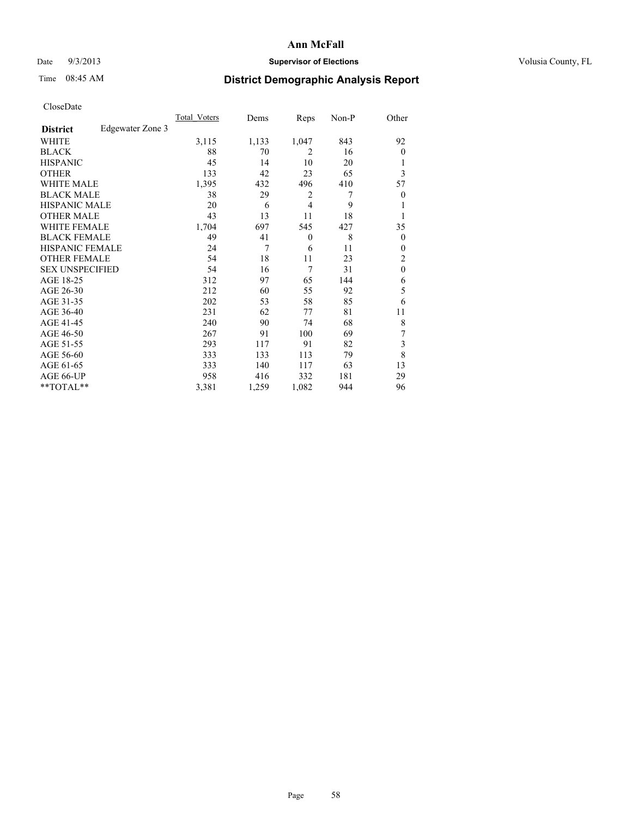## Date  $9/3/2013$  **Supervisor of Elections Supervisor of Elections** Volusia County, FL

# Time 08:45 AM **District Demographic Analysis Report**

|                        |                  | <b>Total Voters</b> | Dems  | Reps         | Non-P | Other            |
|------------------------|------------------|---------------------|-------|--------------|-------|------------------|
| <b>District</b>        | Edgewater Zone 3 |                     |       |              |       |                  |
| WHITE                  |                  | 3,115               | 1,133 | 1,047        | 843   | 92               |
| <b>BLACK</b>           |                  | 88                  | 70    | 2            | 16    | $\theta$         |
| <b>HISPANIC</b>        |                  | 45                  | 14    | 10           | 20    | 1                |
| <b>OTHER</b>           |                  | 133                 | 42    | 23           | 65    | 3                |
| WHITE MALE             |                  | 1,395               | 432   | 496          | 410   | 57               |
| <b>BLACK MALE</b>      |                  | 38                  | 29    | 2            | 7     | $\boldsymbol{0}$ |
| <b>HISPANIC MALE</b>   |                  | 20                  | 6     | 4            | 9     | 1                |
| <b>OTHER MALE</b>      |                  | 43                  | 13    | 11           | 18    | 1                |
| <b>WHITE FEMALE</b>    |                  | 1,704               | 697   | 545          | 427   | 35               |
| <b>BLACK FEMALE</b>    |                  | 49                  | 41    | $\mathbf{0}$ | 8     | $\overline{0}$   |
| <b>HISPANIC FEMALE</b> |                  | 24                  | 7     | 6            | 11    | $\theta$         |
| <b>OTHER FEMALE</b>    |                  | 54                  | 18    | 11           | 23    | 2                |
| <b>SEX UNSPECIFIED</b> |                  | 54                  | 16    | 7            | 31    | $\mathbf{0}$     |
| AGE 18-25              |                  | 312                 | 97    | 65           | 144   | 6                |
| AGE 26-30              |                  | 212                 | 60    | 55           | 92    | 5                |
| AGE 31-35              |                  | 202                 | 53    | 58           | 85    | 6                |
| AGE 36-40              |                  | 231                 | 62    | 77           | 81    | 11               |
| AGE 41-45              |                  | 240                 | 90    | 74           | 68    | 8                |
| AGE 46-50              |                  | 267                 | 91    | 100          | 69    | 7                |
| AGE 51-55              |                  | 293                 | 117   | 91           | 82    | 3                |
| AGE 56-60              |                  | 333                 | 133   | 113          | 79    | 8                |
| AGE 61-65              |                  | 333                 | 140   | 117          | 63    | 13               |
| AGE 66-UP              |                  | 958                 | 416   | 332          | 181   | 29               |
| **TOTAL**              |                  | 3,381               | 1,259 | 1,082        | 944   | 96               |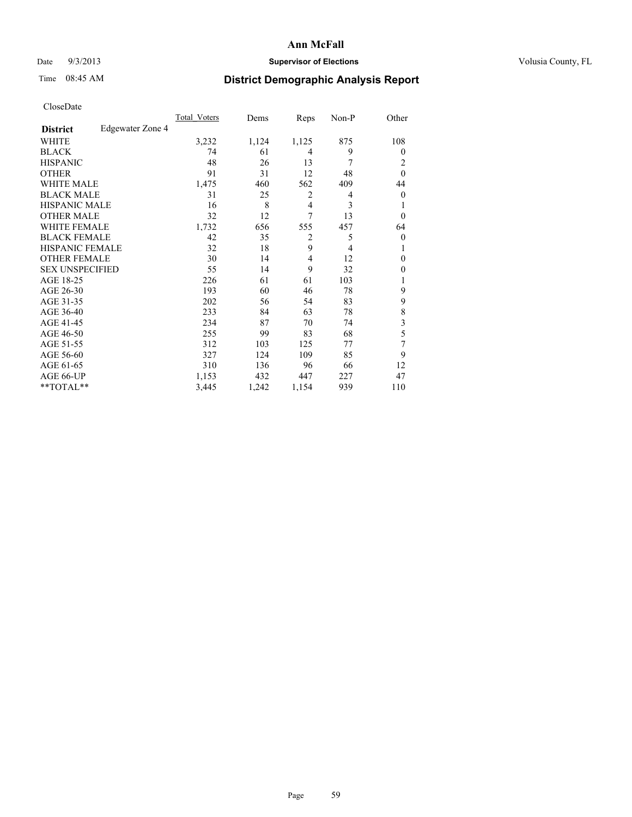## Date  $9/3/2013$  **Supervisor of Elections Supervisor of Elections** Volusia County, FL

# Time 08:45 AM **District Demographic Analysis Report**

|                        |                  | <b>Total Voters</b> | Dems  | Reps           | Non-P | Other          |
|------------------------|------------------|---------------------|-------|----------------|-------|----------------|
| <b>District</b>        | Edgewater Zone 4 |                     |       |                |       |                |
| WHITE                  |                  | 3,232               | 1,124 | 1,125          | 875   | 108            |
| <b>BLACK</b>           |                  | 74                  | 61    | 4              | 9     | $\Omega$       |
| <b>HISPANIC</b>        |                  | 48                  | 26    | 13             | 7     | 2              |
| <b>OTHER</b>           |                  | 91                  | 31    | 12             | 48    | $\theta$       |
| WHITE MALE             |                  | 1,475               | 460   | 562            | 409   | 44             |
| <b>BLACK MALE</b>      |                  | 31                  | 25    | 2              | 4     | $\overline{0}$ |
| <b>HISPANIC MALE</b>   |                  | 16                  | 8     | 4              | 3     |                |
| <b>OTHER MALE</b>      |                  | 32                  | 12    | 7              | 13    | $\Omega$       |
| <b>WHITE FEMALE</b>    |                  | 1,732               | 656   | 555            | 457   | 64             |
| <b>BLACK FEMALE</b>    |                  | 42                  | 35    | $\overline{2}$ | 5     | $\overline{0}$ |
| <b>HISPANIC FEMALE</b> |                  | 32                  | 18    | 9              | 4     |                |
| <b>OTHER FEMALE</b>    |                  | 30                  | 14    | 4              | 12    | $\theta$       |
| <b>SEX UNSPECIFIED</b> |                  | 55                  | 14    | 9              | 32    | $\Omega$       |
| AGE 18-25              |                  | 226                 | 61    | 61             | 103   |                |
| AGE 26-30              |                  | 193                 | 60    | 46             | 78    | 9              |
| AGE 31-35              |                  | 202                 | 56    | 54             | 83    | 9              |
| AGE 36-40              |                  | 233                 | 84    | 63             | 78    | 8              |
| AGE 41-45              |                  | 234                 | 87    | 70             | 74    | 3              |
| AGE 46-50              |                  | 255                 | 99    | 83             | 68    | 5              |
| AGE 51-55              |                  | 312                 | 103   | 125            | 77    | 7              |
| AGE 56-60              |                  | 327                 | 124   | 109            | 85    | 9              |
| AGE 61-65              |                  | 310                 | 136   | 96             | 66    | 12             |
| AGE 66-UP              |                  | 1,153               | 432   | 447            | 227   | 47             |
| **TOTAL**              |                  | 3,445               | 1,242 | 1,154          | 939   | 110            |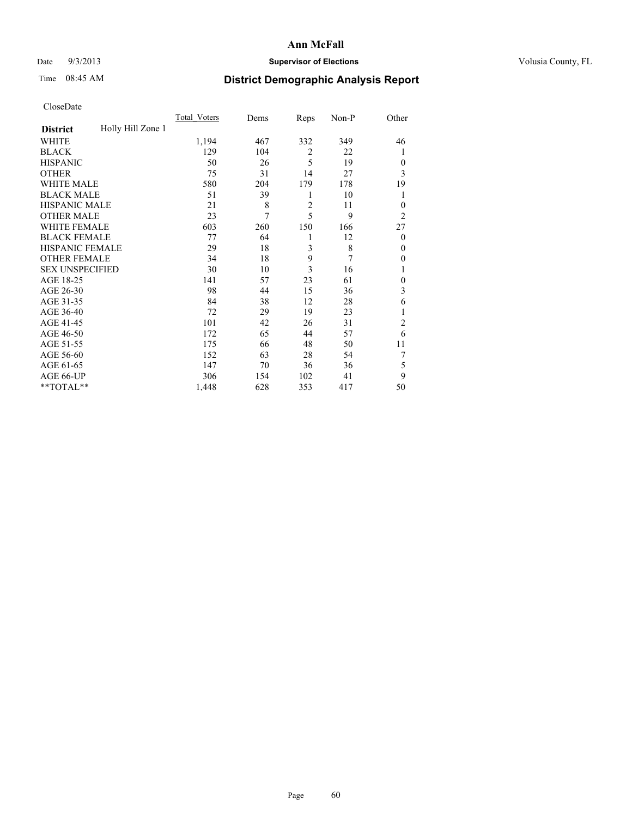## Date  $9/3/2013$  **Supervisor of Elections Supervisor of Elections** Volusia County, FL

# Time 08:45 AM **District Demographic Analysis Report**

|                        |                   | <b>Total Voters</b> | Dems | Reps           | Non-P | Other          |
|------------------------|-------------------|---------------------|------|----------------|-------|----------------|
| <b>District</b>        | Holly Hill Zone 1 |                     |      |                |       |                |
| WHITE                  |                   | 1,194               | 467  | 332            | 349   | 46             |
| <b>BLACK</b>           |                   | 129                 | 104  | $\overline{2}$ | 22    | 1              |
| <b>HISPANIC</b>        |                   | 50                  | 26   | 5              | 19    | $\Omega$       |
| <b>OTHER</b>           |                   | 75                  | 31   | 14             | 27    | 3              |
| WHITE MALE             |                   | 580                 | 204  | 179            | 178   | 19             |
| <b>BLACK MALE</b>      |                   | 51                  | 39   | 1              | 10    | 1              |
| <b>HISPANIC MALE</b>   |                   | 21                  | 8    | $\overline{2}$ | 11    | $\overline{0}$ |
| <b>OTHER MALE</b>      |                   | 23                  | 7    | 5              | 9     | $\overline{2}$ |
| WHITE FEMALE           |                   | 603                 | 260  | 150            | 166   | 27             |
| <b>BLACK FEMALE</b>    |                   | 77                  | 64   | 1              | 12    | $\overline{0}$ |
| <b>HISPANIC FEMALE</b> |                   | 29                  | 18   | 3              | 8     | $\Omega$       |
| <b>OTHER FEMALE</b>    |                   | 34                  | 18   | 9              | 7     | $\Omega$       |
| <b>SEX UNSPECIFIED</b> |                   | 30                  | 10   | 3              | 16    |                |
| AGE 18-25              |                   | 141                 | 57   | 23             | 61    | $\theta$       |
| AGE 26-30              |                   | 98                  | 44   | 15             | 36    | 3              |
| AGE 31-35              |                   | 84                  | 38   | 12             | 28    | 6              |
| AGE 36-40              |                   | 72                  | 29   | 19             | 23    | 1              |
| AGE 41-45              |                   | 101                 | 42   | 26             | 31    | $\overline{c}$ |
| AGE 46-50              |                   | 172                 | 65   | 44             | 57    | 6              |
| AGE 51-55              |                   | 175                 | 66   | 48             | 50    | 11             |
| AGE 56-60              |                   | 152                 | 63   | 28             | 54    | 7              |
| AGE 61-65              |                   | 147                 | 70   | 36             | 36    | 5              |
| AGE 66-UP              |                   | 306                 | 154  | 102            | 41    | 9              |
| **TOTAL**              |                   | 1,448               | 628  | 353            | 417   | 50             |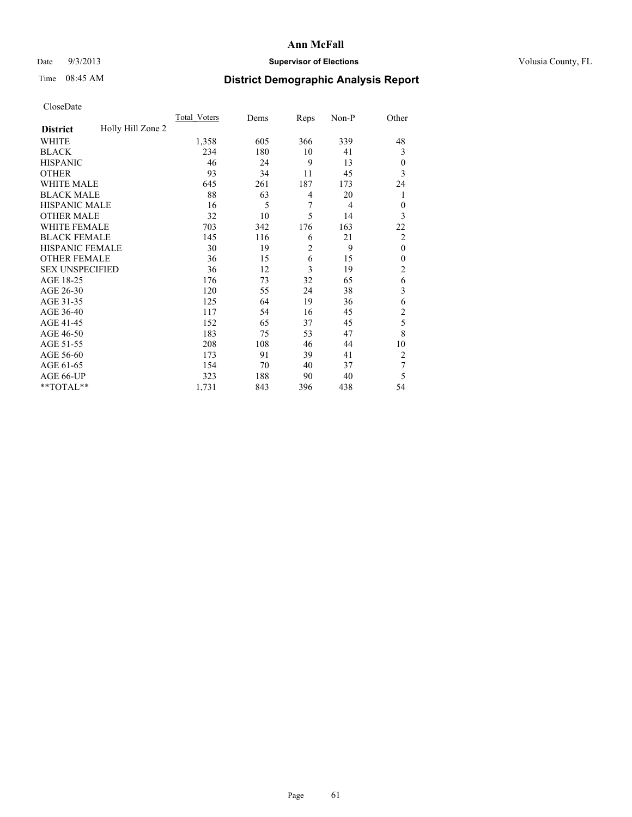## Date  $9/3/2013$  **Supervisor of Elections Supervisor of Elections** Volusia County, FL

## Time 08:45 AM **District Demographic Analysis Report**

|                        |                   | <b>Total Voters</b> | Dems | Reps           | Non-P          | Other                   |
|------------------------|-------------------|---------------------|------|----------------|----------------|-------------------------|
| <b>District</b>        | Holly Hill Zone 2 |                     |      |                |                |                         |
| WHITE                  |                   | 1,358               | 605  | 366            | 339            | 48                      |
| <b>BLACK</b>           |                   | 234                 | 180  | 10             | 41             | 3                       |
| <b>HISPANIC</b>        |                   | 46                  | 24   | 9              | 13             | $\overline{0}$          |
| <b>OTHER</b>           |                   | 93                  | 34   | 11             | 45             | 3                       |
| <b>WHITE MALE</b>      |                   | 645                 | 261  | 187            | 173            | 24                      |
| <b>BLACK MALE</b>      |                   | 88                  | 63   | 4              | 20             | 1                       |
| <b>HISPANIC MALE</b>   |                   | 16                  | 5    | 7              | $\overline{4}$ | $\theta$                |
| <b>OTHER MALE</b>      |                   | 32                  | 10   | 5              | 14             | 3                       |
| <b>WHITE FEMALE</b>    |                   | 703                 | 342  | 176            | 163            | 22                      |
| <b>BLACK FEMALE</b>    |                   | 145                 | 116  | 6              | 21             | $\overline{2}$          |
| <b>HISPANIC FEMALE</b> |                   | 30                  | 19   | $\overline{2}$ | 9              | $\mathbf{0}$            |
| <b>OTHER FEMALE</b>    |                   | 36                  | 15   | 6              | 15             | $\theta$                |
| <b>SEX UNSPECIFIED</b> |                   | 36                  | 12   | 3              | 19             | $\overline{c}$          |
| AGE 18-25              |                   | 176                 | 73   | 32             | 65             | 6                       |
| AGE 26-30              |                   | 120                 | 55   | 24             | 38             | 3                       |
| AGE 31-35              |                   | 125                 | 64   | 19             | 36             | 6                       |
| AGE 36-40              |                   | 117                 | 54   | 16             | 45             | $\overline{\mathbf{c}}$ |
| AGE 41-45              |                   | 152                 | 65   | 37             | 45             | 5                       |
| AGE 46-50              |                   | 183                 | 75   | 53             | 47             | 8                       |
| AGE 51-55              |                   | 208                 | 108  | 46             | 44             | 10                      |
| AGE 56-60              |                   | 173                 | 91   | 39             | 41             | $\overline{2}$          |
| AGE 61-65              |                   | 154                 | 70   | 40             | 37             | 7                       |
| AGE 66-UP              |                   | 323                 | 188  | 90             | 40             | 5                       |
| **TOTAL**              |                   | 1,731               | 843  | 396            | 438            | 54                      |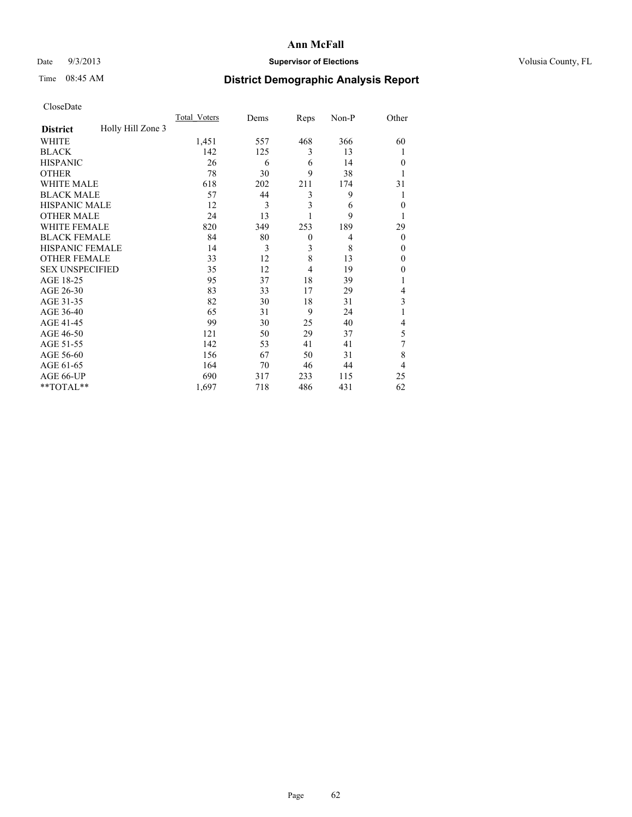## Date  $9/3/2013$  **Supervisor of Elections Supervisor of Elections** Volusia County, FL

# Time 08:45 AM **District Demographic Analysis Report**

|                        |                   | <b>Total Voters</b> | Dems | Reps     | Non-P | Other        |
|------------------------|-------------------|---------------------|------|----------|-------|--------------|
| <b>District</b>        | Holly Hill Zone 3 |                     |      |          |       |              |
| WHITE                  |                   | 1,451               | 557  | 468      | 366   | 60           |
| <b>BLACK</b>           |                   | 142                 | 125  | 3        | 13    | 1            |
| <b>HISPANIC</b>        |                   | 26                  | 6    | 6        | 14    | $\theta$     |
| <b>OTHER</b>           |                   | 78                  | 30   | 9        | 38    |              |
| WHITE MALE             |                   | 618                 | 202  | 211      | 174   | 31           |
| <b>BLACK MALE</b>      |                   | 57                  | 44   | 3        | 9     | 1            |
| <b>HISPANIC MALE</b>   |                   | 12                  | 3    | 3        | 6     | $\mathbf{0}$ |
| <b>OTHER MALE</b>      |                   | 24                  | 13   |          | 9     | 1            |
| WHITE FEMALE           |                   | 820                 | 349  | 253      | 189   | 29           |
| <b>BLACK FEMALE</b>    |                   | 84                  | 80   | $\theta$ | 4     | $\theta$     |
| <b>HISPANIC FEMALE</b> |                   | 14                  | 3    | 3        | 8     | $\theta$     |
| <b>OTHER FEMALE</b>    |                   | 33                  | 12   | 8        | 13    | $\theta$     |
| <b>SEX UNSPECIFIED</b> |                   | 35                  | 12   | 4        | 19    | $\mathbf{0}$ |
| AGE 18-25              |                   | 95                  | 37   | 18       | 39    |              |
| AGE 26-30              |                   | 83                  | 33   | 17       | 29    | 4            |
| AGE 31-35              |                   | 82                  | 30   | 18       | 31    | 3            |
| AGE 36-40              |                   | 65                  | 31   | 9        | 24    |              |
| AGE 41-45              |                   | 99                  | 30   | 25       | 40    | 4            |
| AGE 46-50              |                   | 121                 | 50   | 29       | 37    | 5            |
| AGE 51-55              |                   | 142                 | 53   | 41       | 41    | 7            |
| AGE 56-60              |                   | 156                 | 67   | 50       | 31    | 8            |
| AGE 61-65              |                   | 164                 | 70   | 46       | 44    | 4            |
| AGE 66-UP              |                   | 690                 | 317  | 233      | 115   | 25           |
| **TOTAL**              |                   | 1,697               | 718  | 486      | 431   | 62           |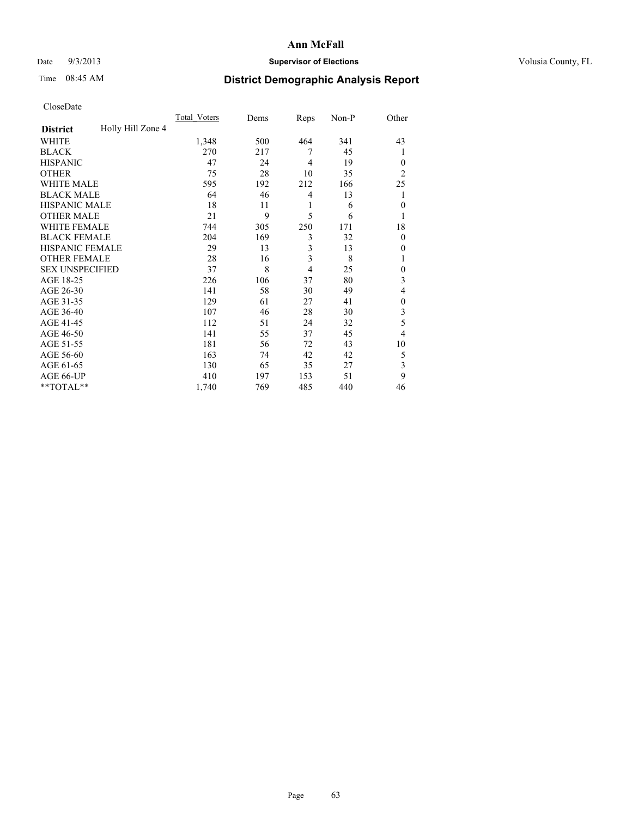## Date  $9/3/2013$  **Supervisor of Elections Supervisor of Elections** Volusia County, FL

# Time 08:45 AM **District Demographic Analysis Report**

|                        |                   | <b>Total Voters</b> | Dems | Reps           | Non-P | Other          |
|------------------------|-------------------|---------------------|------|----------------|-------|----------------|
| <b>District</b>        | Holly Hill Zone 4 |                     |      |                |       |                |
| WHITE                  |                   | 1,348               | 500  | 464            | 341   | 43             |
| <b>BLACK</b>           |                   | 270                 | 217  | 7              | 45    | 1              |
| <b>HISPANIC</b>        |                   | 47                  | 24   | 4              | 19    | $\Omega$       |
| <b>OTHER</b>           |                   | 75                  | 28   | 10             | 35    | $\overline{2}$ |
| WHITE MALE             |                   | 595                 | 192  | 212            | 166   | 25             |
| <b>BLACK MALE</b>      |                   | 64                  | 46   | 4              | 13    | 1              |
| <b>HISPANIC MALE</b>   |                   | 18                  | 11   | 1              | 6     | $\overline{0}$ |
| <b>OTHER MALE</b>      |                   | 21                  | 9    | 5              | 6     | 1              |
| WHITE FEMALE           |                   | 744                 | 305  | 250            | 171   | 18             |
| <b>BLACK FEMALE</b>    |                   | 204                 | 169  | 3              | 32    | $\overline{0}$ |
| <b>HISPANIC FEMALE</b> |                   | 29                  | 13   | 3              | 13    | $\Omega$       |
| <b>OTHER FEMALE</b>    |                   | 28                  | 16   | 3              | 8     |                |
| <b>SEX UNSPECIFIED</b> |                   | 37                  | 8    | $\overline{4}$ | 25    | $\theta$       |
| AGE 18-25              |                   | 226                 | 106  | 37             | 80    | 3              |
| AGE 26-30              |                   | 141                 | 58   | 30             | 49    | 4              |
| AGE 31-35              |                   | 129                 | 61   | 27             | 41    | $\theta$       |
| AGE 36-40              |                   | 107                 | 46   | 28             | 30    | 3              |
| AGE 41-45              |                   | 112                 | 51   | 24             | 32    | 5              |
| AGE 46-50              |                   | 141                 | 55   | 37             | 45    | $\overline{4}$ |
| AGE 51-55              |                   | 181                 | 56   | 72             | 43    | 10             |
| AGE 56-60              |                   | 163                 | 74   | 42             | 42    | 5              |
| AGE 61-65              |                   | 130                 | 65   | 35             | 27    | 3              |
| AGE 66-UP              |                   | 410                 | 197  | 153            | 51    | 9              |
| **TOTAL**              |                   | 1,740               | 769  | 485            | 440   | 46             |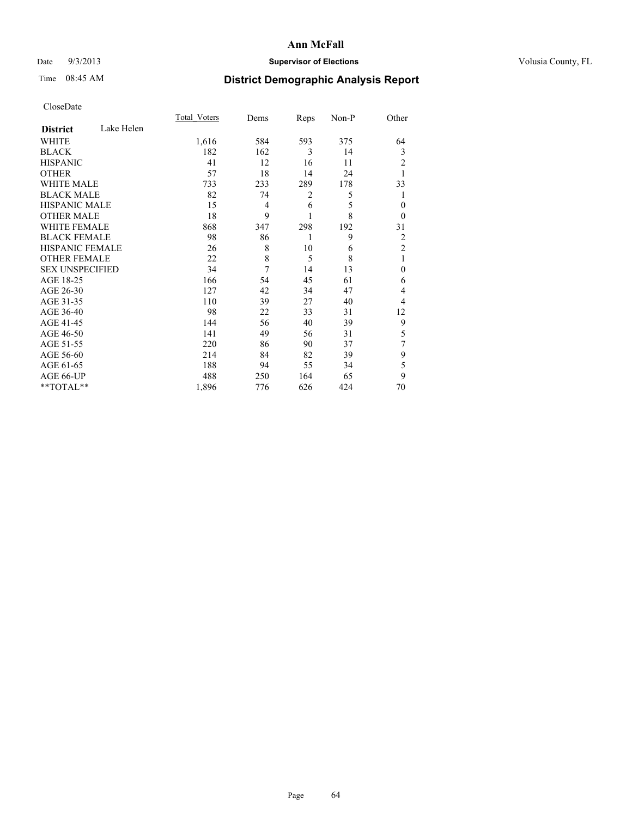## Date  $9/3/2013$  **Supervisor of Elections Supervisor of Elections** Volusia County, FL

# Time 08:45 AM **District Demographic Analysis Report**

|                        |            | <b>Total Voters</b> | Dems           | Reps | Non-P | Other          |
|------------------------|------------|---------------------|----------------|------|-------|----------------|
| <b>District</b>        | Lake Helen |                     |                |      |       |                |
| WHITE                  |            | 1,616               | 584            | 593  | 375   | 64             |
| <b>BLACK</b>           |            | 182                 | 162            | 3    | 14    | 3              |
| <b>HISPANIC</b>        |            | 41                  | 12             | 16   | 11    | 2              |
| <b>OTHER</b>           |            | 57                  | 18             | 14   | 24    |                |
| WHITE MALE             |            | 733                 | 233            | 289  | 178   | 33             |
| <b>BLACK MALE</b>      |            | 82                  | 74             | 2    | 5     |                |
| <b>HISPANIC MALE</b>   |            | 15                  | $\overline{4}$ | 6    | 5     | $\theta$       |
| <b>OTHER MALE</b>      |            | 18                  | 9              | 1    | 8     | $\theta$       |
| <b>WHITE FEMALE</b>    |            | 868                 | 347            | 298  | 192   | 31             |
| <b>BLACK FEMALE</b>    |            | 98                  | 86             | 1    | 9     | 2              |
| HISPANIC FEMALE        |            | 26                  | 8              | 10   | 6     | $\overline{2}$ |
| <b>OTHER FEMALE</b>    |            | 22                  | 8              | 5    | 8     | 1              |
| <b>SEX UNSPECIFIED</b> |            | 34                  | 7              | 14   | 13    | $\mathbf{0}$   |
| AGE 18-25              |            | 166                 | 54             | 45   | 61    | 6              |
| AGE 26-30              |            | 127                 | 42             | 34   | 47    | 4              |
| AGE 31-35              |            | 110                 | 39             | 27   | 40    | 4              |
| AGE 36-40              |            | 98                  | 22             | 33   | 31    | 12             |
| AGE 41-45              |            | 144                 | 56             | 40   | 39    | 9              |
| AGE 46-50              |            | 141                 | 49             | 56   | 31    | 5              |
| AGE 51-55              |            | 220                 | 86             | 90   | 37    | 7              |
| AGE 56-60              |            | 214                 | 84             | 82   | 39    | 9              |
| AGE 61-65              |            | 188                 | 94             | 55   | 34    | 5              |
| AGE 66-UP              |            | 488                 | 250            | 164  | 65    | 9              |
| **TOTAL**              |            | 1,896               | 776            | 626  | 424   | 70             |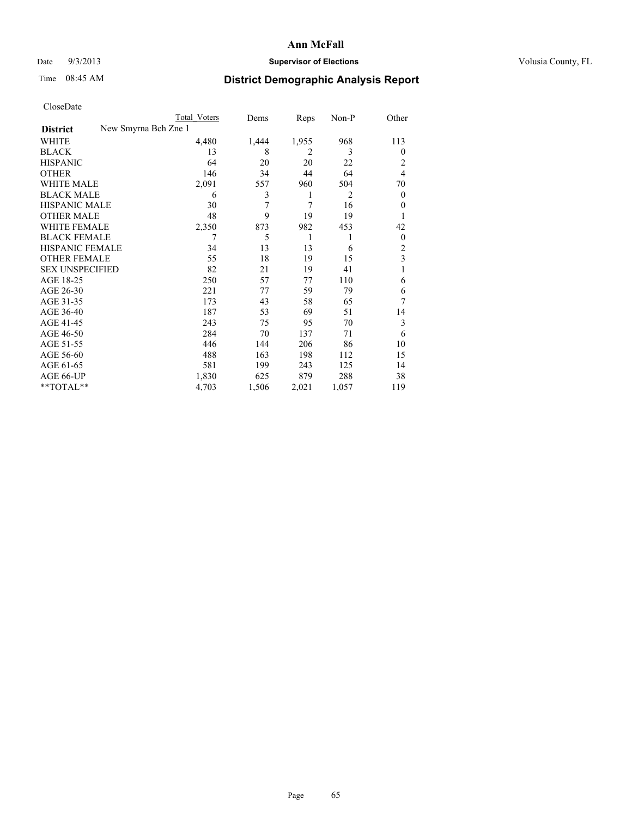## Date  $9/3/2013$  **Supervisor of Elections Supervisor of Elections** Volusia County, FL

# Time 08:45 AM **District Demographic Analysis Report**

|                        | Total Voters         | Dems  | Reps  | Non-P | Other          |
|------------------------|----------------------|-------|-------|-------|----------------|
| <b>District</b>        | New Smyrna Bch Zne 1 |       |       |       |                |
| WHITE                  | 4,480                | 1,444 | 1,955 | 968   | 113            |
| <b>BLACK</b>           | 13                   | 8     | 2     | 3     | $\theta$       |
| <b>HISPANIC</b>        | 64                   | 20    | 20    | 22    | 2              |
| <b>OTHER</b>           | 146                  | 34    | 44    | 64    | $\overline{4}$ |
| WHITE MALE             | 2,091                | 557   | 960   | 504   | 70             |
| <b>BLACK MALE</b>      | 6                    | 3     | 1     | 2     | $\overline{0}$ |
| <b>HISPANIC MALE</b>   | 30                   | 7     | 7     | 16    | $\theta$       |
| <b>OTHER MALE</b>      | 48                   | 9     | 19    | 19    |                |
| <b>WHITE FEMALE</b>    | 2,350                | 873   | 982   | 453   | 42             |
| <b>BLACK FEMALE</b>    | 7                    | 5     | 1     | 1     | $\overline{0}$ |
| HISPANIC FEMALE        | 34                   | 13    | 13    | 6     | $\overline{2}$ |
| <b>OTHER FEMALE</b>    | 55                   | 18    | 19    | 15    | 3              |
| <b>SEX UNSPECIFIED</b> | 82                   | 21    | 19    | 41    | 1              |
| AGE 18-25              | 250                  | 57    | 77    | 110   | 6              |
| AGE 26-30              | 221                  | 77    | 59    | 79    | 6              |
| AGE 31-35              | 173                  | 43    | 58    | 65    | 7              |
| AGE 36-40              | 187                  | 53    | 69    | 51    | 14             |
| AGE 41-45              | 243                  | 75    | 95    | 70    | 3              |
| AGE 46-50              | 284                  | 70    | 137   | 71    | 6              |
| AGE 51-55              | 446                  | 144   | 206   | 86    | 10             |
| AGE 56-60              | 488                  | 163   | 198   | 112   | 15             |
| AGE 61-65              | 581                  | 199   | 243   | 125   | 14             |
| AGE 66-UP              | 1,830                | 625   | 879   | 288   | 38             |
| **TOTAL**              | 4,703                | 1,506 | 2,021 | 1,057 | 119            |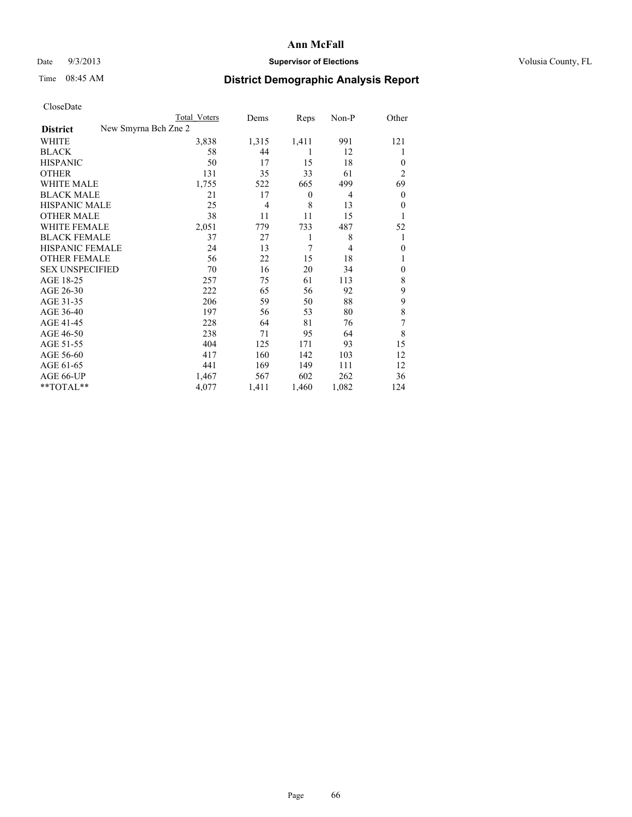### Date  $9/3/2013$  **Supervisor of Elections Supervisor of Elections** Volusia County, FL

# Time 08:45 AM **District Demographic Analysis Report**

|                        |                      | <b>Total Voters</b> | Dems           | Reps             | Non-P          | Other          |
|------------------------|----------------------|---------------------|----------------|------------------|----------------|----------------|
| <b>District</b>        | New Smyrna Bch Zne 2 |                     |                |                  |                |                |
| WHITE                  |                      | 3,838               | 1,315          | 1,411            | 991            | 121            |
| <b>BLACK</b>           |                      | 58                  | 44             | 1                | 12             | 1              |
| <b>HISPANIC</b>        |                      | 50                  | 17             | 15               | 18             | $\theta$       |
| <b>OTHER</b>           |                      | 131                 | 35             | 33               | 61             | $\overline{2}$ |
| WHITE MALE             |                      | 1,755               | 522            | 665              | 499            | 69             |
| <b>BLACK MALE</b>      |                      | 21                  | 17             | $\boldsymbol{0}$ | 4              | $\mathbf{0}$   |
| <b>HISPANIC MALE</b>   |                      | 25                  | $\overline{4}$ | 8                | 13             | $\theta$       |
| <b>OTHER MALE</b>      |                      | 38                  | 11             | 11               | 15             | 1              |
| <b>WHITE FEMALE</b>    |                      | 2,051               | 779            | 733              | 487            | 52             |
| <b>BLACK FEMALE</b>    |                      | 37                  | 27             | 1                | 8              | 1              |
| HISPANIC FEMALE        |                      | 24                  | 13             | 7                | $\overline{4}$ | $\theta$       |
| <b>OTHER FEMALE</b>    |                      | 56                  | 22             | 15               | 18             |                |
| <b>SEX UNSPECIFIED</b> |                      | 70                  | 16             | 20               | 34             | $\theta$       |
| AGE 18-25              |                      | 257                 | 75             | 61               | 113            | 8              |
| AGE 26-30              |                      | 222                 | 65             | 56               | 92             | 9              |
| AGE 31-35              |                      | 206                 | 59             | 50               | 88             | 9              |
| AGE 36-40              |                      | 197                 | 56             | 53               | 80             | $\,$ 8 $\,$    |
| AGE 41-45              |                      | 228                 | 64             | 81               | 76             | 7              |
| AGE 46-50              |                      | 238                 | 71             | 95               | 64             | 8              |
| AGE 51-55              |                      | 404                 | 125            | 171              | 93             | 15             |
| AGE 56-60              |                      | 417                 | 160            | 142              | 103            | 12             |
| AGE 61-65              |                      | 441                 | 169            | 149              | 111            | 12             |
| AGE 66-UP              |                      | 1,467               | 567            | 602              | 262            | 36             |
| **TOTAL**              |                      | 4,077               | 1,411          | 1,460            | 1,082          | 124            |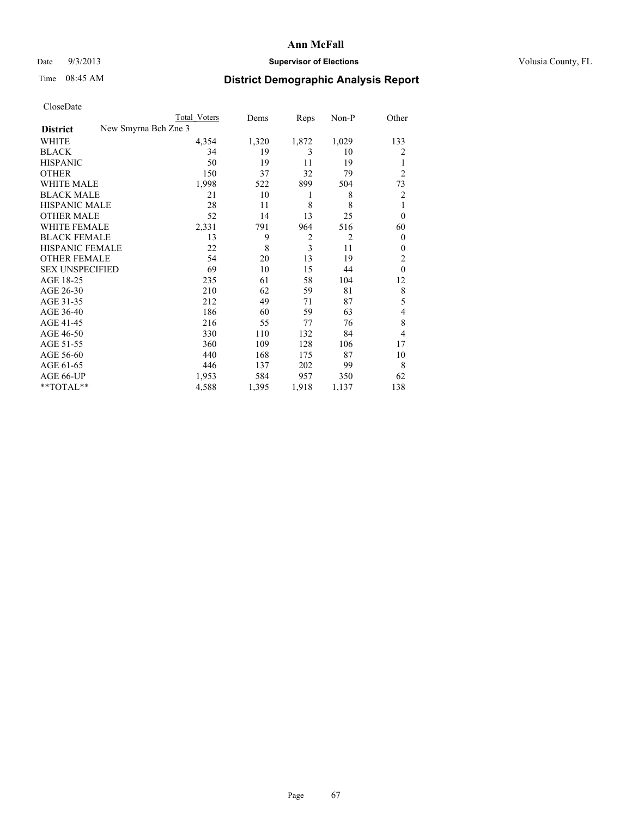### Date  $9/3/2013$  **Supervisor of Elections** Volusia County, FL

## Time 08:45 AM **District Demographic Analysis Report**

| Cioscivate             |                      |                     |       |                |       |                |
|------------------------|----------------------|---------------------|-------|----------------|-------|----------------|
|                        |                      | <b>Total Voters</b> | Dems  | Reps           | Non-P | Other          |
| <b>District</b>        | New Smyrna Bch Zne 3 |                     |       |                |       |                |
| <b>WHITE</b>           |                      | 4,354               | 1,320 | 1,872          | 1,029 | 133            |
| <b>BLACK</b>           |                      | 34                  | 19    | 3              | 10    | 2              |
| <b>HISPANIC</b>        |                      | 50                  | 19    | 11             | 19    | 1              |
| <b>OTHER</b>           |                      | 150                 | 37    | 32             | 79    | $\overline{2}$ |
| WHITE MALE             |                      | 1,998               | 522   | 899            | 504   | 73             |
| <b>BLACK MALE</b>      |                      | 21                  | 10    | 1              | 8     | $\overline{2}$ |
| <b>HISPANIC MALE</b>   |                      | 28                  | 11    | 8              | 8     | 1              |
| <b>OTHER MALE</b>      |                      | 52                  | 14    | 13             | 25    | $\theta$       |
| <b>WHITE FEMALE</b>    |                      | 2,331               | 791   | 964            | 516   | 60             |
| <b>BLACK FEMALE</b>    |                      | 13                  | 9     | 2              | 2     | $\overline{0}$ |
| <b>HISPANIC FEMALE</b> |                      | 22                  | 8     | $\overline{3}$ | 11    | $\Omega$       |
| <b>OTHER FEMALE</b>    |                      | 54                  | 20    | 13             | 19    | $\overline{2}$ |
| <b>SEX UNSPECIFIED</b> |                      | 69                  | 10    | 15             | 44    | $\theta$       |
| AGE 18-25              |                      | 235                 | 61    | 58             | 104   | 12             |
| AGE 26-30              |                      | 210                 | 62    | 59             | 81    | 8              |
| AGE 31-35              |                      | 212                 | 49    | 71             | 87    | 5              |
| AGE 36-40              |                      | 186                 | 60    | 59             | 63    | 4              |
| AGE 41-45              |                      | 216                 | 55    | 77             | 76    | 8              |
| AGE 46-50              |                      | 330                 | 110   | 132            | 84    | 4              |
| AGE 51-55              |                      | 360                 | 109   | 128            | 106   | 17             |
| AGE 56-60              |                      | 440                 | 168   | 175            | 87    | 10             |
| AGE 61-65              |                      | 446                 | 137   | 202            | 99    | 8              |
| AGE 66-UP              |                      | 1,953               | 584   | 957            | 350   | 62             |
| **TOTAL**              |                      | 4,588               | 1,395 | 1,918          | 1,137 | 138            |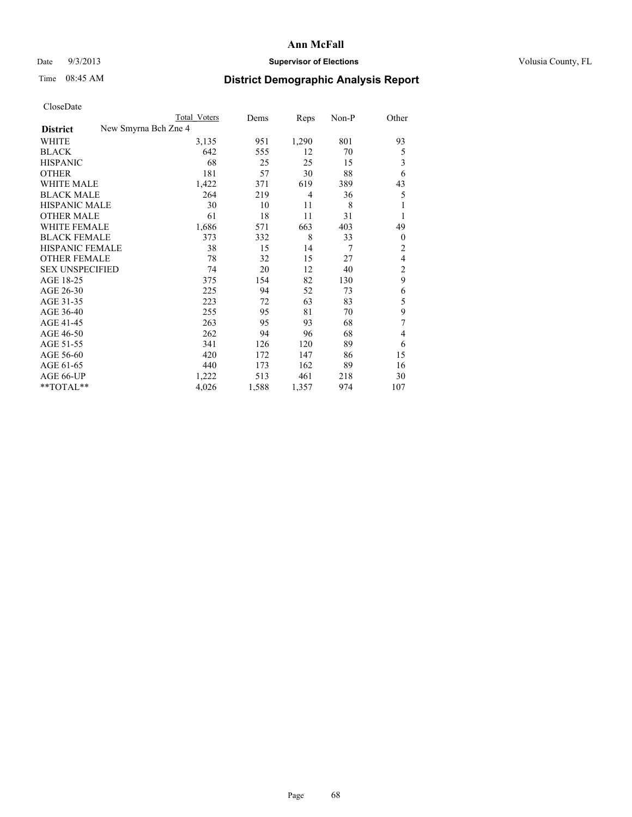## Date  $9/3/2013$  **Supervisor of Elections Supervisor of Elections** Volusia County, FL

# Time 08:45 AM **District Demographic Analysis Report**

|                        | <b>Total Voters</b>  | Dems  | Reps  | Non-P          | Other          |
|------------------------|----------------------|-------|-------|----------------|----------------|
| <b>District</b>        | New Smyrna Bch Zne 4 |       |       |                |                |
| WHITE                  | 3,135                | 951   | 1,290 | 801            | 93             |
| <b>BLACK</b>           | 642                  | 555   | 12    | 70             | 5              |
| <b>HISPANIC</b>        | 68                   | 25    | 25    | 15             | 3              |
| <b>OTHER</b>           | 181                  | 57    | 30    | 88             | 6              |
| <b>WHITE MALE</b>      | 1,422                | 371   | 619   | 389            | 43             |
| <b>BLACK MALE</b>      | 264                  | 219   | 4     | 36             | 5              |
| <b>HISPANIC MALE</b>   | 30                   | 10    | 11    | 8              | 1              |
| <b>OTHER MALE</b>      | 61                   | 18    | 11    | 31             | 1              |
| <b>WHITE FEMALE</b>    | 1,686                | 571   | 663   | 403            | 49             |
| <b>BLACK FEMALE</b>    | 373                  | 332   | 8     | 33             | $\overline{0}$ |
| <b>HISPANIC FEMALE</b> | 38                   | 15    | 14    | $\overline{7}$ | $\overline{c}$ |
| <b>OTHER FEMALE</b>    | 78                   | 32    | 15    | 27             | 4              |
| <b>SEX UNSPECIFIED</b> | 74                   | 20    | 12    | 40             | $\overline{2}$ |
| AGE 18-25              | 375                  | 154   | 82    | 130            | 9              |
| AGE 26-30              | 225                  | 94    | 52    | 73             | 6              |
| AGE 31-35              | 223                  | 72    | 63    | 83             | 5              |
| AGE 36-40              | 255                  | 95    | 81    | 70             | 9              |
| AGE 41-45              | 263                  | 95    | 93    | 68             | 7              |
| AGE 46-50              | 262                  | 94    | 96    | 68             | 4              |
| AGE 51-55              | 341                  | 126   | 120   | 89             | 6              |
| AGE 56-60              | 420                  | 172   | 147   | 86             | 15             |
| AGE 61-65              | 440                  | 173   | 162   | 89             | 16             |
| AGE 66-UP              | 1,222                | 513   | 461   | 218            | 30             |
| $*$ TOTAL $*$          | 4,026                | 1,588 | 1,357 | 974            | 107            |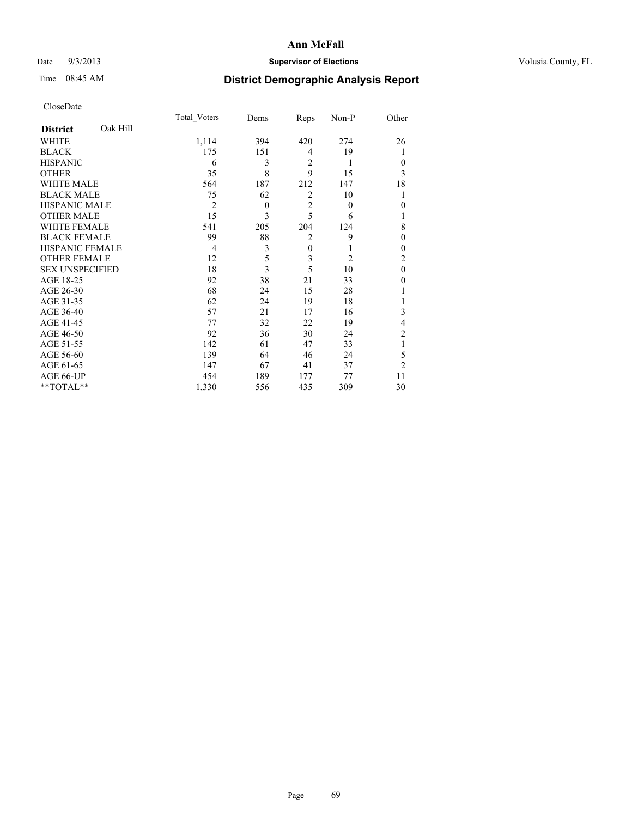## Date  $9/3/2013$  **Supervisor of Elections Supervisor of Elections** Volusia County, FL

# Time 08:45 AM **District Demographic Analysis Report**

|                        |          | <b>Total Voters</b> | Dems         | Reps           | Non-P          | Other          |
|------------------------|----------|---------------------|--------------|----------------|----------------|----------------|
| <b>District</b>        | Oak Hill |                     |              |                |                |                |
| WHITE                  |          | 1,114               | 394          | 420            | 274            | 26             |
| <b>BLACK</b>           |          | 175                 | 151          | $\overline{4}$ | 19             |                |
| <b>HISPANIC</b>        |          | 6                   | 3            | $\overline{2}$ | 1              | $\theta$       |
| <b>OTHER</b>           |          | 35                  | 8            | 9              | 15             | 3              |
| <b>WHITE MALE</b>      |          | 564                 | 187          | 212            | 147            | 18             |
| <b>BLACK MALE</b>      |          | 75                  | 62           | 2              | 10             |                |
| <b>HISPANIC MALE</b>   |          | $\overline{2}$      | $\mathbf{0}$ | $\overline{2}$ | $\overline{0}$ | $\mathbf{0}$   |
| <b>OTHER MALE</b>      |          | 15                  | 3            | 5              | 6              | 1              |
| <b>WHITE FEMALE</b>    |          | 541                 | 205          | 204            | 124            | 8              |
| <b>BLACK FEMALE</b>    |          | 99                  | 88           | $\overline{2}$ | 9              | $\Omega$       |
| <b>HISPANIC FEMALE</b> |          | 4                   | 3            | $\mathbf{0}$   |                | $\theta$       |
| <b>OTHER FEMALE</b>    |          | 12                  | 5            | 3              | $\overline{2}$ | 2              |
| <b>SEX UNSPECIFIED</b> |          | 18                  | 3            | 5              | 10             | $\mathbf{0}$   |
| AGE 18-25              |          | 92                  | 38           | 21             | 33             | 0              |
| AGE 26-30              |          | 68                  | 24           | 15             | 28             |                |
| AGE 31-35              |          | 62                  | 24           | 19             | 18             |                |
| AGE 36-40              |          | 57                  | 21           | 17             | 16             | 3              |
| AGE 41-45              |          | 77                  | 32           | 22             | 19             | 4              |
| AGE 46-50              |          | 92                  | 36           | 30             | 24             | 2              |
| AGE 51-55              |          | 142                 | 61           | 47             | 33             | 1              |
| AGE 56-60              |          | 139                 | 64           | 46             | 24             | 5              |
| AGE 61-65              |          | 147                 | 67           | 41             | 37             | $\overline{2}$ |
| AGE 66-UP              |          | 454                 | 189          | 177            | 77             | 11             |
| **TOTAL**              |          | 1,330               | 556          | 435            | 309            | 30             |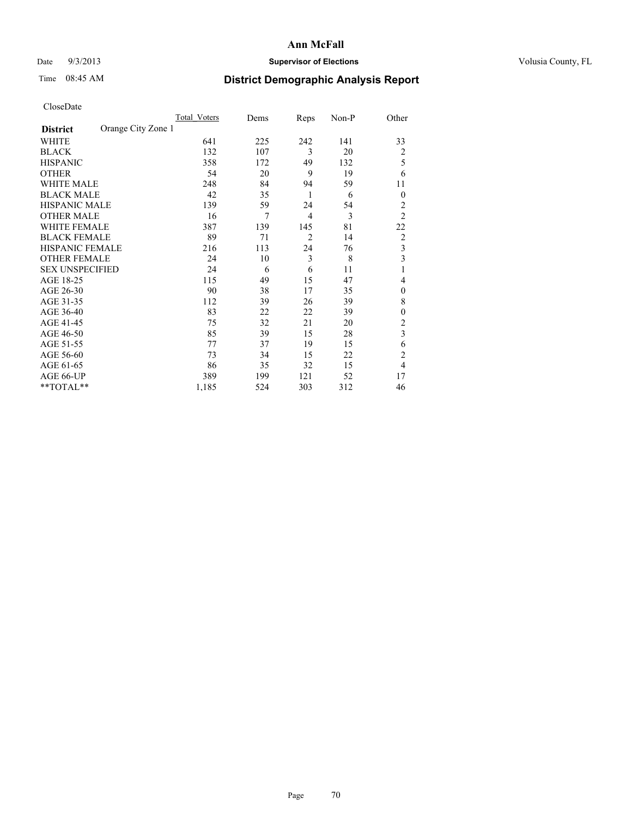## Date  $9/3/2013$  **Supervisor of Elections Supervisor of Elections** Volusia County, FL

# Time 08:45 AM **District Demographic Analysis Report**

|                        |                    | <b>Total Voters</b> | Dems | Reps           | Non-P | Other          |
|------------------------|--------------------|---------------------|------|----------------|-------|----------------|
| <b>District</b>        | Orange City Zone 1 |                     |      |                |       |                |
| WHITE                  |                    | 641                 | 225  | 242            | 141   | 33             |
| <b>BLACK</b>           |                    | 132                 | 107  | 3              | 20    | $\overline{2}$ |
| <b>HISPANIC</b>        |                    | 358                 | 172  | 49             | 132   | 5              |
| <b>OTHER</b>           |                    | 54                  | 20   | 9              | 19    | 6              |
| WHITE MALE             |                    | 248                 | 84   | 94             | 59    | 11             |
| <b>BLACK MALE</b>      |                    | 42                  | 35   | 1              | 6     | $\overline{0}$ |
| <b>HISPANIC MALE</b>   |                    | 139                 | 59   | 24             | 54    | $\overline{2}$ |
| <b>OTHER MALE</b>      |                    | 16                  | 7    | $\overline{4}$ | 3     | $\overline{2}$ |
| <b>WHITE FEMALE</b>    |                    | 387                 | 139  | 145            | 81    | 22             |
| <b>BLACK FEMALE</b>    |                    | 89                  | 71   | $\overline{2}$ | 14    | $\overline{2}$ |
| <b>HISPANIC FEMALE</b> |                    | 216                 | 113  | 24             | 76    | 3              |
| <b>OTHER FEMALE</b>    |                    | 24                  | 10   | 3              | 8     | 3              |
| <b>SEX UNSPECIFIED</b> |                    | 24                  | 6    | 6              | 11    | 1              |
| AGE 18-25              |                    | 115                 | 49   | 15             | 47    | 4              |
| AGE 26-30              |                    | 90                  | 38   | 17             | 35    | $\mathbf{0}$   |
| AGE 31-35              |                    | 112                 | 39   | 26             | 39    | 8              |
| AGE 36-40              |                    | 83                  | 22   | 22             | 39    | $\overline{0}$ |
| AGE 41-45              |                    | 75                  | 32   | 21             | 20    | $\overline{2}$ |
| AGE 46-50              |                    | 85                  | 39   | 15             | 28    | 3              |
| AGE 51-55              |                    | 77                  | 37   | 19             | 15    | 6              |
| AGE 56-60              |                    | 73                  | 34   | 15             | 22    | $\overline{c}$ |
| AGE 61-65              |                    | 86                  | 35   | 32             | 15    | $\overline{4}$ |
| AGE 66-UP              |                    | 389                 | 199  | 121            | 52    | 17             |
| **TOTAL**              |                    | 1,185               | 524  | 303            | 312   | 46             |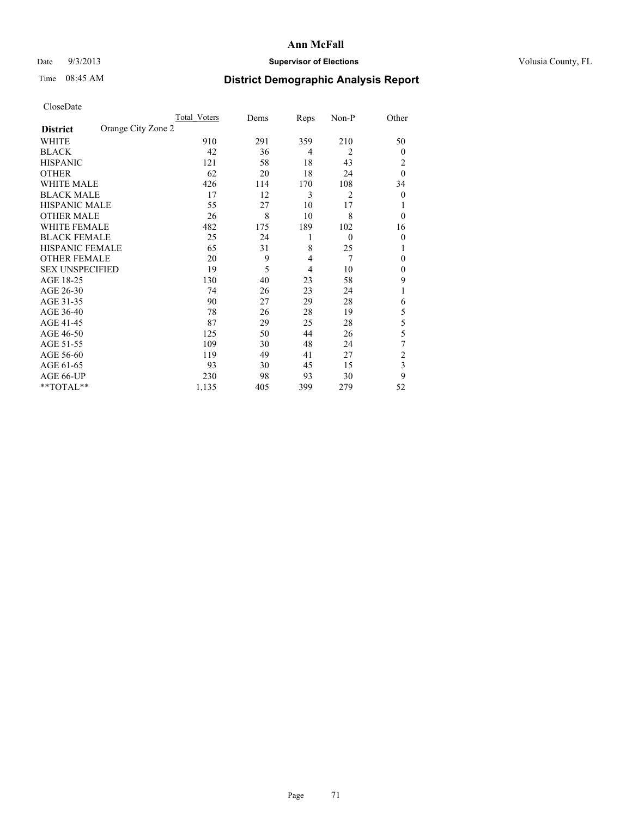### Date  $9/3/2013$  **Supervisor of Elections Supervisor of Elections** Volusia County, FL

# Time 08:45 AM **District Demographic Analysis Report**

|                        |                    | Total Voters | Dems | Reps           | Non-P          | Other          |
|------------------------|--------------------|--------------|------|----------------|----------------|----------------|
| <b>District</b>        | Orange City Zone 2 |              |      |                |                |                |
| WHITE                  |                    | 910          | 291  | 359            | 210            | 50             |
| <b>BLACK</b>           |                    | 42           | 36   | $\overline{4}$ | $\overline{c}$ | $\Omega$       |
| <b>HISPANIC</b>        |                    | 121          | 58   | 18             | 43             | 2              |
| <b>OTHER</b>           |                    | 62           | 20   | 18             | 24             | $\theta$       |
| WHITE MALE             |                    | 426          | 114  | 170            | 108            | 34             |
| <b>BLACK MALE</b>      |                    | 17           | 12   | 3              | 2              | $\overline{0}$ |
| <b>HISPANIC MALE</b>   |                    | 55           | 27   | 10             | 17             |                |
| <b>OTHER MALE</b>      |                    | 26           | 8    | 10             | 8              | $\overline{0}$ |
| WHITE FEMALE           |                    | 482          | 175  | 189            | 102            | 16             |
| <b>BLACK FEMALE</b>    |                    | 25           | 24   | 1              | $\mathbf{0}$   | $\overline{0}$ |
| <b>HISPANIC FEMALE</b> |                    | 65           | 31   | 8              | 25             |                |
| <b>OTHER FEMALE</b>    |                    | 20           | 9    | $\overline{4}$ | 7              | $\Omega$       |
| <b>SEX UNSPECIFIED</b> |                    | 19           | 5    | $\overline{4}$ | 10             | $\overline{0}$ |
| AGE 18-25              |                    | 130          | 40   | 23             | 58             | 9              |
| AGE 26-30              |                    | 74           | 26   | 23             | 24             | 1              |
| AGE 31-35              |                    | 90           | 27   | 29             | 28             | 6              |
| AGE 36-40              |                    | 78           | 26   | 28             | 19             | 5              |
| AGE 41-45              |                    | 87           | 29   | 25             | 28             | 5              |
| AGE 46-50              |                    | 125          | 50   | 44             | 26             | 5              |
| AGE 51-55              |                    | 109          | 30   | 48             | 24             | 7              |
| AGE 56-60              |                    | 119          | 49   | 41             | 27             | $\overline{c}$ |
| AGE 61-65              |                    | 93           | 30   | 45             | 15             | 3              |
| AGE 66-UP              |                    | 230          | 98   | 93             | 30             | 9              |
| **TOTAL**              |                    | 1,135        | 405  | 399            | 279            | 52             |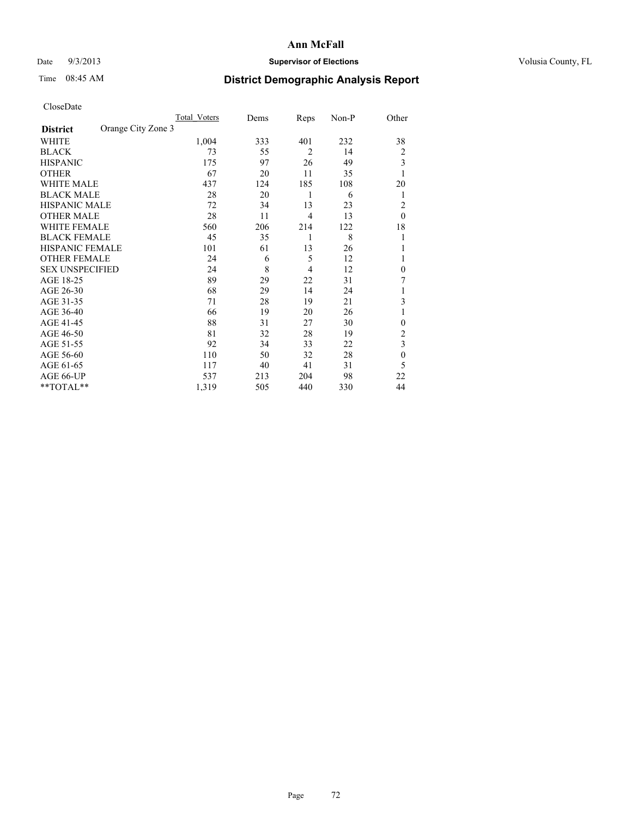## Date  $9/3/2013$  **Supervisor of Elections Supervisor of Elections** Volusia County, FL

## Time 08:45 AM **District Demographic Analysis Report**

|                        |                    | Total Voters | Dems | Reps           | Non-P | Other        |
|------------------------|--------------------|--------------|------|----------------|-------|--------------|
| <b>District</b>        | Orange City Zone 3 |              |      |                |       |              |
| WHITE                  |                    | 1,004        | 333  | 401            | 232   | 38           |
| <b>BLACK</b>           |                    | 73           | 55   | $\overline{2}$ | 14    | 2            |
| <b>HISPANIC</b>        |                    | 175          | 97   | 26             | 49    | 3            |
| <b>OTHER</b>           |                    | 67           | 20   | 11             | 35    | 1            |
| WHITE MALE             |                    | 437          | 124  | 185            | 108   | 20           |
| <b>BLACK MALE</b>      |                    | 28           | 20   | 1              | 6     | 1            |
| <b>HISPANIC MALE</b>   |                    | 72           | 34   | 13             | 23    | 2            |
| <b>OTHER MALE</b>      |                    | 28           | 11   | $\overline{4}$ | 13    | $\theta$     |
| <b>WHITE FEMALE</b>    |                    | 560          | 206  | 214            | 122   | 18           |
| <b>BLACK FEMALE</b>    |                    | 45           | 35   | 1              | 8     | 1            |
| <b>HISPANIC FEMALE</b> |                    | 101          | 61   | 13             | 26    |              |
| <b>OTHER FEMALE</b>    |                    | 24           | 6    | 5              | 12    |              |
| <b>SEX UNSPECIFIED</b> |                    | 24           | 8    | 4              | 12    | $\mathbf{0}$ |
| AGE 18-25              |                    | 89           | 29   | 22             | 31    | 7            |
| AGE 26-30              |                    | 68           | 29   | 14             | 24    | 1            |
| AGE 31-35              |                    | 71           | 28   | 19             | 21    | 3            |
| AGE 36-40              |                    | 66           | 19   | 20             | 26    |              |
| AGE 41-45              |                    | 88           | 31   | 27             | 30    | $\theta$     |
| AGE 46-50              |                    | 81           | 32   | 28             | 19    | 2            |
| AGE 51-55              |                    | 92           | 34   | 33             | 22    | 3            |
| AGE 56-60              |                    | 110          | 50   | 32             | 28    | $\mathbf{0}$ |
| AGE 61-65              |                    | 117          | 40   | 41             | 31    | 5            |
| AGE 66-UP              |                    | 537          | 213  | 204            | 98    | 22           |
| **TOTAL**              |                    | 1,319        | 505  | 440            | 330   | 44           |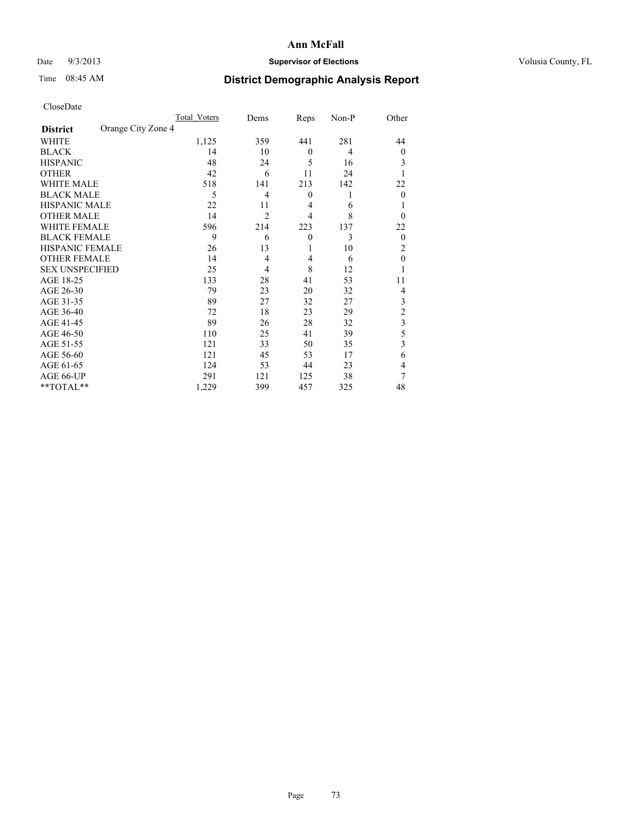## Date  $9/3/2013$  **Supervisor of Elections Supervisor of Elections** Volusia County, FL

# Time 08:45 AM **District Demographic Analysis Report**

|                        |                    | <b>Total Voters</b> | Dems           | Reps           | Non-P | Other          |
|------------------------|--------------------|---------------------|----------------|----------------|-------|----------------|
| <b>District</b>        | Orange City Zone 4 |                     |                |                |       |                |
| <b>WHITE</b>           |                    | 1,125               | 359            | 441            | 281   | 44             |
| <b>BLACK</b>           |                    | 14                  | 10             | $\mathbf{0}$   | 4     | $\Omega$       |
| <b>HISPANIC</b>        |                    | 48                  | 24             | 5              | 16    | 3              |
| <b>OTHER</b>           |                    | 42                  | 6              | 11             | 24    |                |
| WHITE MALE             |                    | 518                 | 141            | 213            | 142   | 22             |
| <b>BLACK MALE</b>      |                    | 5                   | 4              | $\mathbf{0}$   | 1     | $\overline{0}$ |
| <b>HISPANIC MALE</b>   |                    | 22                  | 11             | $\overline{4}$ | 6     |                |
| <b>OTHER MALE</b>      |                    | 14                  | $\overline{2}$ | $\overline{4}$ | 8     | $\Omega$       |
| <b>WHITE FEMALE</b>    |                    | 596                 | 214            | 223            | 137   | 22             |
| <b>BLACK FEMALE</b>    |                    | 9                   | 6              | $\overline{0}$ | 3     | $\overline{0}$ |
| <b>HISPANIC FEMALE</b> |                    | 26                  | 13             | 1              | 10    | 2              |
| <b>OTHER FEMALE</b>    |                    | 14                  | $\overline{4}$ | 4              | 6     | $\theta$       |
| <b>SEX UNSPECIFIED</b> |                    | 25                  | 4              | 8              | 12    |                |
| AGE 18-25              |                    | 133                 | 28             | 41             | 53    | 11             |
| AGE 26-30              |                    | 79                  | 23             | 20             | 32    | 4              |
| AGE 31-35              |                    | 89                  | 27             | 32             | 27    | 3              |
| AGE 36-40              |                    | 72                  | 18             | 23             | 29    | $\overline{c}$ |
| AGE 41-45              |                    | 89                  | 26             | 28             | 32    | 3              |
| AGE 46-50              |                    | 110                 | 25             | 41             | 39    | 5              |
| AGE 51-55              |                    | 121                 | 33             | 50             | 35    | 3              |
| AGE 56-60              |                    | 121                 | 45             | 53             | 17    | 6              |
| AGE 61-65              |                    | 124                 | 53             | 44             | 23    | 4              |
| AGE 66-UP              |                    | 291                 | 121            | 125            | 38    | 7              |
| **TOTAL**              |                    | 1,229               | 399            | 457            | 325   | 48             |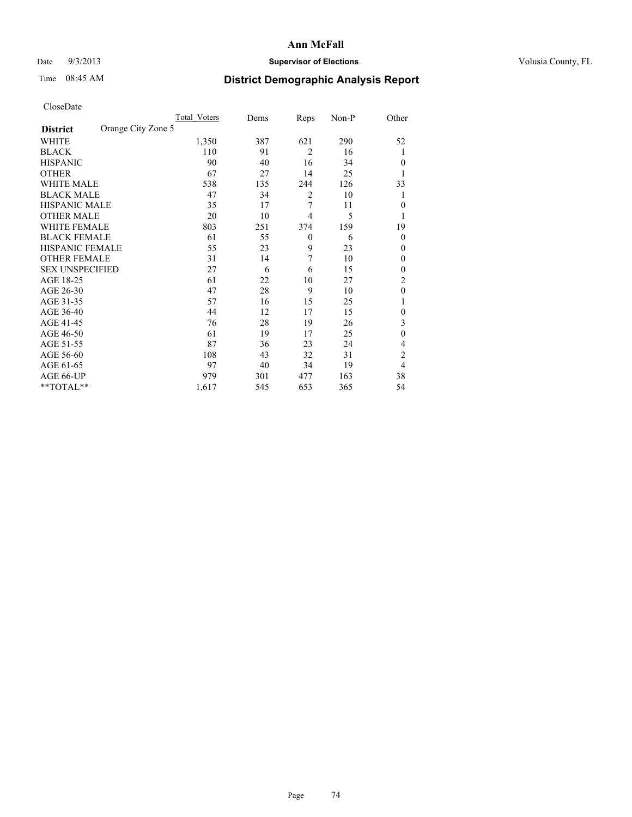# Date  $9/3/2013$  **Supervisor of Elections Supervisor of Elections** Volusia County, FL

# Time 08:45 AM **District Demographic Analysis Report**

|                        |                    | Total Voters | Dems | Reps           | Non-P | Other          |
|------------------------|--------------------|--------------|------|----------------|-------|----------------|
| <b>District</b>        | Orange City Zone 5 |              |      |                |       |                |
| WHITE                  |                    | 1,350        | 387  | 621            | 290   | 52             |
| <b>BLACK</b>           |                    | 110          | 91   | $\overline{2}$ | 16    | 1              |
| <b>HISPANIC</b>        |                    | 90           | 40   | 16             | 34    | $\Omega$       |
| <b>OTHER</b>           |                    | 67           | 27   | 14             | 25    |                |
| WHITE MALE             |                    | 538          | 135  | 244            | 126   | 33             |
| <b>BLACK MALE</b>      |                    | 47           | 34   | 2              | 10    | 1              |
| <b>HISPANIC MALE</b>   |                    | 35           | 17   | 7              | 11    | $\overline{0}$ |
| <b>OTHER MALE</b>      |                    | 20           | 10   | $\overline{4}$ | 5     | 1              |
| WHITE FEMALE           |                    | 803          | 251  | 374            | 159   | 19             |
| <b>BLACK FEMALE</b>    |                    | 61           | 55   | $\theta$       | 6     | $\overline{0}$ |
| <b>HISPANIC FEMALE</b> |                    | 55           | 23   | 9              | 23    | $\Omega$       |
| <b>OTHER FEMALE</b>    |                    | 31           | 14   | 7              | 10    | $\Omega$       |
| <b>SEX UNSPECIFIED</b> |                    | 27           | 6    | 6              | 15    | $\overline{0}$ |
| AGE 18-25              |                    | 61           | 22   | 10             | 27    | $\overline{2}$ |
| AGE 26-30              |                    | 47           | 28   | 9              | 10    | $\mathbf{0}$   |
| AGE 31-35              |                    | 57           | 16   | 15             | 25    |                |
| AGE 36-40              |                    | 44           | 12   | 17             | 15    | $\overline{0}$ |
| AGE 41-45              |                    | 76           | 28   | 19             | 26    | 3              |
| AGE 46-50              |                    | 61           | 19   | 17             | 25    | $\theta$       |
| AGE 51-55              |                    | 87           | 36   | 23             | 24    | $\overline{4}$ |
| AGE 56-60              |                    | 108          | 43   | 32             | 31    | $\overline{c}$ |
| AGE 61-65              |                    | 97           | 40   | 34             | 19    | $\overline{4}$ |
| AGE 66-UP              |                    | 979          | 301  | 477            | 163   | 38             |
| **TOTAL**              |                    | 1,617        | 545  | 653            | 365   | 54             |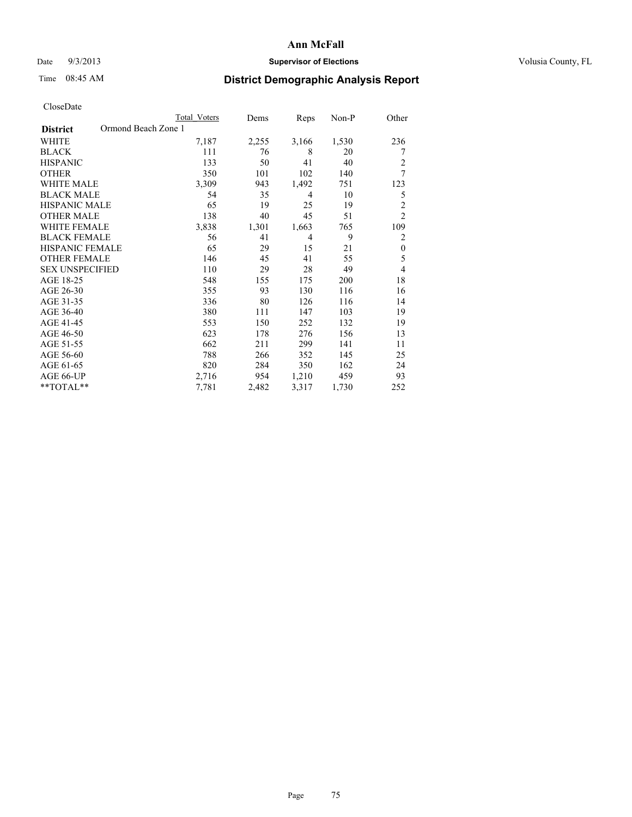# Date  $9/3/2013$  **Supervisor of Elections Supervisor of Elections** Volusia County, FL

# Time 08:45 AM **District Demographic Analysis Report**

|                        | <b>Total Voters</b> | Dems  | Reps           | Non-P | Other          |
|------------------------|---------------------|-------|----------------|-------|----------------|
| <b>District</b>        | Ormond Beach Zone 1 |       |                |       |                |
| WHITE                  | 7,187               | 2,255 | 3,166          | 1,530 | 236            |
| <b>BLACK</b>           | 111                 | 76    | 8              | 20    | 7              |
| <b>HISPANIC</b>        | 133                 | 50    | 41             | 40    | 2              |
| <b>OTHER</b>           | 350                 | 101   | 102            | 140   | $\overline{7}$ |
| WHITE MALE             | 3,309               | 943   | 1,492          | 751   | 123            |
| <b>BLACK MALE</b>      | 54                  | 35    | 4              | 10    | 5              |
| <b>HISPANIC MALE</b>   | 65                  | 19    | 25             | 19    | $\overline{2}$ |
| <b>OTHER MALE</b>      | 138                 | 40    | 45             | 51    | $\overline{2}$ |
| <b>WHITE FEMALE</b>    | 3,838               | 1,301 | 1,663          | 765   | 109            |
| <b>BLACK FEMALE</b>    | 56                  | 41    | $\overline{4}$ | 9     | 2              |
| <b>HISPANIC FEMALE</b> | 65                  | 29    | 15             | 21    | $\theta$       |
| <b>OTHER FEMALE</b>    | 146                 | 45    | 41             | 55    | 5              |
| <b>SEX UNSPECIFIED</b> | 110                 | 29    | 28             | 49    | 4              |
| AGE 18-25              | 548                 | 155   | 175            | 200   | 18             |
| AGE 26-30              | 355                 | 93    | 130            | 116   | 16             |
| AGE 31-35              | 336                 | 80    | 126            | 116   | 14             |
| AGE 36-40              | 380                 | 111   | 147            | 103   | 19             |
| AGE 41-45              | 553                 | 150   | 252            | 132   | 19             |
| AGE 46-50              | 623                 | 178   | 276            | 156   | 13             |
| AGE 51-55              | 662                 | 211   | 299            | 141   | 11             |
| AGE 56-60              | 788                 | 266   | 352            | 145   | 25             |
| AGE 61-65              | 820                 | 284   | 350            | 162   | 24             |
| AGE 66-UP              | 2,716               | 954   | 1,210          | 459   | 93             |
| **TOTAL**              | 7,781               | 2,482 | 3,317          | 1,730 | 252            |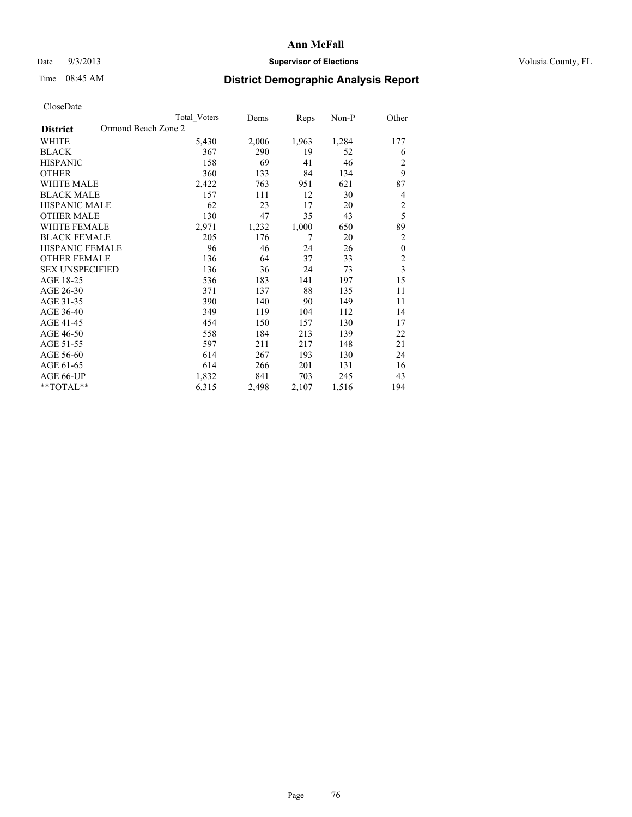# Date  $9/3/2013$  **Supervisor of Elections Supervisor of Elections** Volusia County, FL

# Time 08:45 AM **District Demographic Analysis Report**

|                                        | <b>Total Voters</b> | Dems  | Reps  | Non-P | Other                   |
|----------------------------------------|---------------------|-------|-------|-------|-------------------------|
| Ormond Beach Zone 2<br><b>District</b> |                     |       |       |       |                         |
| WHITE                                  | 5,430               | 2,006 | 1,963 | 1,284 | 177                     |
| <b>BLACK</b>                           | 367                 | 290   | 19    | 52    | 6                       |
| <b>HISPANIC</b>                        | 158                 | 69    | 41    | 46    | $\overline{c}$          |
| <b>OTHER</b>                           | 360                 | 133   | 84    | 134   | 9                       |
| <b>WHITE MALE</b>                      | 2,422               | 763   | 951   | 621   | 87                      |
| <b>BLACK MALE</b>                      | 157                 | 111   | 12    | 30    | 4                       |
| HISPANIC MALE                          | 62                  | 23    | 17    | 20    | $\overline{2}$          |
| <b>OTHER MALE</b>                      | 130                 | 47    | 35    | 43    | 5                       |
| <b>WHITE FEMALE</b>                    | 2,971               | 1,232 | 1,000 | 650   | 89                      |
| <b>BLACK FEMALE</b>                    | 205                 | 176   | 7     | 20    | $\overline{2}$          |
| <b>HISPANIC FEMALE</b>                 | 96                  | 46    | 24    | 26    | $\boldsymbol{0}$        |
| <b>OTHER FEMALE</b>                    | 136                 | 64    | 37    | 33    | $\overline{c}$          |
| <b>SEX UNSPECIFIED</b>                 | 136                 | 36    | 24    | 73    | $\overline{\mathbf{3}}$ |
| AGE 18-25                              | 536                 | 183   | 141   | 197   | 15                      |
| AGE 26-30                              | 371                 | 137   | 88    | 135   | 11                      |
| AGE 31-35                              | 390                 | 140   | 90    | 149   | 11                      |
| AGE 36-40                              | 349                 | 119   | 104   | 112   | 14                      |
| AGE 41-45                              | 454                 | 150   | 157   | 130   | 17                      |
| AGE 46-50                              | 558                 | 184   | 213   | 139   | 22                      |
| AGE 51-55                              | 597                 | 211   | 217   | 148   | 21                      |
| AGE 56-60                              | 614                 | 267   | 193   | 130   | 24                      |
| AGE 61-65                              | 614                 | 266   | 201   | 131   | 16                      |
| AGE 66-UP                              | 1,832               | 841   | 703   | 245   | 43                      |
| **TOTAL**                              | 6,315               | 2,498 | 2,107 | 1,516 | 194                     |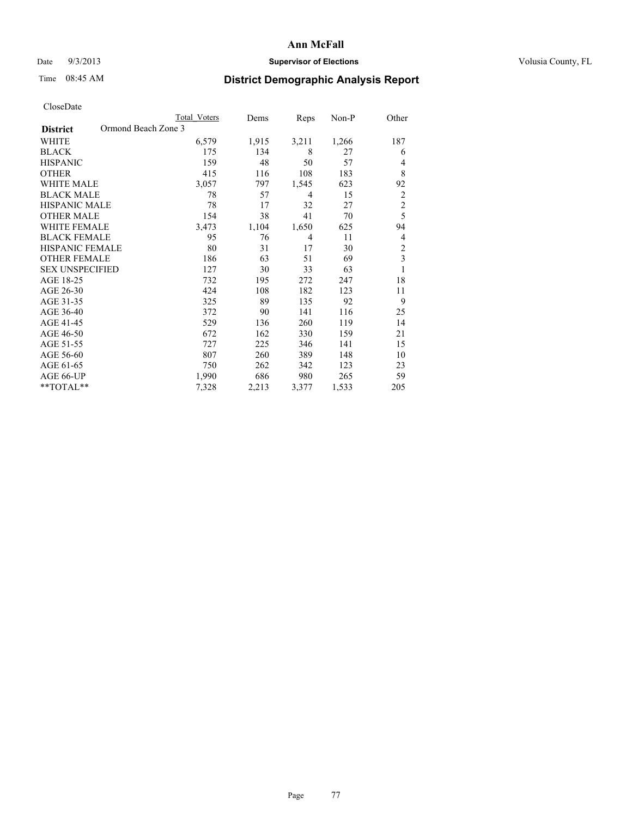## Date  $9/3/2013$  **Supervisor of Elections Supervisor of Elections** Volusia County, FL

# Time 08:45 AM **District Demographic Analysis Report**

|                                        | <b>Total Voters</b> | Dems  | Reps  | Non-P | Other                   |
|----------------------------------------|---------------------|-------|-------|-------|-------------------------|
| Ormond Beach Zone 3<br><b>District</b> |                     |       |       |       |                         |
| WHITE                                  | 6,579               | 1,915 | 3,211 | 1,266 | 187                     |
| <b>BLACK</b>                           | 175                 | 134   | 8     | 27    | 6                       |
| <b>HISPANIC</b>                        | 159                 | 48    | 50    | 57    | 4                       |
| <b>OTHER</b>                           | 415                 | 116   | 108   | 183   | 8                       |
| <b>WHITE MALE</b>                      | 3,057               | 797   | 1,545 | 623   | 92                      |
| <b>BLACK MALE</b>                      | 78                  | 57    | 4     | 15    | $\overline{c}$          |
| <b>HISPANIC MALE</b>                   | 78                  | 17    | 32    | 27    | $\overline{c}$          |
| <b>OTHER MALE</b>                      | 154                 | 38    | 41    | 70    | 5                       |
| <b>WHITE FEMALE</b>                    | 3,473               | 1,104 | 1,650 | 625   | 94                      |
| <b>BLACK FEMALE</b>                    | 95                  | 76    | 4     | 11    | 4                       |
| <b>HISPANIC FEMALE</b>                 | 80                  | 31    | 17    | 30    | $\overline{c}$          |
| <b>OTHER FEMALE</b>                    | 186                 | 63    | 51    | 69    | $\overline{\mathbf{3}}$ |
| <b>SEX UNSPECIFIED</b>                 | 127                 | 30    | 33    | 63    | 1                       |
| AGE 18-25                              | 732                 | 195   | 272   | 247   | 18                      |
| AGE 26-30                              | 424                 | 108   | 182   | 123   | 11                      |
| AGE 31-35                              | 325                 | 89    | 135   | 92    | 9                       |
| AGE 36-40                              | 372                 | 90    | 141   | 116   | 25                      |
| AGE 41-45                              | 529                 | 136   | 260   | 119   | 14                      |
| AGE 46-50                              | 672                 | 162   | 330   | 159   | 21                      |
| AGE 51-55                              | 727                 | 225   | 346   | 141   | 15                      |
| AGE 56-60                              | 807                 | 260   | 389   | 148   | 10                      |
| AGE 61-65                              | 750                 | 262   | 342   | 123   | 23                      |
| AGE 66-UP                              | 1,990               | 686   | 980   | 265   | 59                      |
| **TOTAL**                              | 7,328               | 2,213 | 3,377 | 1,533 | 205                     |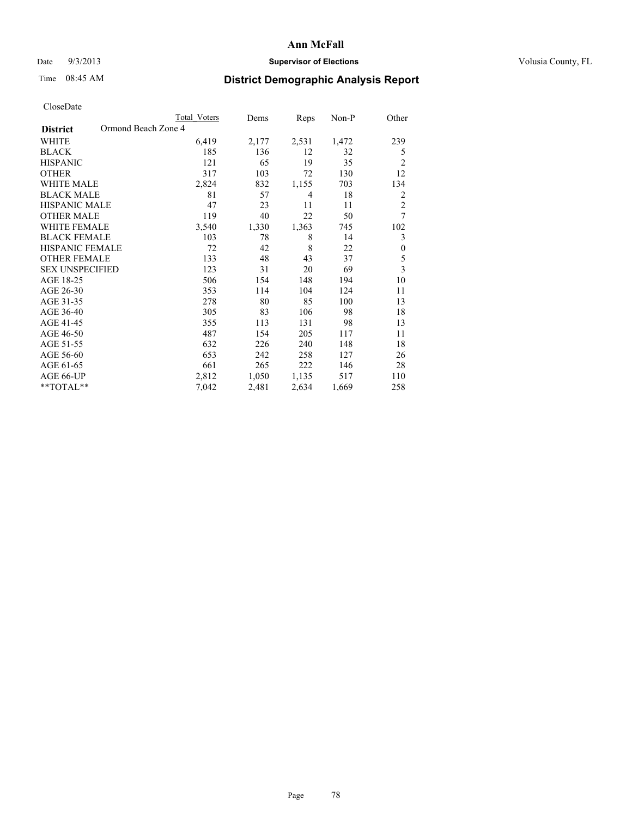## Date  $9/3/2013$  **Supervisor of Elections Supervisor of Elections** Volusia County, FL

# Time 08:45 AM **District Demographic Analysis Report**

|                                        | <b>Total Voters</b> | Dems  | Reps  | Non-P | Other                   |
|----------------------------------------|---------------------|-------|-------|-------|-------------------------|
| Ormond Beach Zone 4<br><b>District</b> |                     |       |       |       |                         |
| WHITE                                  | 6,419               | 2,177 | 2,531 | 1,472 | 239                     |
| <b>BLACK</b>                           | 185                 | 136   | 12    | 32    | 5                       |
| <b>HISPANIC</b>                        | 121                 | 65    | 19    | 35    | $\overline{2}$          |
| <b>OTHER</b>                           | 317                 | 103   | 72    | 130   | 12                      |
| <b>WHITE MALE</b>                      | 2,824               | 832   | 1,155 | 703   | 134                     |
| <b>BLACK MALE</b>                      | 81                  | 57    | 4     | 18    | 2                       |
| <b>HISPANIC MALE</b>                   | 47                  | 23    | 11    | 11    | $\overline{c}$          |
| <b>OTHER MALE</b>                      | 119                 | 40    | 22    | 50    | 7                       |
| <b>WHITE FEMALE</b>                    | 3,540               | 1,330 | 1,363 | 745   | 102                     |
| <b>BLACK FEMALE</b>                    | 103                 | 78    | 8     | 14    | 3                       |
| <b>HISPANIC FEMALE</b>                 | 72                  | 42    | 8     | 22    | $\boldsymbol{0}$        |
| <b>OTHER FEMALE</b>                    | 133                 | 48    | 43    | 37    | 5                       |
| <b>SEX UNSPECIFIED</b>                 | 123                 | 31    | 20    | 69    | $\overline{\mathbf{3}}$ |
| AGE 18-25                              | 506                 | 154   | 148   | 194   | 10                      |
| AGE 26-30                              | 353                 | 114   | 104   | 124   | 11                      |
| AGE 31-35                              | 278                 | 80    | 85    | 100   | 13                      |
| AGE 36-40                              | 305                 | 83    | 106   | 98    | 18                      |
| AGE 41-45                              | 355                 | 113   | 131   | 98    | 13                      |
| AGE 46-50                              | 487                 | 154   | 205   | 117   | 11                      |
| AGE 51-55                              | 632                 | 226   | 240   | 148   | 18                      |
| AGE 56-60                              | 653                 | 242   | 258   | 127   | 26                      |
| AGE 61-65                              | 661                 | 265   | 222   | 146   | 28                      |
| AGE 66-UP                              | 2,812               | 1,050 | 1,135 | 517   | 110                     |
| **TOTAL**                              | 7,042               | 2,481 | 2,634 | 1,669 | 258                     |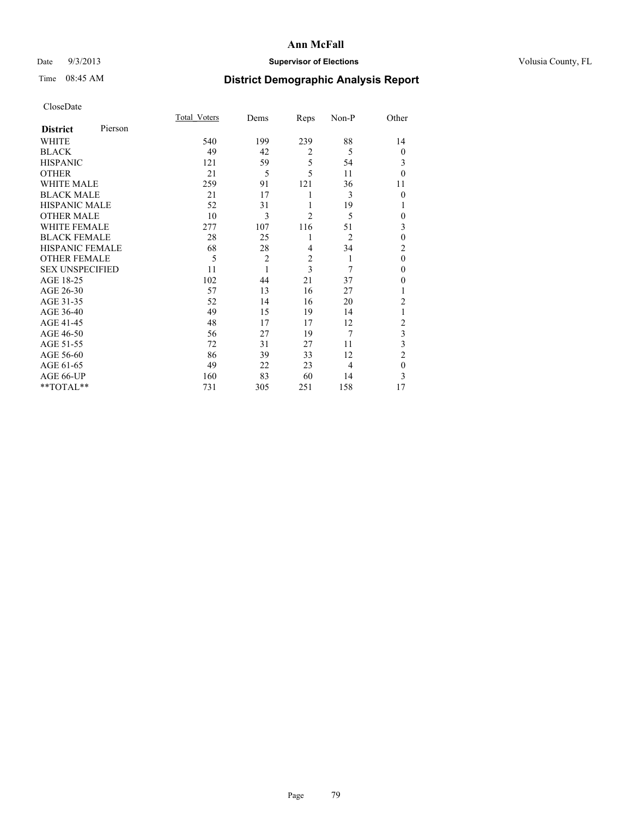# Date  $9/3/2013$  **Supervisor of Elections Supervisor of Elections** Volusia County, FL

# Time 08:45 AM **District Demographic Analysis Report**

|                        |         | <b>Total Voters</b> | Dems           | Reps           | Non-P          | Other          |
|------------------------|---------|---------------------|----------------|----------------|----------------|----------------|
| <b>District</b>        | Pierson |                     |                |                |                |                |
| <b>WHITE</b>           |         | 540                 | 199            | 239            | 88             | 14             |
| <b>BLACK</b>           |         | 49                  | 42             | $\overline{2}$ | 5              | $\theta$       |
| <b>HISPANIC</b>        |         | 121                 | 59             | 5              | 54             | 3              |
| <b>OTHER</b>           |         | 21                  | 5              | 5              | 11             | $\theta$       |
| WHITE MALE             |         | 259                 | 91             | 121            | 36             | 11             |
| <b>BLACK MALE</b>      |         | 21                  | 17             | 1              | 3              | $\theta$       |
| <b>HISPANIC MALE</b>   |         | 52                  | 31             | 1              | 19             | 1              |
| <b>OTHER MALE</b>      |         | 10                  | 3              | $\overline{c}$ | 5              | 0              |
| WHITE FEMALE           |         | 277                 | 107            | 116            | 51             | 3              |
| <b>BLACK FEMALE</b>    |         | 28                  | 25             | 1              | $\overline{2}$ | $\mathbf{0}$   |
| <b>HISPANIC FEMALE</b> |         | 68                  | 28             | $\overline{4}$ | 34             | $\overline{c}$ |
| <b>OTHER FEMALE</b>    |         | 5                   | $\overline{c}$ | $\overline{2}$ | 1              | $\theta$       |
| <b>SEX UNSPECIFIED</b> |         | 11                  | 1              | 3              | 7              | $\mathbf{0}$   |
| AGE 18-25              |         | 102                 | 44             | 21             | 37             | $\theta$       |
| AGE 26-30              |         | 57                  | 13             | 16             | 27             | 1              |
| AGE 31-35              |         | 52                  | 14             | 16             | 20             | $\overline{c}$ |
| AGE 36-40              |         | 49                  | 15             | 19             | 14             | 1              |
| AGE 41-45              |         | 48                  | 17             | 17             | 12             | $\overline{c}$ |
| AGE 46-50              |         | 56                  | 27             | 19             | $\overline{7}$ | 3              |
| AGE 51-55              |         | 72                  | 31             | 27             | 11             | 3              |
| AGE 56-60              |         | 86                  | 39             | 33             | 12             | $\overline{c}$ |
| AGE 61-65              |         | 49                  | 22             | 23             | $\overline{4}$ | $\mathbf{0}$   |
| AGE 66-UP              |         | 160                 | 83             | 60             | 14             | 3              |
| **TOTAL**              |         | 731                 | 305            | 251            | 158            | 17             |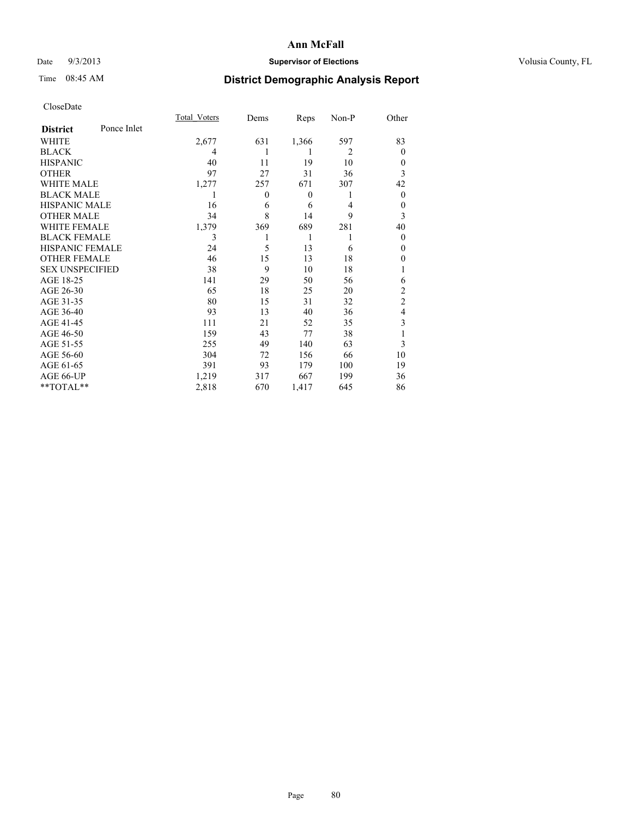# Date  $9/3/2013$  **Supervisor of Elections Supervisor of Elections** Volusia County, FL

# Time 08:45 AM **District Demographic Analysis Report**

|                        |             | <b>Total Voters</b> | Dems         | Reps             | Non-P          | Other          |
|------------------------|-------------|---------------------|--------------|------------------|----------------|----------------|
| <b>District</b>        | Ponce Inlet |                     |              |                  |                |                |
| WHITE                  |             | 2,677               | 631          | 1,366            | 597            | 83             |
| <b>BLACK</b>           |             | 4                   | 1            | 1                | $\overline{2}$ | $\theta$       |
| <b>HISPANIC</b>        |             | 40                  | 11           | 19               | 10             | $\theta$       |
| <b>OTHER</b>           |             | 97                  | 27           | 31               | 36             | 3              |
| WHITE MALE             |             | 1,277               | 257          | 671              | 307            | 42             |
| <b>BLACK MALE</b>      |             | 1                   | $\mathbf{0}$ | $\boldsymbol{0}$ | 1              | $\overline{0}$ |
| <b>HISPANIC MALE</b>   |             | 16                  | 6            | 6                | 4              | $\theta$       |
| <b>OTHER MALE</b>      |             | 34                  | 8            | 14               | 9              | 3              |
| <b>WHITE FEMALE</b>    |             | 1,379               | 369          | 689              | 281            | 40             |
| <b>BLACK FEMALE</b>    |             | 3                   |              | 1                | 1              | $\theta$       |
| <b>HISPANIC FEMALE</b> |             | 24                  | 5            | 13               | 6              | $\theta$       |
| <b>OTHER FEMALE</b>    |             | 46                  | 15           | 13               | 18             | 0              |
| <b>SEX UNSPECIFIED</b> |             | 38                  | 9            | 10               | 18             |                |
| AGE 18-25              |             | 141                 | 29           | 50               | 56             | 6              |
| AGE 26-30              |             | 65                  | 18           | 25               | 20             | $\overline{c}$ |
| AGE 31-35              |             | 80                  | 15           | 31               | 32             | $\overline{c}$ |
| AGE 36-40              |             | 93                  | 13           | 40               | 36             | 4              |
| AGE 41-45              |             | 111                 | 21           | 52               | 35             | 3              |
| AGE 46-50              |             | 159                 | 43           | 77               | 38             |                |
| AGE 51-55              |             | 255                 | 49           | 140              | 63             | 3              |
| AGE 56-60              |             | 304                 | 72           | 156              | 66             | 10             |
| AGE 61-65              |             | 391                 | 93           | 179              | 100            | 19             |
| AGE 66-UP              |             | 1,219               | 317          | 667              | 199            | 36             |
| **TOTAL**              |             | 2,818               | 670          | 1,417            | 645            | 86             |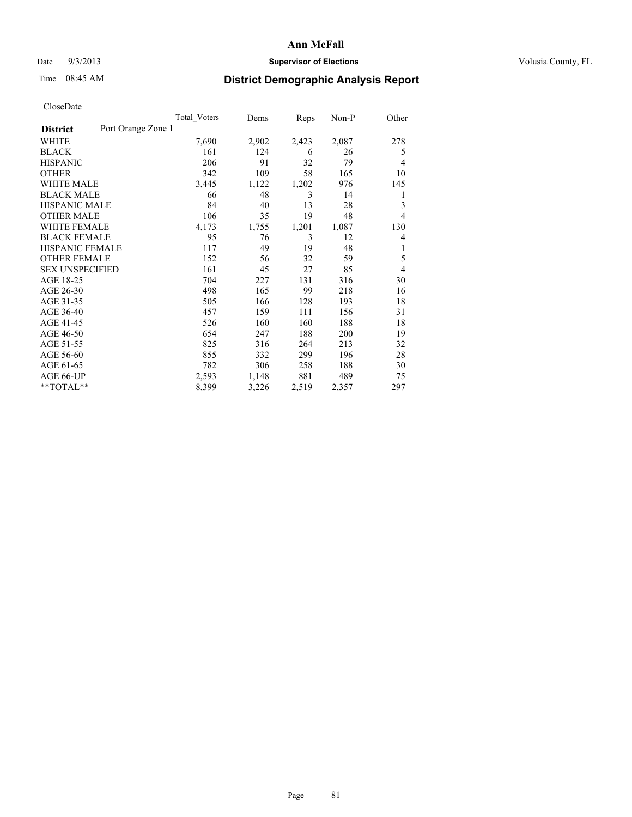## Date  $9/3/2013$  **Supervisor of Elections Supervisor of Elections** Volusia County, FL

# Time 08:45 AM **District Demographic Analysis Report**

|                                       | <b>Total Voters</b> | Dems  | Reps  | Non-P | Other          |
|---------------------------------------|---------------------|-------|-------|-------|----------------|
| Port Orange Zone 1<br><b>District</b> |                     |       |       |       |                |
| WHITE                                 | 7,690               | 2,902 | 2,423 | 2,087 | 278            |
| <b>BLACK</b>                          | 161                 | 124   | 6     | 26    | 5              |
| <b>HISPANIC</b>                       | 206                 | 91    | 32    | 79    | $\overline{4}$ |
| <b>OTHER</b>                          | 342                 | 109   | 58    | 165   | 10             |
| <b>WHITE MALE</b>                     | 3,445               | 1,122 | 1,202 | 976   | 145            |
| <b>BLACK MALE</b>                     | 66                  | 48    | 3     | 14    | 1              |
| <b>HISPANIC MALE</b>                  | 84                  | 40    | 13    | 28    | 3              |
| <b>OTHER MALE</b>                     | 106                 | 35    | 19    | 48    | 4              |
| <b>WHITE FEMALE</b>                   | 4,173               | 1,755 | 1,201 | 1,087 | 130            |
| <b>BLACK FEMALE</b>                   | 95                  | 76    | 3     | 12    | 4              |
| <b>HISPANIC FEMALE</b>                | 117                 | 49    | 19    | 48    | 1              |
| <b>OTHER FEMALE</b>                   | 152                 | 56    | 32    | 59    | 5              |
| <b>SEX UNSPECIFIED</b>                | 161                 | 45    | 27    | 85    | $\overline{4}$ |
| AGE 18-25                             | 704                 | 227   | 131   | 316   | 30             |
| AGE 26-30                             | 498                 | 165   | 99    | 218   | 16             |
| AGE 31-35                             | 505                 | 166   | 128   | 193   | 18             |
| AGE 36-40                             | 457                 | 159   | 111   | 156   | 31             |
| AGE 41-45                             | 526                 | 160   | 160   | 188   | 18             |
| AGE 46-50                             | 654                 | 247   | 188   | 200   | 19             |
| AGE 51-55                             | 825                 | 316   | 264   | 213   | 32             |
| AGE 56-60                             | 855                 | 332   | 299   | 196   | 28             |
| AGE 61-65                             | 782                 | 306   | 258   | 188   | 30             |
| AGE 66-UP                             | 2,593               | 1,148 | 881   | 489   | 75             |
| **TOTAL**                             | 8,399               | 3,226 | 2,519 | 2,357 | 297            |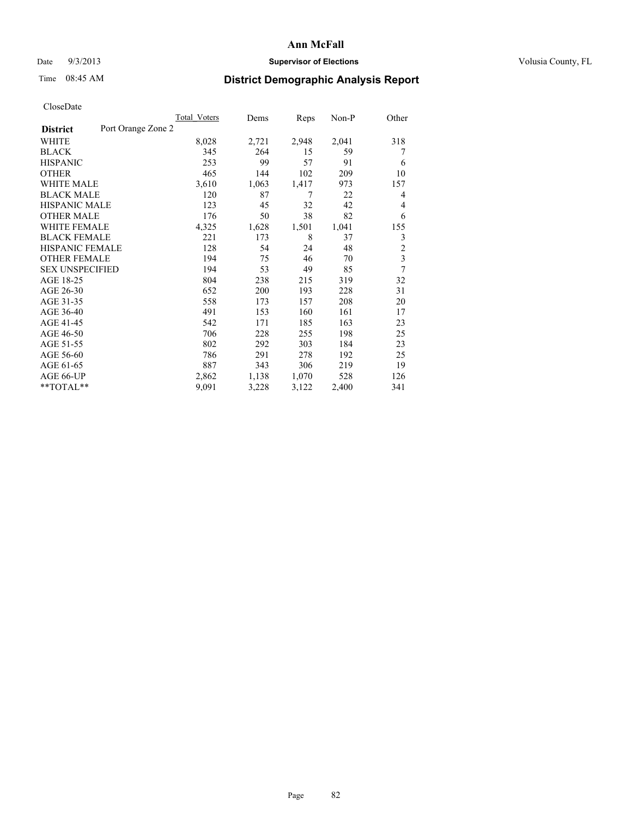## Date  $9/3/2013$  **Supervisor of Elections Supervisor of Elections** Volusia County, FL

# Time 08:45 AM **District Demographic Analysis Report**

| Total Voters | Dems               | Reps  | Non-P | Other                   |
|--------------|--------------------|-------|-------|-------------------------|
|              |                    |       |       |                         |
| 8,028        | 2,721              | 2,948 | 2,041 | 318                     |
| 345          | 264                | 15    | 59    | 7                       |
| 253          | 99                 | 57    | 91    | 6                       |
| 465          | 144                | 102   | 209   | 10                      |
| 3,610        | 1,063              | 1,417 | 973   | 157                     |
| 120          | 87                 | 7     | 22    | 4                       |
| 123          | 45                 | 32    | 42    | 4                       |
| 176          | 50                 | 38    | 82    | 6                       |
| 4,325        | 1,628              | 1,501 | 1,041 | 155                     |
| 221          | 173                | 8     | 37    | 3                       |
| 128          | 54                 | 24    | 48    | $\overline{c}$          |
| 194          | 75                 | 46    | 70    | $\overline{\mathbf{3}}$ |
| 194          | 53                 | 49    | 85    | 7                       |
| 804          | 238                | 215   | 319   | 32                      |
| 652          | 200                | 193   | 228   | 31                      |
| 558          | 173                | 157   | 208   | 20                      |
| 491          | 153                | 160   | 161   | 17                      |
| 542          | 171                | 185   | 163   | 23                      |
| 706          | 228                | 255   | 198   | 25                      |
| 802          | 292                | 303   | 184   | 23                      |
| 786          | 291                | 278   | 192   | 25                      |
| 887          | 343                | 306   | 219   | 19                      |
| 2,862        | 1,138              | 1,070 | 528   | 126                     |
| 9,091        | 3,228              | 3,122 | 2,400 | 341                     |
|              | Port Orange Zone 2 |       |       |                         |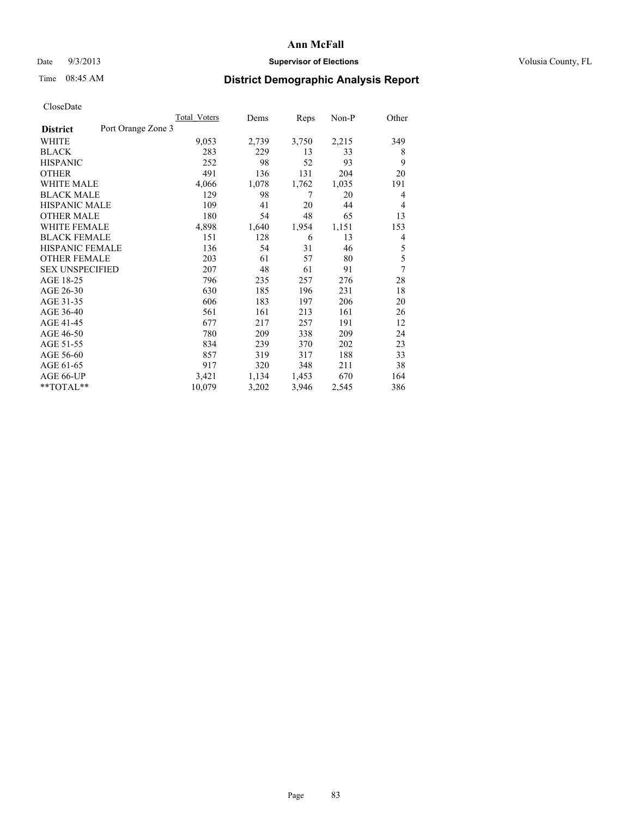## Date  $9/3/2013$  **Supervisor of Elections Supervisor of Elections** Volusia County, FL

# Time 08:45 AM **District Demographic Analysis Report**

|                        |                    | Total Voters | Dems  | Reps  | Non-P | Other |
|------------------------|--------------------|--------------|-------|-------|-------|-------|
| <b>District</b>        | Port Orange Zone 3 |              |       |       |       |       |
| WHITE                  |                    | 9,053        | 2,739 | 3,750 | 2,215 | 349   |
| <b>BLACK</b>           |                    | 283          | 229   | 13    | 33    | 8     |
| <b>HISPANIC</b>        |                    | 252          | 98    | 52    | 93    | 9     |
| <b>OTHER</b>           |                    | 491          | 136   | 131   | 204   | 20    |
| WHITE MALE             |                    | 4,066        | 1,078 | 1,762 | 1,035 | 191   |
| <b>BLACK MALE</b>      |                    | 129          | 98    | 7     | 20    | 4     |
| <b>HISPANIC MALE</b>   |                    | 109          | 41    | 20    | 44    | 4     |
| <b>OTHER MALE</b>      |                    | 180          | 54    | 48    | 65    | 13    |
| <b>WHITE FEMALE</b>    |                    | 4,898        | 1,640 | 1,954 | 1,151 | 153   |
| <b>BLACK FEMALE</b>    |                    | 151          | 128   | 6     | 13    | 4     |
| HISPANIC FEMALE        |                    | 136          | 54    | 31    | 46    | 5     |
| <b>OTHER FEMALE</b>    |                    | 203          | 61    | 57    | 80    | 5     |
| <b>SEX UNSPECIFIED</b> |                    | 207          | 48    | 61    | 91    | 7     |
| AGE 18-25              |                    | 796          | 235   | 257   | 276   | 28    |
| AGE 26-30              |                    | 630          | 185   | 196   | 231   | 18    |
| AGE 31-35              |                    | 606          | 183   | 197   | 206   | 20    |
| AGE 36-40              |                    | 561          | 161   | 213   | 161   | 26    |
| AGE 41-45              |                    | 677          | 217   | 257   | 191   | 12    |
| AGE 46-50              |                    | 780          | 209   | 338   | 209   | 24    |
| AGE 51-55              |                    | 834          | 239   | 370   | 202   | 23    |
| AGE 56-60              |                    | 857          | 319   | 317   | 188   | 33    |
| AGE 61-65              |                    | 917          | 320   | 348   | 211   | 38    |
| AGE 66-UP              |                    | 3,421        | 1,134 | 1,453 | 670   | 164   |
| **TOTAL**              |                    | 10,079       | 3,202 | 3,946 | 2,545 | 386   |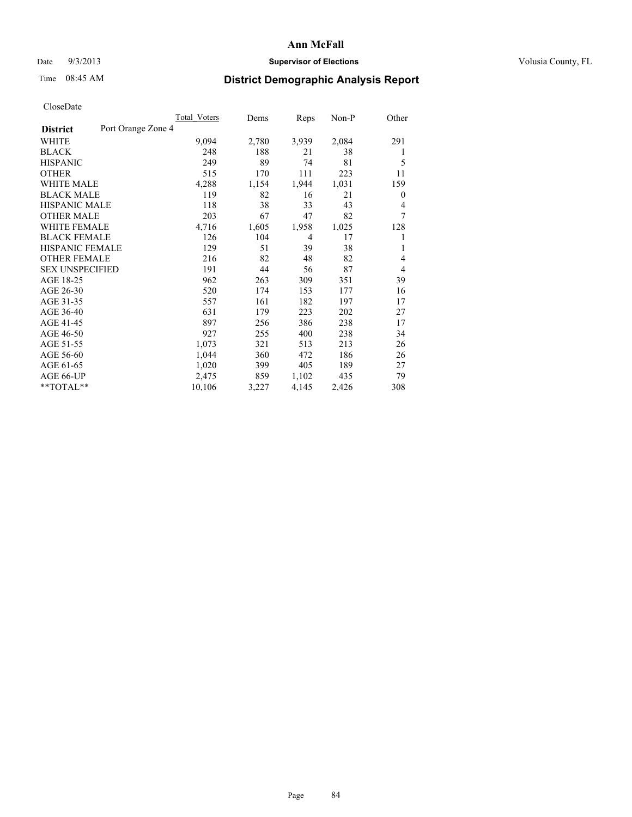# Date  $9/3/2013$  **Supervisor of Elections Supervisor of Elections** Volusia County, FL

# Time 08:45 AM **District Demographic Analysis Report**

|                        |                    | Total Voters | Dems  | Reps  | Non-P | Other            |
|------------------------|--------------------|--------------|-------|-------|-------|------------------|
| <b>District</b>        | Port Orange Zone 4 |              |       |       |       |                  |
| WHITE                  |                    | 9,094        | 2,780 | 3,939 | 2,084 | 291              |
| <b>BLACK</b>           |                    | 248          | 188   | 21    | 38    | 1                |
| <b>HISPANIC</b>        |                    | 249          | 89    | 74    | 81    | 5                |
| <b>OTHER</b>           |                    | 515          | 170   | 111   | 223   | 11               |
| WHITE MALE             |                    | 4,288        | 1,154 | 1,944 | 1,031 | 159              |
| <b>BLACK MALE</b>      |                    | 119          | 82    | 16    | 21    | $\boldsymbol{0}$ |
| <b>HISPANIC MALE</b>   |                    | 118          | 38    | 33    | 43    | 4                |
| <b>OTHER MALE</b>      |                    | 203          | 67    | 47    | 82    | 7                |
| <b>WHITE FEMALE</b>    |                    | 4,716        | 1,605 | 1,958 | 1,025 | 128              |
| <b>BLACK FEMALE</b>    |                    | 126          | 104   | 4     | 17    | 1                |
| HISPANIC FEMALE        |                    | 129          | 51    | 39    | 38    | 1                |
| <b>OTHER FEMALE</b>    |                    | 216          | 82    | 48    | 82    | 4                |
| <b>SEX UNSPECIFIED</b> |                    | 191          | 44    | 56    | 87    | 4                |
| AGE 18-25              |                    | 962          | 263   | 309   | 351   | 39               |
| AGE 26-30              |                    | 520          | 174   | 153   | 177   | 16               |
| AGE 31-35              |                    | 557          | 161   | 182   | 197   | 17               |
| AGE 36-40              |                    | 631          | 179   | 223   | 202   | 27               |
| AGE 41-45              |                    | 897          | 256   | 386   | 238   | 17               |
| AGE 46-50              |                    | 927          | 255   | 400   | 238   | 34               |
| AGE 51-55              |                    | 1,073        | 321   | 513   | 213   | 26               |
| AGE 56-60              |                    | 1,044        | 360   | 472   | 186   | 26               |
| AGE 61-65              |                    | 1,020        | 399   | 405   | 189   | 27               |
| AGE 66-UP              |                    | 2,475        | 859   | 1,102 | 435   | 79               |
| $*$ TOTAL $*$          |                    | 10,106       | 3,227 | 4,145 | 2,426 | 308              |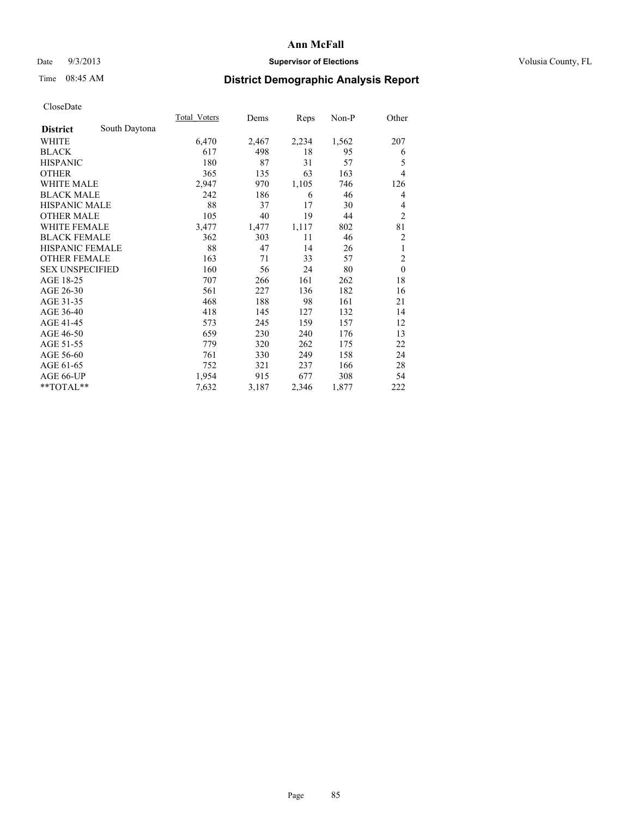# Date  $9/3/2013$  **Supervisor of Elections Supervisor of Elections** Volusia County, FL

# Time 08:45 AM **District Demographic Analysis Report**

|                        |               | <b>Total Voters</b> | Dems  | Reps  | Non-P | Other          |
|------------------------|---------------|---------------------|-------|-------|-------|----------------|
| <b>District</b>        | South Daytona |                     |       |       |       |                |
| WHITE                  |               | 6,470               | 2,467 | 2,234 | 1,562 | 207            |
| <b>BLACK</b>           |               | 617                 | 498   | 18    | 95    | 6              |
| <b>HISPANIC</b>        |               | 180                 | 87    | 31    | 57    | 5              |
| <b>OTHER</b>           |               | 365                 | 135   | 63    | 163   | $\overline{4}$ |
| WHITE MALE             |               | 2,947               | 970   | 1,105 | 746   | 126            |
| <b>BLACK MALE</b>      |               | 242                 | 186   | 6     | 46    | 4              |
| <b>HISPANIC MALE</b>   |               | 88                  | 37    | 17    | 30    | 4              |
| <b>OTHER MALE</b>      |               | 105                 | 40    | 19    | 44    | $\overline{2}$ |
| <b>WHITE FEMALE</b>    |               | 3,477               | 1,477 | 1,117 | 802   | 81             |
| <b>BLACK FEMALE</b>    |               | 362                 | 303   | 11    | 46    | 2              |
| <b>HISPANIC FEMALE</b> |               | 88                  | 47    | 14    | 26    | 1              |
| <b>OTHER FEMALE</b>    |               | 163                 | 71    | 33    | 57    | $\overline{c}$ |
| <b>SEX UNSPECIFIED</b> |               | 160                 | 56    | 24    | 80    | $\mathbf{0}$   |
| AGE 18-25              |               | 707                 | 266   | 161   | 262   | 18             |
| AGE 26-30              |               | 561                 | 227   | 136   | 182   | 16             |
| AGE 31-35              |               | 468                 | 188   | 98    | 161   | 21             |
| AGE 36-40              |               | 418                 | 145   | 127   | 132   | 14             |
| AGE 41-45              |               | 573                 | 245   | 159   | 157   | 12             |
| AGE 46-50              |               | 659                 | 230   | 240   | 176   | 13             |
| AGE 51-55              |               | 779                 | 320   | 262   | 175   | 22             |
| AGE 56-60              |               | 761                 | 330   | 249   | 158   | 24             |
| AGE 61-65              |               | 752                 | 321   | 237   | 166   | 28             |
| AGE 66-UP              |               | 1,954               | 915   | 677   | 308   | 54             |
| **TOTAL**              |               | 7,632               | 3,187 | 2,346 | 1,877 | 222            |